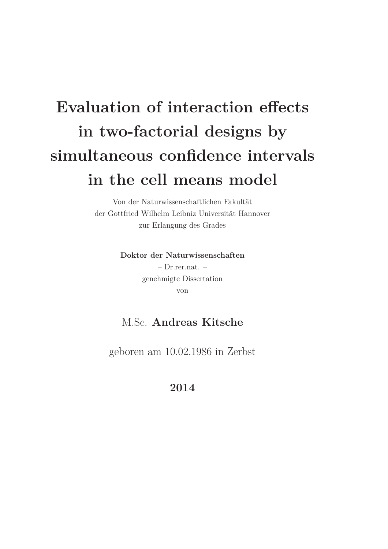# **Evaluation of interaction effects in two-factorial designs by simultaneous confidence intervals in the cell means model**

Von der Naturwissenschaftlichen Fakultät der Gottfried Wilhelm Leibniz Universität Hannover zur Erlangung des Grades

> **Doktor der Naturwissenschaften** – Dr.rer.nat. – genehmigte Dissertation von

#### M.Sc. **Andreas Kitsche**

geboren am 10.02.1986 in Zerbst

**2014**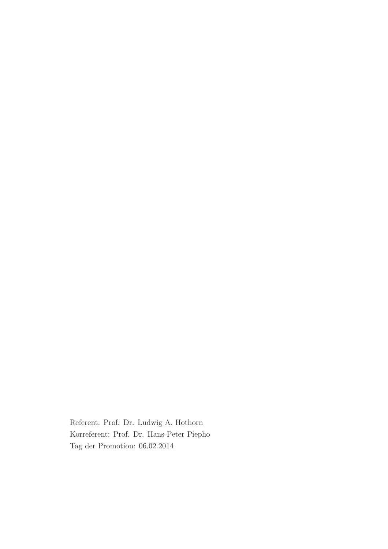Referent: Prof. Dr. Ludwig A. Hothorn Korreferent: Prof. Dr. Hans-Peter Piepho Tag der Promotion: 06.02.2014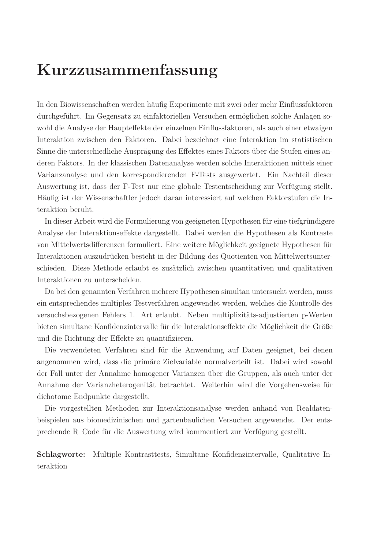## **Kurzzusammenfassung**

In den Biowissenschaften werden häufig Experimente mit zwei oder mehr Einflussfaktoren durchgeführt. Im Gegensatz zu einfaktoriellen Versuchen ermöglichen solche Anlagen sowohl die Analyse der Haupteffekte der einzelnen Einflussfaktoren, als auch einer etwaigen Interaktion zwischen den Faktoren. Dabei bezeichnet eine Interaktion im statistischen Sinne die unterschiedliche Ausprägung des Effektes eines Faktors über die Stufen eines anderen Faktors. In der klassischen Datenanalyse werden solche Interaktionen mittels einer Varianzanalyse und den korrespondierenden F-Tests ausgewertet. Ein Nachteil dieser Auswertung ist, dass der F-Test nur eine globale Testentscheidung zur Verfügung stellt. Häufig ist der Wissenschaftler jedoch daran interessiert auf welchen Faktorstufen die Interaktion beruht.

In dieser Arbeit wird die Formulierung von geeigneten Hypothesen für eine tiefgründigere Analyse der Interaktionseffekte dargestellt. Dabei werden die Hypothesen als Kontraste von Mittelwertsdifferenzen formuliert. Eine weitere Möglichkeit geeignete Hypothesen für Interaktionen auszudrücken besteht in der Bildung des Quotienten von Mittelwertsunterschieden. Diese Methode erlaubt es zusätzlich zwischen quantitativen und qualitativen Interaktionen zu unterscheiden.

Da bei den genannten Verfahren mehrere Hypothesen simultan untersucht werden, muss ein entsprechendes multiples Testverfahren angewendet werden, welches die Kontrolle des versuchsbezogenen Fehlers 1. Art erlaubt. Neben multiplizitäts-adjustierten p-Werten bieten simultane Konfidenzintervalle für die Interaktionseffekte die Möglichkeit die Größe und die Richtung der Effekte zu quantifizieren.

Die verwendeten Verfahren sind für die Anwendung auf Daten geeignet, bei denen angenommen wird, dass die primäre Zielvariable normalverteilt ist. Dabei wird sowohl der Fall unter der Annahme homogener Varianzen über die Gruppen, als auch unter der Annahme der Varianzheterogenität betrachtet. Weiterhin wird die Vorgehensweise für dichotome Endpunkte dargestellt.

Die vorgestellten Methoden zur Interaktionsanalyse werden anhand von Realdatenbeispielen aus biomedizinischen und gartenbaulichen Versuchen angewendet. Der entsprechende R–Code für die Auswertung wird kommentiert zur Verfügung gestellt.

**Schlagworte:** Multiple Kontrasttests, Simultane Konfidenzintervalle, Qualitative Interaktion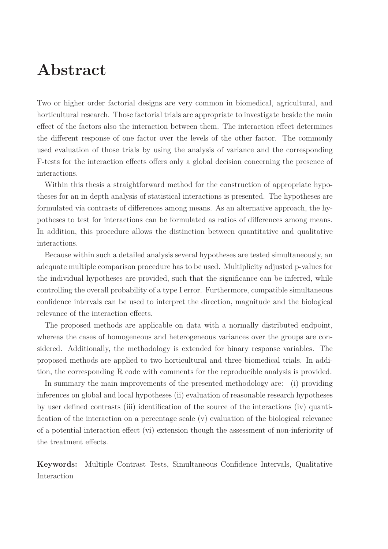## **Abstract**

Two or higher order factorial designs are very common in biomedical, agricultural, and horticultural research. Those factorial trials are appropriate to investigate beside the main effect of the factors also the interaction between them. The interaction effect determines the different response of one factor over the levels of the other factor. The commonly used evaluation of those trials by using the analysis of variance and the corresponding F-tests for the interaction effects offers only a global decision concerning the presence of interactions.

Within this thesis a straightforward method for the construction of appropriate hypotheses for an in depth analysis of statistical interactions is presented. The hypotheses are formulated via contrasts of differences among means. As an alternative approach, the hypotheses to test for interactions can be formulated as ratios of differences among means. In addition, this procedure allows the distinction between quantitative and qualitative interactions.

Because within such a detailed analysis several hypotheses are tested simultaneously, an adequate multiple comparison procedure has to be used. Multiplicity adjusted p-values for the individual hypotheses are provided, such that the significance can be inferred, while controlling the overall probability of a type I error. Furthermore, compatible simultaneous confidence intervals can be used to interpret the direction, magnitude and the biological relevance of the interaction effects.

The proposed methods are applicable on data with a normally distributed endpoint, whereas the cases of homogeneous and heterogeneous variances over the groups are considered. Additionally, the methodology is extended for binary response variables. The proposed methods are applied to two horticultural and three biomedical trials. In addition, the corresponding R code with comments for the reproducible analysis is provided.

In summary the main improvements of the presented methodology are: (i) providing inferences on global and local hypotheses (ii) evaluation of reasonable research hypotheses by user defined contrasts (iii) identification of the source of the interactions (iv) quantification of the interaction on a percentage scale (v) evaluation of the biological relevance of a potential interaction effect (vi) extension though the assessment of non-inferiority of the treatment effects.

**Keywords:** Multiple Contrast Tests, Simultaneous Confidence Intervals, Qualitative Interaction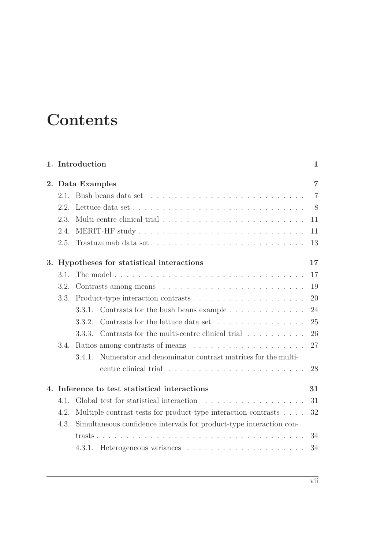## **Contents**

|    |      | 1. Introduction                                                                | 1              |
|----|------|--------------------------------------------------------------------------------|----------------|
| 2. |      | Data Examples                                                                  | $\overline{7}$ |
|    | 2.1. |                                                                                | $\overline{7}$ |
|    | 2.2  |                                                                                | 8              |
|    | 2.3. |                                                                                | 11             |
|    | 2.4. |                                                                                | 11             |
|    | 2.5. |                                                                                | 13             |
| 3. |      | Hypotheses for statistical interactions                                        | 17             |
|    | 3.1. |                                                                                | 17             |
|    | 3.2. |                                                                                | 19             |
|    | 3.3. |                                                                                | 20             |
|    |      | Contrasts for the bush beans example<br>3.3.1.                                 | 24             |
|    |      | Contrasts for the lettuce data set<br>3.3.2.                                   | 25             |
|    |      | Contrasts for the multi-centre clinical trial $\ldots \ldots \ldots$<br>3.3.3. | 26             |
|    | 3.4. |                                                                                | 27             |
|    |      | Numerator and denominator contrast matrices for the multi-<br>3.4.1.           |                |
|    |      |                                                                                | 28             |
| 4. |      | Inference to test statistical interactions                                     | 31             |
|    | 4.1. |                                                                                | 31             |
|    | 4.2. | Multiple contrast tests for product-type interaction contrasts                 | 32             |
|    | 4.3. | Simultaneous confidence intervals for product-type interaction con-            |                |
|    |      |                                                                                | 34             |
|    |      | 4.3.1.                                                                         | 34             |
|    |      |                                                                                |                |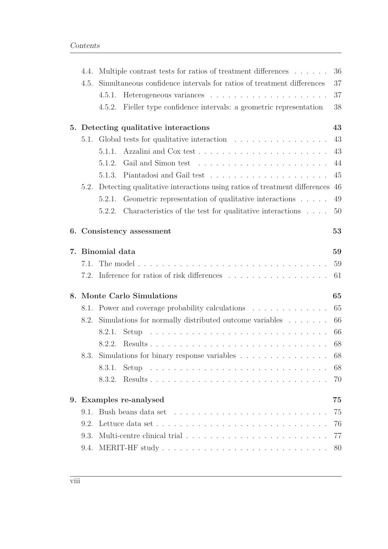| 4.4. | Multiple contrast tests for ratios of treatment differences                   | 36 |
|------|-------------------------------------------------------------------------------|----|
| 4.5. | Simultaneous confidence intervals for ratios of treatment differences         | 37 |
|      | 4.5.1.                                                                        | 37 |
|      | Fieller type confidence intervals: a geometric representation<br>4.5.2.       | 38 |
|      | 5. Detecting qualitative interactions                                         | 43 |
|      | 5.1. Global tests for qualitative interaction                                 | 43 |
|      |                                                                               | 43 |
|      | 5.1.2.                                                                        | 44 |
|      |                                                                               | 45 |
| 5.2. | Detecting qualitative interactions using ratios of treatment differences 46   |    |
|      | Geometric representation of qualitative interactions<br>5.2.1.                | 49 |
|      | Characteristics of the test for qualitative interactions $\ldots$ .<br>5.2.2. | 50 |
|      | 6. Consistency assessment                                                     | 53 |
|      | 7. Binomial data                                                              | 59 |
| 7.1. |                                                                               | 59 |
|      | 7.2. Inference for ratios of risk differences                                 | 61 |
|      | 8. Monte Carlo Simulations                                                    | 65 |
|      | 8.1. Power and coverage probability calculations                              | 65 |
| 8.2. | Simulations for normally distributed outcome variables                        | 66 |
|      | 8.2.1.                                                                        | 66 |
|      | 8.2.2.                                                                        | 68 |
|      | 8.3. Simulations for binary response variables 68                             |    |
|      | 8.3.1.                                                                        | 68 |
|      | 8.3.2.                                                                        | 70 |
|      | 9. Examples re-analysed                                                       | 75 |
| 9.1. |                                                                               | 75 |
| 9.2. |                                                                               | 76 |
| 9.3. |                                                                               | 77 |
| 9.4. |                                                                               | 80 |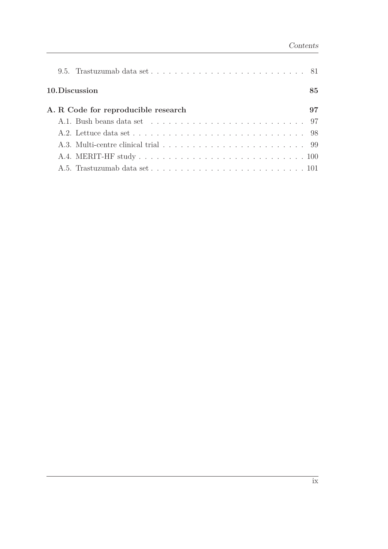|  | 10. Discussion                      | 85 |
|--|-------------------------------------|----|
|  | A. R Code for reproducible research | 97 |
|  |                                     |    |
|  |                                     |    |
|  |                                     |    |
|  |                                     |    |
|  |                                     |    |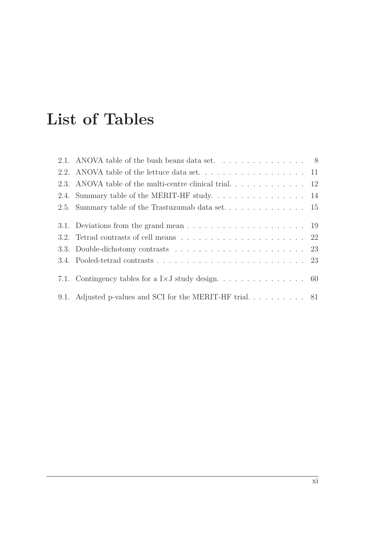# **List of Tables**

| 2.1. ANOVA table of the bush beans data set. $\dots \dots \dots \dots \dots$              |  |
|-------------------------------------------------------------------------------------------|--|
|                                                                                           |  |
|                                                                                           |  |
|                                                                                           |  |
|                                                                                           |  |
|                                                                                           |  |
|                                                                                           |  |
| 3.2. Tetrad contrasts of cell means $\ldots \ldots \ldots \ldots \ldots \ldots \ldots 22$ |  |
|                                                                                           |  |
|                                                                                           |  |
|                                                                                           |  |
|                                                                                           |  |
|                                                                                           |  |
| 9.1. Adjusted p-values and SCI for the MERIT-HF trial 81                                  |  |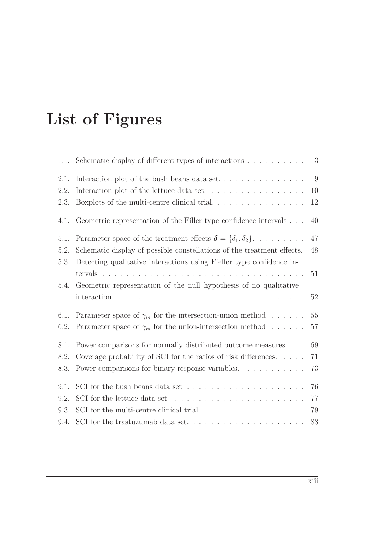# **List of Figures**

|      | 1.1. Schematic display of different types of interactions                               | 3  |
|------|-----------------------------------------------------------------------------------------|----|
| 2.1. |                                                                                         | 9  |
| 2.2. | Interaction plot of the lettuce data set. $\dots \dots \dots \dots \dots \dots$         | 10 |
| 2.3. |                                                                                         | 12 |
| 4.1. | Geometric representation of the Filler type confidence intervals                        | 40 |
| 5.1. | Parameter space of the treatment effects $\boldsymbol{\delta} = {\delta_1, \delta_2}$ . | 47 |
| 5.2. | Schematic display of possible constellations of the treatment effects.                  | 48 |
| 5.3. | Detecting qualitative interactions using Fieller type confidence in-                    |    |
|      |                                                                                         | 51 |
| 5.4. | Geometric representation of the null hypothesis of no qualitative                       | 52 |
| 6.1. | Parameter space of $\gamma_m$ for the intersection-union method                         | 55 |
| 6.2. | Parameter space of $\gamma_m$ for the union-intersection method                         | 57 |
| 8.1. | Power comparisons for normally distributed outcome measures                             | 69 |
| 8.2. | Coverage probability of SCI for the ratios of risk differences.                         | 71 |
| 8.3. | Power comparisons for binary response variables.                                        | 73 |
| 9.1. | SCI for the bush beans data set $\dots \dots \dots \dots \dots \dots \dots$             | 76 |
| 9.2. | SCI for the lettuce data set $\dots \dots \dots \dots \dots \dots \dots \dots$          | 77 |
| 9.3. | SCI for the multi-centre clinical trial. $\ldots \ldots \ldots \ldots \ldots \ldots$    | 79 |
| 9.4. |                                                                                         | 83 |
|      |                                                                                         |    |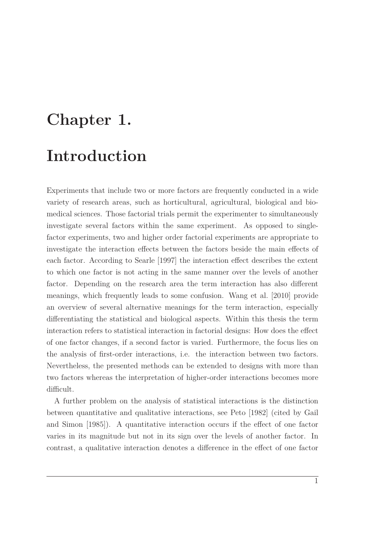# <span id="page-14-0"></span>**Chapter 1. Introduction**

Experiments that include two or more factors are frequently conducted in a wide variety of research areas, such as horticultural, agricultural, biological and biomedical sciences. Those factorial trials permit the experimenter to simultaneously investigate several factors within the same experiment. As opposed to singlefactor experiments, two and higher order factorial experiments are appropriate to investigate the interaction effects between the factors beside the main effects of each factor. According to [Searle \[1997\]](#page-108-0) the interaction effect describes the extent to which one factor is not acting in the same manner over the levels of another factor. Depending on the research area the term interaction has also different meanings, which frequently leads to some confusion. [Wang et al.](#page-108-1) [\[2010\]](#page-108-1) provide an overview of several alternative meanings for the term interaction, especially differentiating the statistical and biological aspects. Within this thesis the term interaction refers to statistical interaction in factorial designs: How does the effect of one factor changes, if a second factor is varied. Furthermore, the focus lies on the analysis of first-order interactions, i.e. the interaction between two factors. Nevertheless, the presented methods can be extended to designs with more than two factors whereas the interpretation of higher-order interactions becomes more difficult.

A further problem on the analysis of statistical interactions is the distinction between q[uantitative and qualitative interactions, see](#page-104-0) [Peto](#page-107-0) [\[1982\]](#page-107-0) (cited by Gail and Simon [\[1985\]](#page-104-0)). A quantitative interaction occurs if the effect of one factor varies in its magnitude but not in its sign over the levels of another factor. In contrast, a qualitative interaction denotes a difference in the effect of one factor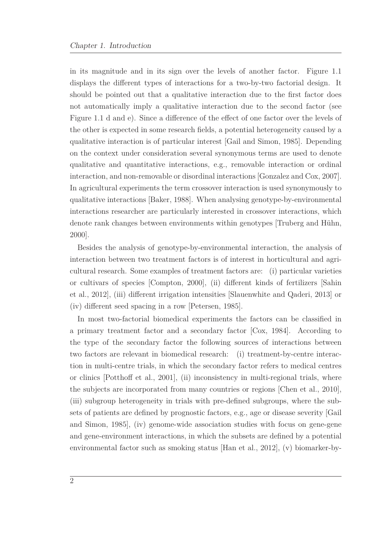in its magnitude and in its sign over the levels of another factor. Figure [1.1](#page-16-0) displays the different types of interactions for a two-by-two factorial design. It should be pointed out that a qualitative interaction due to the first factor does not automatically imply a qualitative interaction due to the second factor (see Figure [1.1](#page-16-0) d and e). Since a difference of the effect of one factor over the levels of the other is expected in some research fields, a potential heterogeneity caused by a qualitative interaction is of particular interest [\[Gail and](#page-104-0) Simon, [1985](#page-104-0)]. Depending on the context under consideration several synonymous terms are used to denote qualitative and quantitative interactions, e.g., removable interaction or ordinal interaction, and non-removable or disordinal interactions [\[Gonzalez and Cox](#page-105-0), [2007](#page-105-0)]. In agricultural experiments the term crossover interaction is used synonymously to qualitative interactions [\[Baker](#page-102-0), [1988\]](#page-102-0). When analysing genotype-by-environmental interactions researcher are particularly interested in crossover interactions, which denote rank changes between environments within genotypes [\[Truberg and Hühn,](#page-108-2) [2000\]](#page-108-2).

Besides the analysis of genotype-by-environmental interaction, the analysis of interaction between two treatment factors is of interest in horticultural and agricultural research. Some examples of treatment factors are: (i) particular varieties or c[ultivars of species](#page-108-3) [\[Compton](#page-103-0)[,](#page-108-3) [2000](#page-103-0)[\], \(ii\) different kinds](#page-108-3) of fertilizers [Sahin et al., [2012\]](#page-108-3), (iii) different irrigation intensities [\[Slauenwhite and Qaderi, 2013](#page-108-4)] or (iv) different seed spacing in a row [\[Petersen](#page-107-1), [1985](#page-107-1)].

In most two-factorial biomedical experiments the factors can be classified in a primary treatment factor and a secondary factor [\[Cox](#page-103-1), [1984](#page-103-1)]. According to the type of the secondary factor the following sources of interactions between two factors are relevant in biomedical research: (i) treatment-by-centre interaction in multi-centre trials, in which the secondary factor refers to medical centres or clinics [\[Potthoff et al., 2001\]](#page-107-2), (ii) inconsistency in multi-regional trials, where the subjects are incorporated from many countries or regions [\[Chen et al., 2010](#page-103-2)], (iii) subgroup heterogeneity in trials with pre-defined subgroups, where the subsets of pati[ents are defined by prognostic factors, e.g., age or disease severity \[](#page-104-0)Gail and Simon, [1985\]](#page-104-0), (iv) genome-wide association studies with focus on gene-gene and gene-environment interactions, in which the subsets are defined by a potential environmental factor such as smoking status [\[Han et al.](#page-105-1), [2012\]](#page-105-1), (v) biomarker-by-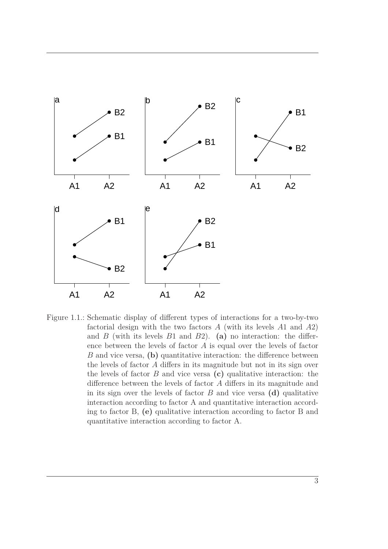<span id="page-16-0"></span>

Figure 1.1.: Schematic display of different types of interactions for a two-by-two factorial design with the two factors *A* (with its levels *A*1 and *A*2) and *B* (with its levels *B*1 and *B*2). **(a)** no interaction: the difference between the levels of factor *A* is equal over the levels of factor *B* and vice versa, **(b)** quantitative interaction: the difference between the levels of factor *A* differs in its magnitude but not in its sign over the levels of factor *B* and vice versa **(c)** qualitative interaction: the difference between the levels of factor *A* differs in its magnitude and in its sign over the levels of factor  $B$  and vice versa  $(d)$  qualitative interaction according to factor A and quantitative interaction according to factor B, **(e)** qualitative interaction according to factor B and quantitative interaction according to factor A.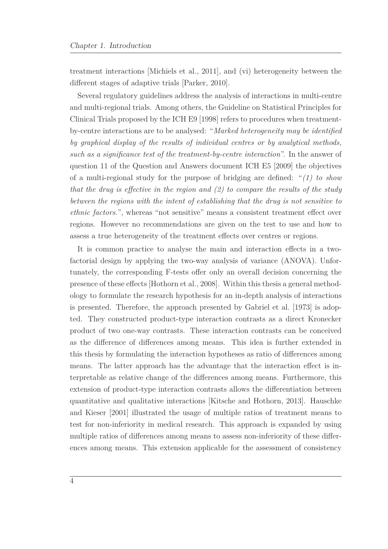treatment interactions [\[Michiels et al.](#page-106-0), [2011](#page-106-0)], and (vi) heterogeneity between the different stages of adaptive trials [\[Parker, 2010](#page-107-3)].

Several regulatory guidelines address the analysis of interactions in multi-centre and multi-regional trials. Among others, the Guideline on Statistical Principles for Clinical Trials proposed by the ICH E9 [\[1998\]](#page-105-2) refers to procedures when treatmentby-centre interactions are to be analysed: "*Marked heterogeneity may be identified by graphical display of the results of individual centres or by analytical methods, such as a significance test of the treatment-by-centre interaction*". In the answer of question 11 of the Question and Answers document ICH E5 [\[2009](#page-108-5)] the objectives of a multi-regional study for the purpose of bridging are defined: "*(1) to show that the drug is effective in the region and (2) to compare the results of the study between the regions with the intent of establishing that the drug is not sensitive to ethnic factors.*", whereas "not sensitive" means a consistent treatment effect over regions. However no recommendations are given on the test to use and how to assess a true heterogeneity of the treatment effects over centres or regions.

It is common practice to analyse the main and interaction effects in a twofactorial design by applying the two-way analysis of variance (ANOVA). Unfortunately, the corresponding F-tests offer only an overall decision concerning the presence of these effects [\[Hothorn et al.](#page-105-3), [2008\]](#page-105-3). Within this thesis a general methodology to formulate the research hypothesis for an in-depth analysis of interactions is presented. Therefore, the approach presented by [Gabriel et](#page-104-1) al. [\[1973](#page-104-1)] is adopted. They constructed product-type interaction contrasts as a direct Kronecker product of two one-way contrasts. These interaction contrasts can be conceived as the difference of differences among means. This idea is further extended in this thesis by formulating the interaction hypotheses as ratio of differences among means. The latter approach has the advantage that the interaction effect is interpretable as relative change of the differences among means. Furthermore, this extension of product-type interaction contrasts allows the differentiation between quantitati[ve and qualitative interactions](#page-105-4) [\[Kitsche and Hothorn](#page-106-1)[,](#page-105-4) [2013](#page-106-1)[\].](#page-105-4) Hauschke and Kieser [\[2001](#page-105-4)] illustrated the usage of multiple ratios of treatment means to test for non-inferiority in medical research. This approach is expanded by using multiple ratios of differences among means to assess non-inferiority of these differences among means. This extension applicable for the assessment of consistency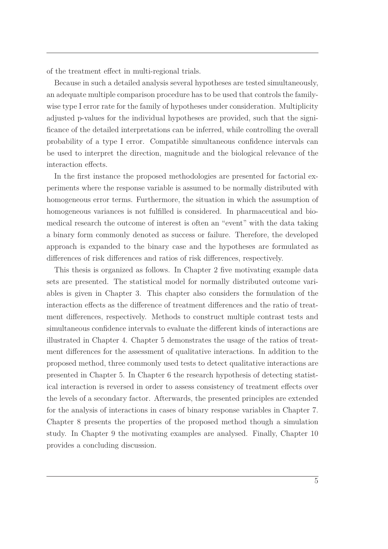of the treatment effect in multi-regional trials.

Because in such a detailed analysis several hypotheses are tested simultaneously, an adequate multiple comparison procedure has to be used that controls the familywise type I error rate for the family of hypotheses under consideration. Multiplicity adjusted p-values for the individual hypotheses are provided, such that the significance of the detailed interpretations can be inferred, while controlling the overall probability of a type I error. Compatible simultaneous confidence intervals can be used to interpret the direction, magnitude and the biological relevance of the interaction effects.

In the first instance the proposed methodologies are presented for factorial experiments where the response variable is assumed to be normally distributed with homogeneous error terms. Furthermore, the situation in which the assumption of homogeneous variances is not fulfilled is considered. In pharmaceutical and biomedical research the outcome of interest is often an "event" with the data taking a binary form commonly denoted as success or failure. Therefore, the developed approach is expanded to the binary case and the hypotheses are formulated as differences of risk differences and ratios of risk differences, respectively.

This thesis is organized as follows. In Chapter [2](#page-20-0) five motivating example data sets are presented. The statistical model for normally distributed outcome variables is given in Chapter [3.](#page-30-0) This chapter also considers the formulation of the interaction effects as the difference of treatment differences and the ratio of treatment differences, respectively. Methods to construct multiple contrast tests and simultaneous confidence intervals to evaluate the different kinds of interactions are illustrated in Chapter [4.](#page-44-0) Chapter [5](#page-56-0) demonstrates the usage of the ratios of treatment differences for the assessment of qualitative interactions. In addition to the proposed method, three commonly used tests to detect qualitative interactions are presented in Chapter [5.](#page-56-0) In Chapter [6](#page-66-0) the research hypothesis of detecting statistical interaction is reversed in order to assess consistency of treatment effects over the levels of a secondary factor. Afterwards, the presented principles are extended for the analysis of interactions in cases of binary response variables in Chapter [7.](#page-72-0) Chapter [8](#page-78-0) presents the properties of the proposed method though a simulation study. In Chapter [9](#page-88-0) the motivating examples are analysed. Finally, Chapter [10](#page-98-0) provides a concluding discussion.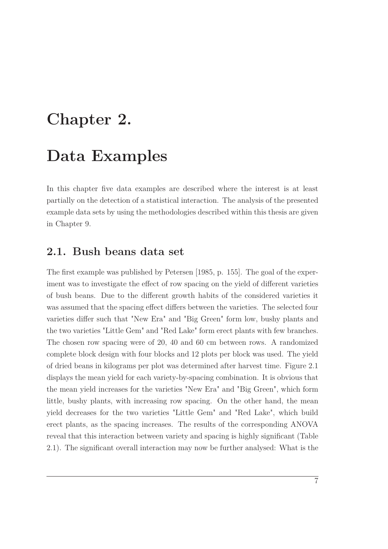## <span id="page-20-0"></span>**Chapter 2.**

### **Data Examples**

In this chapter five data examples are described where the interest is at least partially on the detection of a statistical interaction. The analysis of the presented example data sets by using the methodologies described within this thesis are given in Chapter [9.](#page-88-0)

#### <span id="page-20-1"></span>**2.1. Bush beans data set**

The first example was published by [Petersen \[1985](#page-107-1), p. 155]. The goal of the experiment was to investigate the effect of row spacing on the yield of different varieties of bush beans. Due to the different growth habits of the considered varieties it was assumed that the spacing effect differs between the varieties. The selected four varieties differ such that "New Era" and "Big Green" form low, bushy plants and the two varieties "Little Gem" and "Red Lake" form erect plants with few branches. The chosen row spacing were of 20, 40 and 60 cm between rows. A randomized complete block design with four blocks and 12 plots per block was used. The yield of dried beans in kilograms per plot was determined after harvest time. Figure [2.1](#page-22-0) displays the mean yield for each variety-by-spacing combination. It is obvious that the mean yield increases for the varieties "New Era" and "Big Green", which form little, bushy plants, with increasing row spacing. On the other hand, the mean yield decreases for the two varieties "Little Gem" and "Red Lake", which build erect plants, as the spacing increases. The results of the corresponding ANOVA reveal that this interaction between variety and spacing is highly significant (Table [2.1\)](#page-21-1). The significant overall interaction may now be further analysed: What is the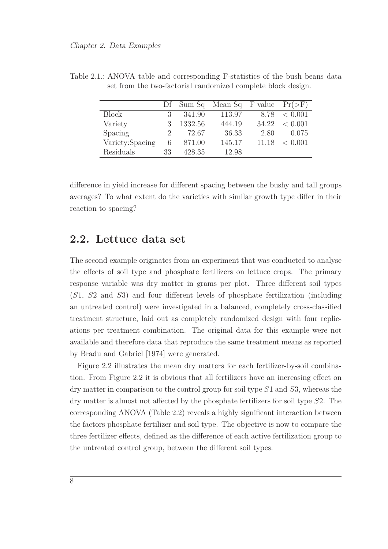|                 |               |         | Df Sum Sq Mean Sq F value $Pr(\geq F)$ |      |                    |
|-----------------|---------------|---------|----------------------------------------|------|--------------------|
| <b>Block</b>    | 3             | 341.90  | 113.97                                 |      | $8.78 \leq 0.001$  |
| Variety         | $\mathcal{R}$ | 1332.56 | 444.19                                 |      | $34.22 \leq 0.001$ |
| Spacing         | $2 -$         | 72.67   | 36.33                                  | 2.80 | 0.075              |
| Variety:Spacing | 6             | 871.00  | 145.17                                 |      | $11.18 \leq 0.001$ |
| Residuals       | 33            | 428.35  | 12.98                                  |      |                    |

<span id="page-21-1"></span>Table 2.1.: ANOVA table and corresponding F-statistics of the bush beans data set from the two-factorial randomized complete block design.

difference in yield increase for different spacing between the bushy and tall groups averages? To what extent do the varieties with similar growth type differ in their reaction to spacing?

#### <span id="page-21-0"></span>**2.2. Lettuce data set**

The second example originates from an experiment that was conducted to analyse the effects of soil type and phosphate fertilizers on lettuce crops. The primary response variable was dry matter in grams per plot. Three different soil types (*S*1, *S*2 and *S*3) and four different levels of phosphate fertilization (including an untreated control) were investigated in a balanced, completely cross-classified treatment structure, laid out as completely randomized design with four replications per treatment combination. The original data for this example were not available and therefore data that reproduce the same treatment means as reported by [Bradu and Gabriel \[1974](#page-102-1)] were generated.

Figure [2.2](#page-23-0) illustrates the mean dry matters for each fertilizer-by-soil combination. From Figure [2.2](#page-23-0) it is obvious that all fertilizers have an increasing effect on dry matter in comparison to the control group for soil type *S*1 and *S*3, whereas the dry matter is almost not affected by the phosphate fertilizers for soil type *S*2. The corresponding ANOVA (Table [2.2\)](#page-24-2) reveals a highly significant interaction between the factors phosphate fertilizer and soil type. The objective is now to compare the three fertilizer effects, defined as the difference of each active fertilization group to the untreated control group, between the different soil types.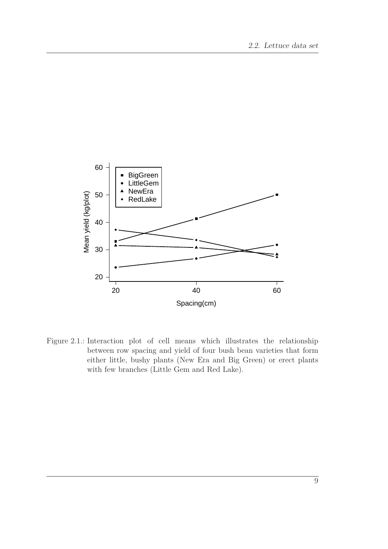<span id="page-22-0"></span>

Figure 2.1.: Interaction plot of cell means which illustrates the relationship between row spacing and yield of four bush bean varieties that form either little, bushy plants (New Era and Big Green) or erect plants with few branches (Little Gem and Red Lake).

9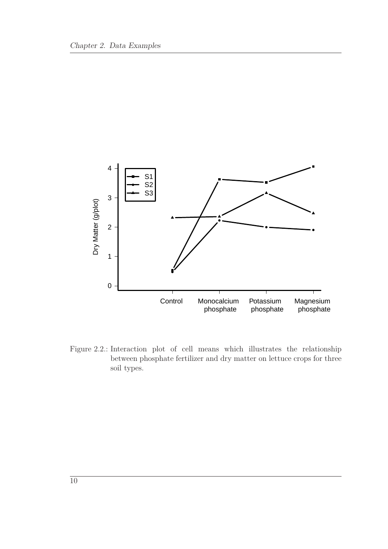<span id="page-23-0"></span>

Figure 2.2.: Interaction plot of cell means which illustrates the relationship between phosphate fertilizer and dry matter on lettuce crops for three soil types.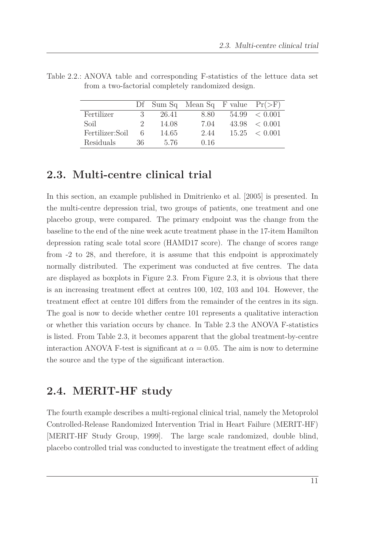|                 |               |       | Df Sum Sq Mean Sq F value $Pr(\geq F)$ |                    |
|-----------------|---------------|-------|----------------------------------------|--------------------|
| Fertilizer      | 3             | 26.41 | 8.80                                   | $54.99 \leq 0.001$ |
| Soil            | $\mathcal{L}$ | 14.08 | 7.04                                   | $43.98 \leq 0.001$ |
| Fertilizer:Soil | 6             | 14.65 | 2.44                                   | $15.25 \leq 0.001$ |
| Residuals       | 36            | 5.76  | 0.16                                   |                    |

<span id="page-24-2"></span>Table 2.2.: ANOVA table and corresponding F-statistics of the lettuce data set from a two-factorial completely randomized design.

#### <span id="page-24-0"></span>**2.3. Multi-centre clinical trial**

In this section, an example published in [Dmitrienko et al. \[2005](#page-104-2)] is presented. In the multi-centre depression trial, two groups of patients, one treatment and one placebo group, were compared. The primary endpoint was the change from the baseline to the end of the nine week acute treatment phase in the 17-item Hamilton depression rating scale total score (HAMD17 score). The change of scores range from -2 to 28, and therefore, it is assume that this endpoint is approximately normally distributed. The experiment was conducted at five centres. The data are displayed as boxplots in Figure [2.3.](#page-25-1) From Figure [2.3,](#page-25-1) it is obvious that there is an increasing treatment effect at centres 100, 102, 103 and 104. However, the treatment effect at centre 101 differs from the remainder of the centres in its sign. The goal is now to decide whether centre 101 represents a qualitative interaction or whether this variation occurs by chance. In Table [2.3](#page-25-0) the ANOVA F-statistics is listed. From Table [2.3,](#page-25-0) it becomes apparent that the global treatment-by-centre interaction ANOVA F-test is significant at  $\alpha = 0.05$ . The aim is now to determine the source and the type of the significant interaction.

#### <span id="page-24-1"></span>**2.4. MERIT-HF study**

The fourth example describes a multi-regional clinical trial, namely the Metoprolol Controlled-Release Randomized Intervention Trial in Heart Failure (MERIT-HF) [\[MERIT-HF Study Group](#page-106-2), [1999](#page-106-2)]. The large scale randomized, double blind, placebo controlled trial was conducted to investigate the treatment effect of adding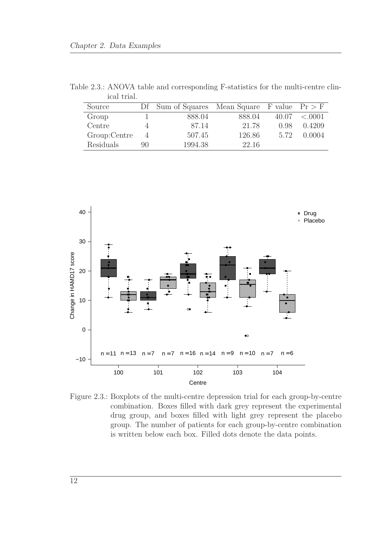| тсат оғтат.  |    |                                                |        |       |         |
|--------------|----|------------------------------------------------|--------|-------|---------|
| Source       |    | Df Sum of Squares Mean Square F value $Pr > F$ |        |       |         |
| Group        |    | 888.04                                         | 888.04 | 40.07 | < 0.001 |
| Centre       |    | 87.14                                          | 21.78  | 0.98  | 0.4209  |
| Group:Centre | 4  | 507.45                                         | 126.86 | 5.72  | 0.0004  |
| Residuals    | 90 | 1994.38                                        | 22.16  |       |         |

<span id="page-25-0"></span>Table 2.3.: ANOVA table and corresponding F-statistics for the multi-centre clin- $1 + \text{ri} \cdot 1$ 

<span id="page-25-1"></span>

Figure 2.3.: Boxplots of the multi-centre depression trial for each group-by-centre combination. Boxes filled with dark grey represent the experimental drug group, and boxes filled with light grey represent the placebo group. The number of patients for each group-by-centre combination is written below each box. Filled dots denote the data points.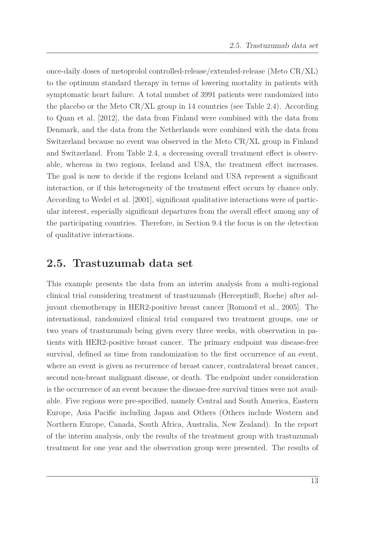once-daily doses of metoprolol controlled-release/extended-release (Meto CR/XL) to the optimum standard therapy in terms of lowering mortality in patients with symptomatic heart failure. A total number of 3991 patients were randomized into the placebo or the Meto  $CR/XL$  group in 14 countries (see Table [2.4\)](#page-27-0). According to [Quan et al. \[2012\]](#page-107-4), the data from Finland were combined with the data from Denmark, and the data from the Netherlands were combined with the data from Switzerland because no event was observed in the Meto CR/XL group in Finland and Switzerland. From Table [2.4,](#page-27-0) a decreasing overall treatment effect is observable, whereas in two regions, Iceland and USA, the treatment effect increases. The goal is now to decide if the regions Iceland and USA represent a significant interaction, or if this heterogeneity of the treatment effect occurs by chance only. According to [Wedel et al. \[2001\]](#page-108-6), significant qualitative interactions were of particular interest, especially significant departures from the overall effect among any of the participating countries. Therefore, in Section [9.4](#page-93-0) the focus is on the detection of qualitative interactions.

#### <span id="page-26-0"></span>**2.5. Trastuzumab data set**

This example presents the data from an interim analysis from a multi-regional clinical trial considering treatment of trastuzumab (Herceptin®, Roche) after adjuvant chemotherapy in HER2-positive breast cancer [\[Romond et al., 2005](#page-107-5)]. The international, randomized clinical trial compared two treatment groups, one or two years of trastuzumab being given every three weeks, with observation in patients with HER2-positive breast cancer. The primary endpoint was disease-free survival, defined as time from randomization to the first occurrence of an event, where an event is given as recurrence of breast cancer, contralateral breast cancer, second non-breast malignant disease, or death. The endpoint under consideration is the occurrence of an event because the disease-free survival times were not available. Five regions were pre-specified, namely Central and South America, Eastern Europe, Asia Pacific including Japan and Others (Others include Western and Northern Europe, Canada, South Africa, Australia, New Zealand). In the report of the interim analysis, only the results of the treatment group with trastuzumab treatment for one year and the observation group were presented. The results of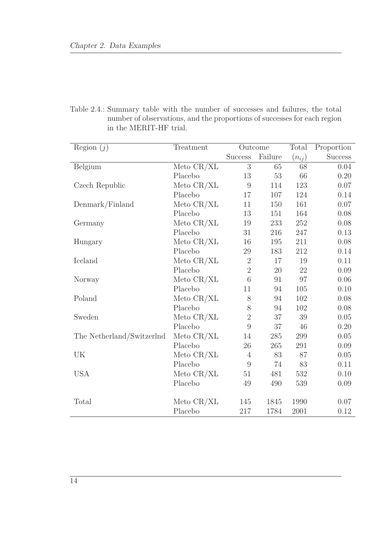<span id="page-27-0"></span>Table 2.4.: Summary table with the number of successes and failures, the total number of observations, and the proportions of successes for each region in the MERIT-HF trial.

| Region $(j)$              | Treatment<br>Outcome |                |         | Total      | Proportion     |
|---------------------------|----------------------|----------------|---------|------------|----------------|
|                           |                      | <b>Success</b> | Failure | $(n_{ij})$ | <b>Success</b> |
| Belgium                   | Meto $CR/XL$         | 3              | 65      | 68         | 0.04           |
|                           | Placebo              | 13             | 53      | 66         | 0.20           |
| Czech Republic            | Meto $CR/XL$         | 9              | 114     | 123        | 0.07           |
|                           | Placebo              | 17             | 107     | 124        | 0.14           |
| Denmark/Finland           | Meto $CR/XL$         | 11             | 150     | 161        | 0.07           |
|                           | Placebo              | 13             | 151     | 164        | 0.08           |
| Germany                   | Meto $CR/XL$         | 19             | 233     | 252        | 0.08           |
|                           | Placebo              | 31             | 216     | 247        | 0.13           |
| Hungary                   | Meto CR/XL           | 16             | 195     | 211        | 0.08           |
|                           | Placebo              | $29\,$         | 183     | 212        | 0.14           |
| Iceland                   | Meto $CR/XL$         | $\overline{2}$ | 17      | 19         | 0.11           |
|                           | Placebo              | $\overline{2}$ | 20      | 22         | 0.09           |
| Norway                    | Meto $CR/XL$         | 6              | 91      | 97         | 0.06           |
|                           | Placebo              | 11             | 94      | 105        | 0.10           |
| Poland                    | Meto $CR/XL$         | 8              | 94      | 102        | 0.08           |
|                           | Placebo              | 8              | 94      | 102        | 0.08           |
| Sweden                    | Meto $CR/XL$         | $\overline{2}$ | 37      | 39         | 0.05           |
|                           | Placebo              | 9              | 37      | 46         | 0.20           |
| The Netherland/Switzerlnd | Meto $CR/XL$         | 14             | 285     | 299        | 0.05           |
|                           | Placebo              | 26             | 265     | 291        | 0.09           |
| UK                        | Meto $CR/XL$         | $\overline{4}$ | 83      | 87         | 0.05           |
|                           | Placebo              | 9              | 74      | 83         | 0.11           |
| <b>USA</b>                | Meto $CR/XL$         | 51             | 481     | 532        | 0.10           |
|                           | Placebo              | 49             | 490     | 539        | 0.09           |
| Total                     | Meto $CR/XL$         | 145            | 1845    | 1990       | 0.07           |
|                           | Placebo              | 217            | 1784    | 2001       | 0.12           |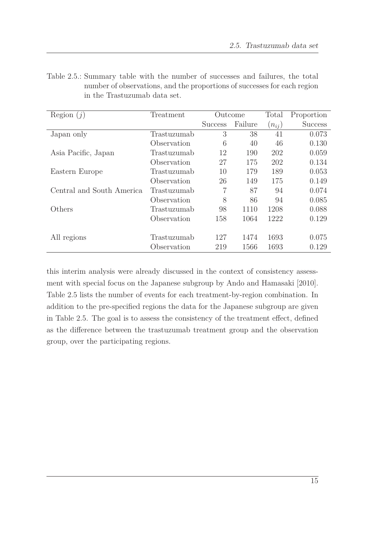| Region $(i)$              | Treatment   | Outcome        |         | Total      | Proportion     |
|---------------------------|-------------|----------------|---------|------------|----------------|
|                           |             | <b>Success</b> | Failure | $(n_{ij})$ | <b>Success</b> |
| Japan only                | Trastuzumab | 3              | 38      | 41         | 0.073          |
|                           | Observation | 6              | 40      | 46         | 0.130          |
| Asia Pacific, Japan       | Trastuzumab | 12             | 190     | 202        | 0.059          |
|                           | Observation | 27             | 175     | 202        | 0.134          |
| Eastern Europe            | Trastuzumab | 10             | 179     | 189        | 0.053          |
|                           | Observation | 26             | 149     | 175        | 0.149          |
| Central and South America | Trastuzumab | 7              | 87      | 94         | 0.074          |
|                           | Observation | 8              | 86      | 94         | 0.085          |
| Others                    | Trastuzumab | 98             | 1110    | 1208       | 0.088          |
|                           | Observation | 158            | 1064    | 1222       | 0.129          |
|                           |             |                |         |            |                |
| All regions               | Trastuzumab | 127            | 1474    | 1693       | 0.075          |
|                           | Observation | 219            | 1566    | 1693       | 0.129          |

<span id="page-28-0"></span>Table 2.5.: Summary table with the number of successes and failures, the total number of observations, and the proportions of successes for each region in the Trastuzumab data set.

this interim analysis were already discussed in the context of consistency assessment with special focus on the Japanese subgroup by [Ando and Hamasaki \[2010\]](#page-102-2). Table [2.5](#page-28-0) lists the number of events for each treatment-by-region combination. In addition to the pre-specified regions the data for the Japanese subgroup are given in Table [2.5.](#page-28-0) The goal is to assess the consistency of the treatment effect, defined as the difference between the trastuzumab treatment group and the observation group, over the participating regions.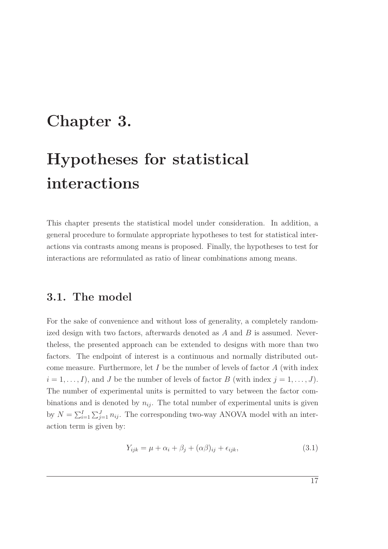## <span id="page-30-0"></span>**Chapter 3.**

# **Hypotheses for statistical interactions**

This chapter presents the statistical model under consideration. In addition, a general procedure to formulate appropriate hypotheses to test for statistical interactions via contrasts among means is proposed. Finally, the hypotheses to test for interactions are reformulated as ratio of linear combinations among means.

#### <span id="page-30-1"></span>**3.1. The model**

For the sake of convenience and without loss of generality, a completely randomized design with two factors, afterwards denoted as *A* and *B* is assumed. Nevertheless, the presented approach can be extended to designs with more than two factors. The endpoint of interest is a continuous and normally distributed outcome measure. Furthermore, let *I* be the number of levels of factor *A* (with index  $i = 1, \ldots, I$ , and *J* be the number of levels of factor *B* (with index  $j = 1, \ldots, J$ ). The number of experimental units is permitted to vary between the factor combinations and is denoted by  $n_{ij}$ . The total number of experimental units is given by  $N = \sum_{i=1}^{I} \sum_{j=1}^{J} n_{ij}$ . The corresponding two-way ANOVA model with an interaction term is given by:

<span id="page-30-2"></span>
$$
Y_{ijk} = \mu + \alpha_i + \beta_j + (\alpha \beta)_{ij} + \epsilon_{ijk}, \qquad (3.1)
$$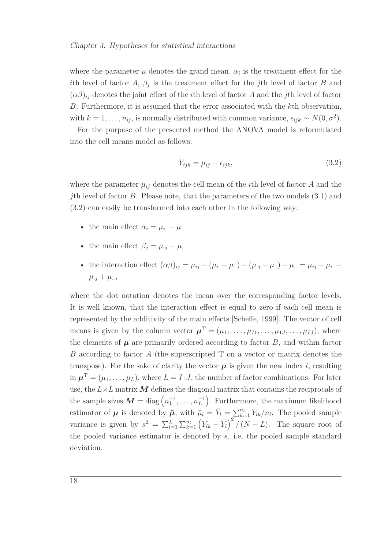where the parameter  $\mu$  denotes the grand mean,  $\alpha_i$  is the treatment effect for the *i*th level of factor *A*,  $\beta_j$  is the treatment effect for the *j*th level of factor *B* and  $(\alpha\beta)_{ij}$  denotes the joint effect of the *i*th level of factor *A* and the *j*th level of factor *B*. Furthermore, it is assumed that the error associated with the *k*th observation, with  $k = 1, \ldots, n_{ij}$ , is normally distributed with common variance,  $\epsilon_{ijk} \sim N(0, \sigma^2)$ .

For the purpose of the presented method the ANOVA model is reformulated into the cell means model as follows:

<span id="page-31-0"></span>
$$
Y_{ijk} = \mu_{ij} + \epsilon_{ijk},\tag{3.2}
$$

where the parameter  $\mu_{ij}$  denotes the cell mean of the *i*th level of factor *A* and the *j*th level of factor *B*. Please note, that the parameters of the two models [\(3.1\)](#page-30-2) and [\(3.2\)](#page-31-0) can easily be transformed into each other in the following way:

- the main effect  $\alpha_i = \mu_i \mu_i$ .
- the main effect  $\beta_i = \mu_{i,j} \mu_{i,j}$
- the interaction effect  $(\alpha \beta)_{ij} = \mu_{ij} (\mu_{i.} \mu_{..}) (\mu_{.j} \mu_{..}) \mu_{..} = \mu_{ij} \mu_{i.} \mu_{ii}$  $\mu_{.j} + \mu_{..}$

where the dot notation denotes the mean over the corresponding factor levels. It is well known, that the interaction effect is equal to zero if each cell mean is represented by the additivity of the main effects [\[Scheffe, 1999\]](#page-108-7). The vector of cell means is given by the column vector  $\boldsymbol{\mu}^{\mathrm{T}} = (\mu_{11}, \dots, \mu_{I1}, \dots, \mu_{1J}, \dots, \mu_{IJ})$ , where the elements of  $\mu$  are primarily ordered according to factor  $B$ , and within factor *B* according to factor *A* (the superscripted T on a vector or matrix denotes the transpose). For the sake of clarity the vector  $\mu$  is given the new index *l*, resulting in  $\boldsymbol{\mu}^{\mathrm{T}} = (\mu_1, \dots, \mu_L)$ , where  $L = I \cdot J$ , the number of factor combinations. For later use, the  $L\times L$  matrix  $M$  defines the diagonal matrix that contains the reciprocals of the sample sizes  $M = \text{diag}(n_1^{-1}, \ldots, n_L^{-1})$ . Furthermore, the maximum likelihood estimator of  $\mu$  is denoted by  $\hat{\mu}$ , with  $\hat{\mu}_l = \bar{Y}_l = \sum_{k=1}^{n_l} Y_{lk} / n_l$ . The pooled sample variance is given by  $s^2 = \sum_{l=1}^L \sum_{k=1}^{n_l} (Y_{lk} - \bar{Y}_l)^2 / (N - L)$ . The square root of the pooled variance estimator is denoted by *s*, i.e, the pooled sample standard deviation.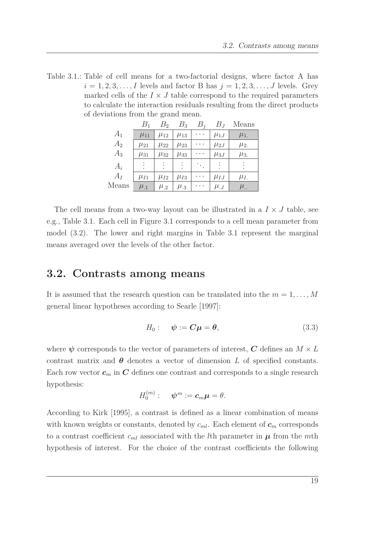<span id="page-32-1"></span>Table 3.1.: Table of cell means for a two-factorial designs, where factor A has  $i = 1, 2, 3, \ldots, I$  levels and factor B has  $j = 1, 2, 3, \ldots, J$  levels. Grey marked cells of the  $I \times J$  table correspond to the required parameters to calculate the interaction residuals resulting from the direct products of deviations from the grand mean.

|                | $B_1$      | B <sub>2</sub> | $B_3$      | $B_i$     | $B_J$          | Means              |
|----------------|------------|----------------|------------|-----------|----------------|--------------------|
| $A_1$          | $\mu_{11}$ | $\mu_{12}$     | $\mu_{13}$ |           | $\mu_{1J}$     | $\mu_{1}$          |
| A <sub>2</sub> | $\mu_{21}$ | $\mu_{22}$     | $\mu_{23}$ |           | $\mu_{2J}$     | $\mu_{2}$          |
| $A_3$          | $\mu_{31}$ | $\mu_{32}$     | $\mu_{33}$ |           | $\mu_{3J}$     | $\mu_{3}$          |
| $A_i$          | $\vdots$   | $\vdots$       | $\vdots$   |           | $\ddot{\cdot}$ |                    |
| $A_I$          | $\mu_{I1}$ | $\mu_{I2}$     | $\mu_{I3}$ | $\ddotsc$ | $\mu_{IJ}$     | $\mu_I$            |
| Means          | $\mu_{.1}$ | $\mu_{.2}$     | $\mu_{.3}$ |           | $\mu_{.J}$     | $\mu_{\cdot\cdot}$ |

The cell means from a two-way layout can be illustrated in a  $I \times J$  table, see e.g., Table [3.1.](#page-32-1) Each cell in Figure [3.1](#page-32-1) corresponds to a cell mean parameter from model [\(3.2\)](#page-31-0). The lower and right margins in Table [3.1](#page-32-1) represent the marginal means averaged over the levels of the other factor.

#### <span id="page-32-0"></span>**3.2. Contrasts among means**

It is assumed that the research question can be translated into the  $m = 1, \ldots, M$ general linear hypotheses according to [Searle \[1997](#page-108-0)]:

$$
H_0: \quad \psi := \mathbf{C}\mu = \mathbf{\theta},\tag{3.3}
$$

where  $\psi$  corresponds to the vector of parameters of interest, *C* defines an  $M \times L$ contrast matrix and  $\theta$  denotes a vector of dimension *L* of specified constants. Each row vector  $c_m$  in C defines one contrast and corresponds to a single research hypothesis:

$$
H_0^{(m)}:\quad \ \ \psi^m:={\boldsymbol c}_m{\boldsymbol \mu}=\theta.
$$

According to [Kirk \[1995](#page-106-3)], a contrast is defined as a linear combination of means with known weights or constants, denoted by  $c_{ml}$ . Each element of  $c_m$  corresponds to a contrast coefficient  $c_{ml}$  associated with the *l*th parameter in  $\mu$  from the *m*th hypothesis of interest. For the choice of the contrast coefficients the following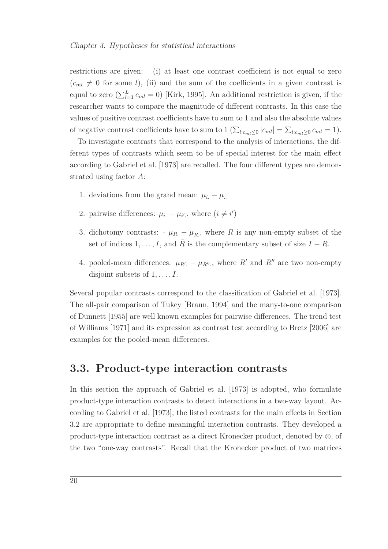restrictions are given: (i) at least one contrast coefficient is not equal to zero  $(c_{ml} \neq 0$  for some *l*), (ii) and the sum of the coefficients in a given contrast is equal to zero  $(\sum_{l=1}^{L} c_{ml} = 0)$  [\[Kirk, 1995\]](#page-106-3). An additional restriction is given, if the researcher wants to compare the magnitude of different contrasts. In this case the values of positive contrast coefficients have to sum to 1 and also the absolute values of negative contrast coefficients have to sum to  $1 (\sum_{l:c_{ml}\leq 0} |c_{ml}| = \sum_{l:c_{ml}\geq 0} c_{ml} = 1).$ 

To investigate contrasts that correspond to the analysis of interactions, the different types of contrasts which seem to be of special interest for the main effect according to [Gabriel et al. \[1973](#page-104-1)] are recalled. The four different types are demonstrated using factor *A*:

- 1. deviations from the grand mean:  $\mu_i \mu_i$ .
- 2. pairwise differences:  $\mu_i \mu_{i'}$ , where  $(i \neq i')$
- 3. dichotomy contrasts:  $-\mu_R \mu_{\bar{R}}$ , where *R* is any non-empty subset of the set of indices  $1, \ldots, I$ , and  $R$  is the complementary subset of size  $I - R$ .
- 4. pooled-mean differences:  $\mu_{R'} \mu_{R''}$ , where  $R'$  and  $R''$  are two non-empty disjoint subsets of 1*, . . . , I*.

Several popular contrasts correspond to the classification of [Gabriel et al. \[1973](#page-104-1)]. The all-pair comparison of Tukey [\[Braun](#page-102-3), [1994\]](#page-102-3) and the many-to-one comparison of [Dunnett \[1955\]](#page-104-3) are well known examples for pairwise differences. The trend test of [Williams \[1971](#page-109-0)] and its expression as contrast test according to [Bretz \[2006](#page-103-3)] are examples for the pooled-mean differences.

#### <span id="page-33-0"></span>**3.3. Product-type interaction contrasts**

In this section the approach of [Gabriel et al. \[1973\]](#page-104-1) is adopted, who formulate product-type interaction contrasts to detect interactions in a two-way layout. According to [Gabriel et al. \[1973](#page-104-1)], the listed contrasts for the main effects in Section [3.2](#page-32-0) are appropriate to define meaningful interaction contrasts. They developed a product-type interaction contrast as a direct Kronecker product, denoted by  $\otimes$ , of the two "one-way contrasts". Recall that the Kronecker product of two matrices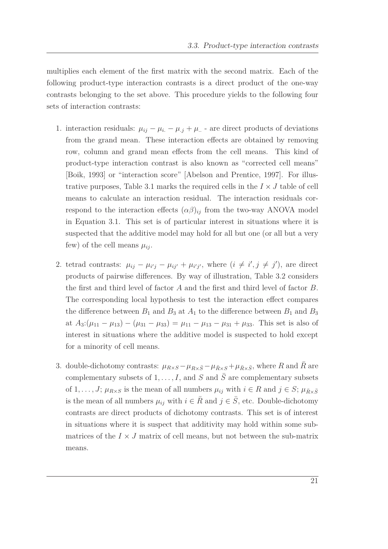multiplies each element of the first matrix with the second matrix. Each of the following product-type interaction contrasts is a direct product of the one-way contrasts belonging to the set above. This procedure yields to the following four sets of interaction contrasts:

- 1. interaction residuals:  $\mu_{ij} \mu_i \mu_j + \mu_k$  are direct products of deviations from the grand mean. These interaction effects are obtained by removing row, column and grand mean effects from the cell means. This kind of product-type interaction contrast is also known as "corrected cell means" [\[Boik, 1993\]](#page-102-4) or "interaction score" [\[Abelson and Prentice, 1997\]](#page-102-5). For illus-trative purposes, Table [3.1](#page-32-1) marks the required cells in the  $I \times J$  table of cell means to calculate an interaction residual. The interaction residuals correspond to the interaction effects  $(\alpha \beta)_{ij}$  from the two-way ANOVA model in Equation [3.1.](#page-30-2) This set is of particular interest in situations where it is suspected that the additive model may hold for all but one (or all but a very few) of the cell means  $\mu_{ij}$ .
- 2. tetrad contrasts:  $\mu_{ij} \mu_{i'j} \mu_{ij'} + \mu_{i'j'}$ , where  $(i \neq i', j \neq j')$ , are direct products of pairwise differences. By way of illustration, Table [3.2](#page-35-0) considers the first and third level of factor *A* and the first and third level of factor *B*. The corresponding local hypothesis to test the interaction effect compares the difference between  $B_1$  and  $B_3$  at  $A_1$  to the difference between  $B_1$  and  $B_3$ at  $A_3: (\mu_{11} - \mu_{13}) - (\mu_{31} - \mu_{33}) = \mu_{11} - \mu_{13} - \mu_{31} + \mu_{33}$ . This set is also of interest in situations where the additive model is suspected to hold except for a minority of cell means.
- 3. double-dichotomy contrasts:  $\mu_{R\times S} \mu_{R\times \bar{S}} \mu_{\bar{R}\times S} + \mu_{\bar{R}\times \bar{S}}$ , where *R* and *R* are complementary subsets of  $1, \ldots, I$ , and *S* and  $\overline{S}$  are complementary subsets of 1, ..., *J*;  $\mu_{R \times S}$  is the mean of all numbers  $\mu_{ij}$  with  $i \in R$  and  $j \in S$ ;  $\mu_{\bar{R} \times \bar{S}}$ is the mean of all numbers  $\mu_{ij}$  with  $i \in \overline{R}$  and  $j \in \overline{S}$ , etc. Double-dichotomy contrasts are direct products of dichotomy contrasts. This set is of interest in situations where it is suspect that additivity may hold within some submatrices of the  $I \times J$  matrix of cell means, but not between the sub-matrix means.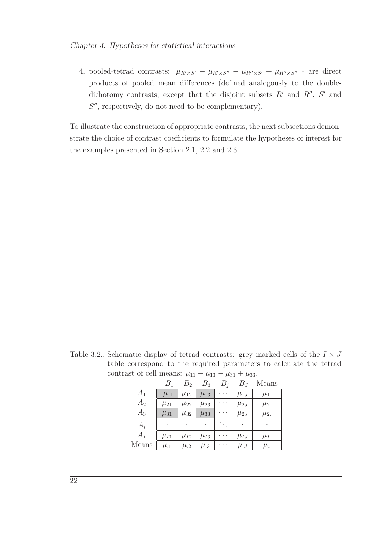4. pooled-tetrad contrasts:  $\mu_{R' \times S'} - \mu_{R' \times S''} - \mu_{R'' \times S'} + \mu_{R'' \times S''}$  - are direct products of pooled mean differences (defined analogously to the doubledichotomy contrasts, except that the disjoint subsets  $R'$  and  $R''$ ,  $S'$  and S'', respectively, do not need to be complementary).

To illustrate the construction of appropriate contrasts, the next subsections demonstrate the choice of contrast coefficients to formulate the hypotheses of interest for the examples presented in Section [2.1,](#page-20-1) [2.2](#page-21-0) and [2.3.](#page-24-0)

<span id="page-35-0"></span>Table 3.2.: Schematic display of tetrad contrasts: grey marked cells of the  $I \times J$ table correspond to the required parameters to calculate the tetrad contrast of cell means:  $\mu_{11} - \mu_{13} - \mu_{31} + \mu_{33}$ .

|       | $B_1$          | $B_2$      | $B_3$          | $B_i$    | $B_J$      | Means              |
|-------|----------------|------------|----------------|----------|------------|--------------------|
| $A_1$ | $\mu_{11}$     | $\mu_{12}$ | $\mu_{13}$     | .        | $\mu_{1J}$ | $\mu_{1}$          |
| $A_2$ | $\mu_{21}$     | $\mu_{22}$ | $\mu_{23}$     |          | $\mu_{2J}$ | $\mu_{2}$          |
| $A_3$ | $\mu_{31}$     | $\mu_{32}$ | $\mu_{33}$     |          | $\mu_{2J}$ | $\mu_{2}$          |
| $A_i$ | $\ddot{\cdot}$ | ÷          | $\ddot{\cdot}$ | <b>A</b> | ÷          |                    |
| $A_I$ | $\mu_{I1}$     | $\mu_{I2}$ | $\mu_{I3}$     | .        | $\mu_{IJ}$ | $\mu_I$ .          |
| Means | $\mu_{.1}$     | $\mu_{.2}$ | $\mu_{.3}$     |          | $\mu_{.J}$ | $\mu_{\cdot\cdot}$ |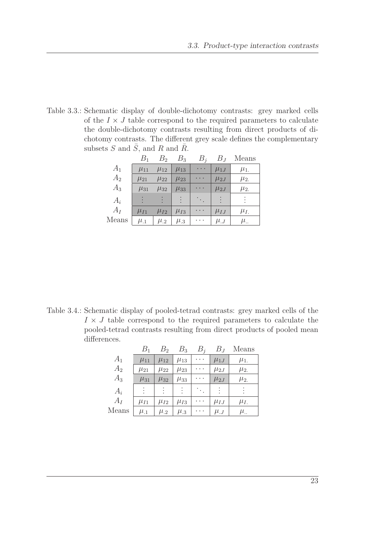Table 3.3.: Schematic display of double-dichotomy contrasts: grey marked cells of the  $I \times J$  table correspond to the required parameters to calculate the double-dichotomy contrasts resulting from direct products of dichotomy contrasts. The different grey scale defines the complementary subsets  $S$  and  $\overline{S}$ , and  $R$  and  $\overline{R}$ .

|       | $B_1$      | B <sub>2</sub> | $B_3$      | $B_i$           | $B_J$      | Means              |
|-------|------------|----------------|------------|-----------------|------------|--------------------|
| $A_1$ | $\mu_{11}$ | $\mu_{12}$     | $\mu_{13}$ | $\cdots$        | $\mu_{1J}$ | $\mu_{1.}$         |
| $A_2$ | $\mu_{21}$ | $\mu_{22}$     | $\mu_{23}$ | $\cdot$ $\cdot$ | $\mu_{2J}$ | $\mu_{2.}$         |
| $A_3$ | $\mu_{31}$ | $\mu_{32}$     | $\mu_{33}$ |                 | $\mu_{2J}$ | $\mu_{2.}$         |
| $A_i$ |            |                |            | ٠.,             |            |                    |
| $A_I$ | $\mu_{I1}$ | $\mu_{I2}$     | $\mu_{I3}$ | .               | $\mu_{IJ}$ | $\mu_I$            |
| Means | $\mu_{.1}$ | $\mu_{.2}$     | $\mu_{.3}$ |                 | $\mu_{.J}$ | $\mu_{\cdot\cdot}$ |

Table 3.4.: Schematic display of pooled-tetrad contrasts: grey marked cells of the  $I \times J$  table correspond to the required parameters to calculate the pooled-tetrad contrasts resulting from direct products of pooled mean differences.

|       | $B_{\rm 1}$    | $B_{2}$    | $B_3$      | $B_i$ | $B_J$      | Means              |
|-------|----------------|------------|------------|-------|------------|--------------------|
| $A_1$ | $\mu_{11}$     | $\mu_{12}$ | $\mu_{13}$ | .     | $\mu_{1J}$ | $\mu_{1.}$         |
| $A_2$ | $\mu_{21}$     | $\mu_{22}$ | $\mu_{23}$ |       | $\mu_{2J}$ | $\mu_{2.}$         |
| $A_3$ | $\mu_{31}$     | $\mu_{32}$ | $\mu_{33}$ |       | $\mu_{2J}$ | $\mu_{2}$          |
| $A_i$ | $\ddot{\cdot}$ | $\bullet$  | ÷          |       |            |                    |
| $A_I$ | $\mu_{I1}$     | $\mu_{I2}$ | $\mu_{I3}$ | .     | $\mu_{IJ}$ | $\mu_I$            |
| Means | $\mu_{.1}$     | $\mu_{.2}$ | $\mu_{.3}$ |       | $\mu_{.J}$ | $\mu_{\cdot\cdot}$ |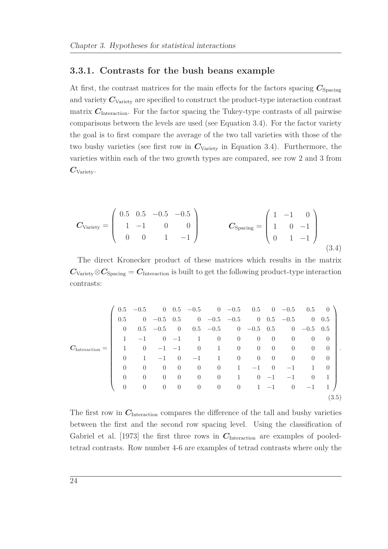#### **3.3.1. Contrasts for the bush beans example**

At first, the contrast matrices for the main effects for the factors spacing  $C_{\text{S pacing}}$ and variety  $C_{\text{Variety}}$  are specified to construct the product-type interaction contrast matrix  $C_{\text{Interaction}}$ . For the factor spacing the Tukey-type contrasts of all pairwise comparisons between the levels are used (see Equation [3.4\)](#page-37-0). For the factor variety the goal is to first compare the average of the two tall varieties with those of the two bushy varieties (see first row in  $C_{\text{Variety}}$  in Equation [3.4\)](#page-37-0). Furthermore, the varieties within each of the two growth types are compared, see row 2 and 3 from *C*Variety.

<span id="page-37-0"></span>
$$
\boldsymbol{C}_{\text{Variety}} = \begin{pmatrix} 0.5 & 0.5 & -0.5 & -0.5 \\ 1 & -1 & 0 & 0 \\ 0 & 0 & 1 & -1 \end{pmatrix} \qquad \boldsymbol{C}_{\text{Spacing}} = \begin{pmatrix} 1 & -1 & 0 \\ 1 & 0 & -1 \\ 0 & 1 & -1 \end{pmatrix} \tag{3.4}
$$

The direct Kronecker product of these matrices which results in the matrix  $C_{\text{Variety}} \otimes C_{\text{Spacing}} = C_{\text{Interaction}}$  is built to get the following product-type interaction contrasts:

|                          |                  | $0.5 -0.5$ |                |                   | $0 \t 0.5 \t -0.5 \t 0 \t -0.5 \t 0.5 \t 0 \t -0.5 \t 0.5 \t 0$ |                                        |                |                |                |                |                |                  |   |
|--------------------------|------------------|------------|----------------|-------------------|-----------------------------------------------------------------|----------------------------------------|----------------|----------------|----------------|----------------|----------------|------------------|---|
|                          | 0.5              |            | $0 -0.5 0.5$   |                   | $0 \t -0.5 \t -0.5 \t 0 \t 0.5 \t -0.5$                         |                                        |                |                |                |                |                | $0\quad 0.5$     |   |
|                          | $\left( \right)$ | 0.5        | $-0.5$         | $\hspace{0.6cm}0$ |                                                                 | $0.5$ $-0.5$ 0 $-0.5$ 0.5 0 $-0.5$ 0.5 |                |                |                |                |                |                  |   |
|                          |                  | $-1$       | $\overline{0}$ | $-1$              | 1                                                               | $\overline{0}$                         | $\overline{0}$ | $\overline{0}$ | $\overline{0}$ | $\theta$       | $\theta$       | $\theta$         |   |
| $C_{\text{Interaction}}$ |                  | $\theta$   | $-1$           | $-1$              | $\overline{0}$                                                  | $\mathbf{1}$                           | $\overline{0}$ | $\overline{0}$ | $\overline{0}$ | $\overline{0}$ | $\overline{0}$ | $\theta$         | ٠ |
|                          | $\Omega$         | 1          | $-1$           | $\overline{0}$    | $-1$                                                            | $\mathbf{1}$                           | $\overline{0}$ | $\overline{0}$ | $\overline{0}$ | $\overline{0}$ | $\overline{0}$ | $\left( \right)$ |   |
|                          | $\Omega$         | $\Omega$   | $\theta$       | $\theta$          | $\theta$                                                        | $\overline{0}$                         | 1              | $-1$           | $\overline{0}$ | $-1$           | $\mathbf{1}$   | $\Omega$         |   |
|                          | $\Omega$         | $\Omega$   | $\theta$       | $\theta$          | $\theta$                                                        | $\overline{0}$                         | 1              | $\Omega$       | $-1$           |                | $\Omega$       |                  |   |
|                          | $\theta$         | $\theta$   | $\theta$       | $\overline{0}$    | $\overline{0}$                                                  | $\overline{0}$                         | $\overline{0}$ |                | $1 - 1$        | $\overline{0}$ | $-1$           |                  |   |
|                          |                  |            |                |                   |                                                                 |                                        |                |                |                |                |                | (3.5)            |   |

The first row in  $C_{\text{Interaction}}$  compares the difference of the tall and bushy varieties between the first and the second row spacing level. Using the classification of [Gabriel et al. \[1973](#page-104-0)] the first three rows in  $C_{\text{Interaction}}$  are examples of pooledtetrad contrasts. Row number 4-6 are examples of tetrad contrasts where only the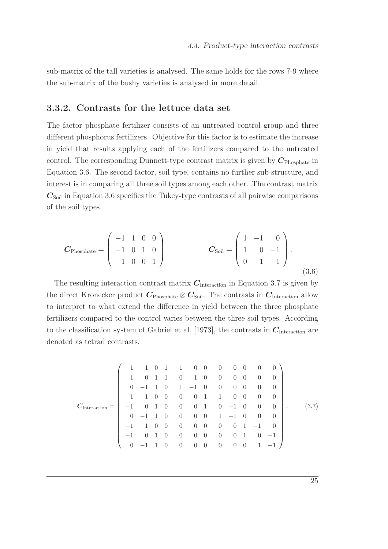sub-matrix of the tall varieties is analysed. The same holds for the rows 7-9 where the sub-matrix of the bushy varieties is analysed in more detail.

### **3.3.2. Contrasts for the lettuce data set**

The factor phosphate fertilizer consists of an untreated control group and three different phosphorus fertilizers. Objective for this factor is to estimate the increase in yield that results applying each of the fertilizers compared to the untreated control. The corresponding Dunnett-type contrast matrix is given by  $C_{\text{Phosphate}}$  in Equation [3.6.](#page-38-0) The second factor, soil type, contains no further sub-structure, and interest is in comparing all three soil types among each other. The contrast matrix  $C_{\text{Soil}}$  in Equation [3.6](#page-38-0) specifies the Tukey-type contrasts of all pairwise comparisons of the soil types.

<span id="page-38-0"></span>
$$
C_{\text{Phosphate}} = \begin{pmatrix} -1 & 1 & 0 & 0 \\ -1 & 0 & 1 & 0 \\ -1 & 0 & 0 & 1 \end{pmatrix} \qquad C_{\text{Soil}} = \begin{pmatrix} 1 & -1 & 0 \\ 1 & 0 & -1 \\ 0 & 1 & -1 \end{pmatrix}.
$$
\n(3.6)

The resulting interaction contrast matrix  $C_{\text{Interaction}}$  in Equation [3.7](#page-38-1) is given by the direct Kronecker product  $C_{\text{Phosphate}} \otimes C_{\text{Soil}}$ . The contrasts in  $C_{\text{Interaction}}$  allow to interpret to what extend the difference in yield between the three phosphate fertilizers compared to the control varies between the three soil types. According to the classification system of [Gabriel et al. \[1973](#page-104-0)], the contrasts in  $C_{\text{Interaction}}$  are denoted as tetrad contrasts.

<span id="page-38-1"></span>
$$
C_{\text{Interaction}} = \begin{pmatrix}\n-1 & 1 & 0 & 1 & -1 & 0 & 0 & 0 & 0 & 0 & 0 & 0 \\
-1 & 0 & 1 & 1 & 0 & -1 & 0 & 0 & 0 & 0 & 0 & 0 \\
0 & -1 & 1 & 0 & 1 & -1 & 0 & 0 & 0 & 0 & 0 & 0 \\
-1 & 1 & 0 & 0 & 0 & 0 & 1 & -1 & 0 & 0 & 0 & 0 \\
-1 & 0 & 1 & 0 & 0 & 0 & 1 & 0 & -1 & 0 & 0 & 0 \\
0 & -1 & 1 & 0 & 0 & 0 & 0 & 1 & -1 & 0 & 0 & 0 \\
-1 & 0 & 1 & 0 & 0 & 0 & 0 & 0 & 0 & 1 & 0 & -1 \\
0 & -1 & 1 & 0 & 0 & 0 & 0 & 0 & 0 & 0 & 1 & -1\n\end{pmatrix}.
$$
\n(3.7)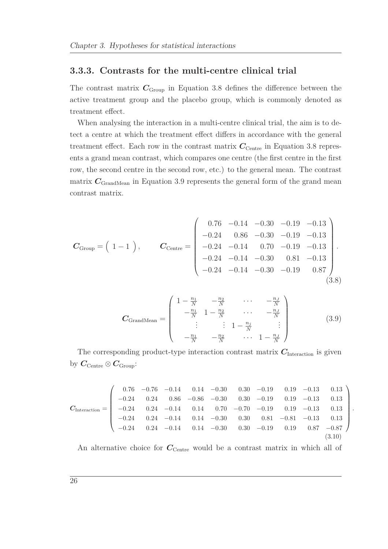#### **3.3.3. Contrasts for the multi-centre clinical trial**

The contrast matrix  $C_{Group}$  in Equation [3.8](#page-39-0) defines the difference between the active treatment group and the placebo group, which is commonly denoted as treatment effect.

When analysing the interaction in a multi-centre clinical trial, the aim is to detect a centre at which the treatment effect differs in accordance with the general treatment effect. Each row in the contrast matrix  $C_{\text{Centre}}$  in Equation [3.8](#page-39-0) represents a grand mean contrast, which compares one centre (the first centre in the first row, the second centre in the second row, etc.) to the general mean. The contrast matrix  $C_{\text{GrandMean}}$  in Equation [3.9](#page-39-1) represents the general form of the grand mean contrast matrix.

<span id="page-39-1"></span><span id="page-39-0"></span>
$$
\boldsymbol{C}_{\text{Group}} = \begin{pmatrix} 1-1 \end{pmatrix}, \qquad \boldsymbol{C}_{\text{Centre}} = \begin{pmatrix} 0.76 & -0.14 & -0.30 & -0.19 & -0.13 \\ -0.24 & 0.86 & -0.30 & -0.19 & -0.13 \\ -0.24 & -0.14 & 0.70 & -0.19 & -0.13 \\ -0.24 & -0.14 & -0.30 & 0.81 & -0.13 \\ -0.24 & -0.14 & -0.30 & -0.19 & 0.87 \\ \end{pmatrix} . \tag{3.8}
$$

$$
\mathbf{C}_{\text{GrandMean}} = \begin{pmatrix} 1 - \frac{n_1}{N} & -\frac{n_2}{N} & \cdots & -\frac{n_J}{N} \\ -\frac{n_1}{N} & 1 - \frac{n_2}{N} & \cdots & -\frac{n_J}{N} \\ \vdots & \vdots & 1 - \frac{n_j}{N} & \vdots \\ -\frac{n_1}{N} & -\frac{n_2}{N} & \cdots & 1 - \frac{n_J}{N} \end{pmatrix}
$$
 (3.9)

*.*

The corresponding product-type interaction contrast matrix  $C_{\text{Interaction}}$  is given by  $C$ <sub>Centre</sub> ⊗  $C$ <sub>Group</sub>:

$$
\boldsymbol{C}_{\text{Interaction}} = \begin{pmatrix}\n0.76 & -0.76 & -0.14 & 0.14 & -0.30 & 0.30 & -0.19 & 0.19 & -0.13 & 0.13 \\
-0.24 & 0.24 & 0.86 & -0.86 & -0.30 & 0.30 & -0.19 & 0.19 & -0.13 & 0.13 \\
-0.24 & 0.24 & -0.14 & 0.14 & 0.70 & -0.70 & -0.19 & 0.19 & -0.13 & 0.13 \\
-0.24 & 0.24 & -0.14 & 0.14 & -0.30 & 0.30 & 0.81 & -0.81 & -0.13 & 0.13 \\
-0.24 & 0.24 & -0.14 & 0.14 & -0.30 & 0.30 & -0.19 & 0.19 & 0.87 & -0.87 \\
\end{pmatrix}
$$
\n
$$
(3.10)
$$

An alternative choice for  $C_{\text{Centre}}$  would be a contrast matrix in which all of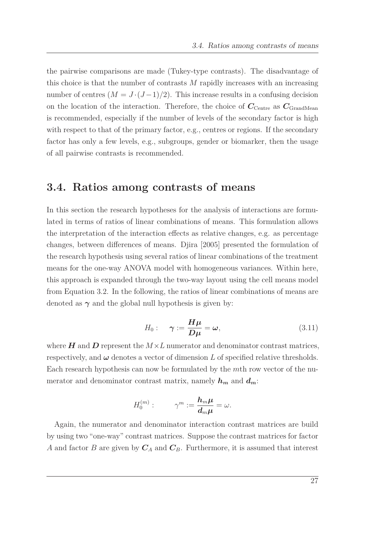the pairwise comparisons are made (Tukey-type contrasts). The disadvantage of this choice is that the number of contrasts *M* rapidly increases with an increasing number of centres  $(M = J \cdot (J-1)/2)$ . This increase results in a confusing decision on the location of the interaction. Therefore, the choice of  $C_{\text{Centre}}$  as  $C_{\text{GrandMean}}$ is recommended, especially if the number of levels of the secondary factor is high with respect to that of the primary factor, e.g., centres or regions. If the secondary factor has only a few levels, e.g., subgroups, gender or biomarker, then the usage of all pairwise contrasts is recommended.

### <span id="page-40-0"></span>**3.4. Ratios among contrasts of means**

In this section the research hypotheses for the analysis of interactions are formulated in terms of ratios of linear combinations of means. This formulation allows the interpretation of the interaction effects as relative changes, e.g. as percentage changes, between differences of means. [Djira \[2005](#page-104-1)] presented the formulation of the research hypothesis using several ratios of linear combinations of the treatment means for the one-way ANOVA model with homogeneous variances. Within here, this approach is expanded through the two-way layout using the cell means model from Equation [3.2.](#page-31-0) In the following, the ratios of linear combinations of means are denoted as  $\gamma$  and the global null hypothesis is given by:

$$
H_0: \quad \gamma := \frac{H\mu}{D\mu} = \omega,
$$
\n(3.11)

<span id="page-40-1"></span>where  $H$  and  $D$  represent the  $M \times L$  numerator and denominator contrast matrices, respectively, and  $\omega$  denotes a vector of dimension  $L$  of specified relative thresholds. Each research hypothesis can now be formulated by the *m*th row vector of the numerator and denominator contrast matrix, namely  $h_m$  and  $d_m$ :

$$
H_0^{(m)}: \qquad \gamma^m:=\frac{\bm h_m\bm\mu}{\bm d_m\bm\mu}=\omega.
$$

Again, the numerator and denominator interaction contrast matrices are build by using two "one-way" contrast matrices. Suppose the contrast matrices for factor *A* and factor *B* are given by *C<sup>A</sup>* and *CB*. Furthermore, it is assumed that interest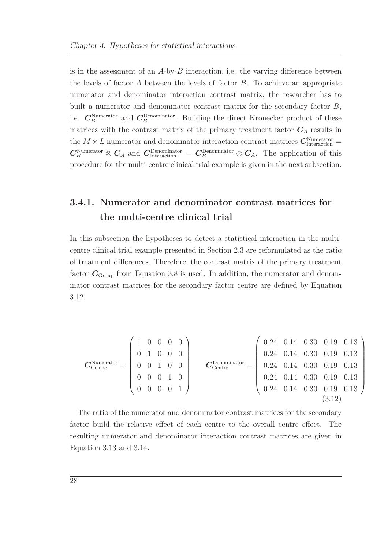is in the assessment of an *A*-by-*B* interaction, i.e. the varying difference between the levels of factor *A* between the levels of factor *B*. To achieve an appropriate numerator and denominator interaction contrast matrix, the researcher has to built a numerator and denominator contrast matrix for the secondary factor *B*, i.e.  $C_B^{\text{Numerator}}$  and  $C_B^{\text{Denominator}}$ . Building the direct Kronecker product of these matrices with the contrast matrix of the primary treatment factor  $C_A$  results in the  $M \times L$  numerator and denominator interaction contrast matrices  $\mathbf{C}_{\text{Interaction}}^{\text{Numerator}} =$  $C_B^{\text{Numerator}} \otimes C_A$  and  $C_{\text{Interaction}}^{\text{Denominator}} = C_B^{\text{Denominator}} \otimes C_A$ . The application of this procedure for the multi-centre clinical trial example is given in the next subsection.

### **3.4.1. Numerator and denominator contrast matrices for the multi-centre clinical trial**

In this subsection the hypotheses to detect a statistical interaction in the multicentre clinical trial example presented in Section [2.3](#page-24-0) are reformulated as the ratio of treatment differences. Therefore, the contrast matrix of the primary treatment factor  $C_{\text{Group}}$  from Equation [3.8](#page-39-0) is used. In addition, the numerator and denominator contrast matrices for the secondary factor centre are defined by Equation [3.12.](#page-41-0)

<span id="page-41-0"></span>
$$
\boldsymbol{C}_{\text{Centre}}^{\text{Numerator}} = \begin{pmatrix} 1 & 0 & 0 & 0 & 0 \\ 0 & 1 & 0 & 0 & 0 \\ 0 & 0 & 1 & 0 & 0 \\ 0 & 0 & 0 & 1 & 0 \\ 0 & 0 & 0 & 0 & 1 \end{pmatrix} \qquad \boldsymbol{C}_{\text{Centre}}^{\text{Denominator}} = \begin{pmatrix} 0.24 & 0.14 & 0.30 & 0.19 & 0.13 \\ 0.24 & 0.14 & 0.30 & 0.19 & 0.13 \\ 0.24 & 0.14 & 0.30 & 0.19 & 0.13 \\ 0.24 & 0.14 & 0.30 & 0.19 & 0.13 \\ 0.24 & 0.14 & 0.30 & 0.19 & 0.13 \end{pmatrix}
$$
(3.12)

The ratio of the numerator and denominator contrast matrices for the secondary factor build the relative effect of each centre to the overall centre effect. The resulting numerator and denominator interaction contrast matrices are given in Equation [3.13](#page-42-0) and [3.14.](#page-42-1)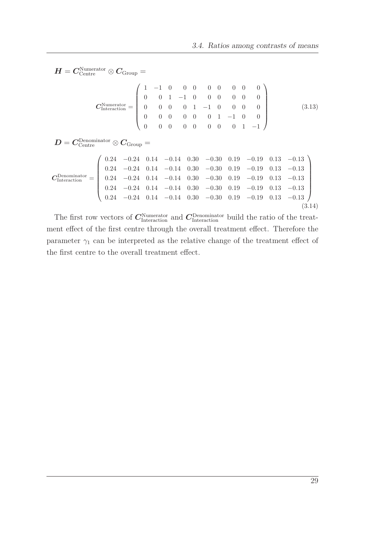$\boldsymbol{H} = \boldsymbol{C}_{\text{Centre}}^{\text{Numerator}} \otimes \boldsymbol{C}_{\text{Group}} =$ 

<span id="page-42-1"></span><span id="page-42-0"></span>
$$
\mathbf{C}_{\text{Interaction}}^{\text{Numerator}} = \begin{pmatrix} 1 & -1 & 0 & 0 & 0 & 0 & 0 & 0 & 0 & 0 \\ 0 & 0 & 1 & -1 & 0 & 0 & 0 & 0 & 0 & 0 \\ 0 & 0 & 0 & 0 & 1 & -1 & 0 & 0 & 0 & 0 \\ 0 & 0 & 0 & 0 & 0 & 0 & 1 & -1 & 0 & 0 \\ 0 & 0 & 0 & 0 & 0 & 0 & 0 & 1 & -1 \end{pmatrix}
$$
(3.13)

 $\boldsymbol{D} = \boldsymbol{C}^\text{Denominator}_{\text{Centre}} \otimes \boldsymbol{C}_{\text{Group}} =$ 

$$
\mathbf{C}_{\text{Interaction}}^{\text{Denominator}} = \left(\begin{array}{cccccccc} 0.24 & -0.24 & 0.14 & -0.14 & 0.30 & -0.30 & 0.19 & -0.19 & 0.13 & -0.13 \\ 0.24 & -0.24 & 0.14 & -0.14 & 0.30 & -0.30 & 0.19 & -0.19 & 0.13 & -0.13 \\ 0.24 & -0.24 & 0.14 & -0.14 & 0.30 & -0.30 & 0.19 & -0.19 & 0.13 & -0.13 \\ 0.24 & -0.24 & 0.14 & -0.14 & 0.30 & -0.30 & 0.19 & -0.19 & 0.13 & -0.13 \\ 0.24 & -0.24 & 0.14 & -0.14 & 0.30 & -0.30 & 0.19 & -0.19 & 0.13 & -0.13 \\ \end{array}\right) \tag{3.14}
$$

The first row vectors of  $C_{\text{Interaction}}^{\text{Numerator}}$  and  $C_{\text{Interaction}}^{\text{Denominator}}$  build the ratio of the treatment effect of the first centre through the overall treatment effect. Therefore the parameter  $\gamma_1$  can be interpreted as the relative change of the treatment effect of the first centre to the overall treatment effect.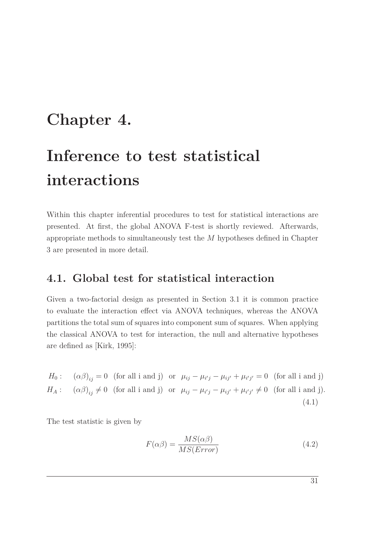## **Chapter 4.**

# **Inference to test statistical interactions**

Within this chapter inferential procedures to test for statistical interactions are presented. At first, the global ANOVA F-test is shortly reviewed. Afterwards, appropriate methods to simultaneously test the *M* hypotheses defined in Chapter [3](#page-30-0) are presented in more detail.

### **4.1. Global test for statistical interaction**

Given a two-factorial design as presented in Section [3.1](#page-30-1) it is common practice to evaluate the interaction effect via ANOVA techniques, whereas the ANOVA partitions the total sum of squares into component sum of squares. When applying the classical ANOVA to test for interaction, the null and alternative hypotheses are defined as [\[Kirk, 1995\]](#page-106-0):

*H*<sub>0</sub>:  $(\alpha\beta)_{ij} = 0$  (for all i and j) or  $\mu_{ij} - \mu_{i'j} - \mu_{ij'} + \mu_{i'j'} = 0$  (for all i and j)  $H_A: (\alpha \beta)_{ij} \neq 0$  (for all i and j) or  $\mu_{ij} - \mu_{i'j} - \mu_{ij'} + \mu_{i'j'} \neq 0$  (for all i and j). (4.1)

The test statistic is given by

$$
F(\alpha \beta) = \frac{MS(\alpha \beta)}{MS(Error)}
$$
\n(4.2)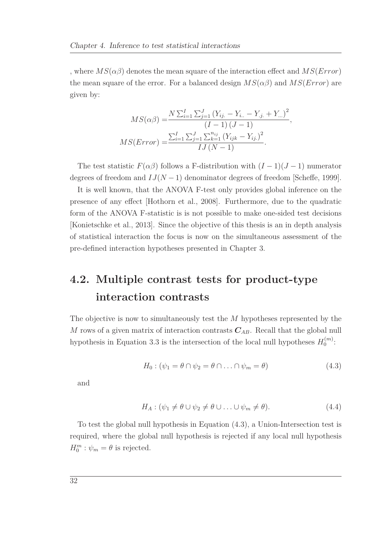, where  $MS(\alpha\beta)$  denotes the mean square of the interaction effect and  $MS(Error)$ the mean square of the error. For a balanced design  $MS(\alpha\beta)$  and  $MS(Error)$  are given by:

$$
MS(\alpha\beta) = \frac{N \sum_{i=1}^{I} \sum_{j=1}^{J} (Y_{ij.} - Y_{i..} - Y_{.j.} + Y_{...})^2}{(I - 1) (J - 1)},
$$
  

$$
MS(Error) = \frac{\sum_{i=1}^{I} \sum_{j=1}^{J} \sum_{k=1}^{n_{ij}} (Y_{ijk} - Y_{ij.})^2}{IJ (N - 1)}.
$$

The test statistic  $F(\alpha\beta)$  follows a F-distribution with  $(I-1)(J-1)$  numerator degrees of freedom and *IJ*(*N* − 1) denominator degrees of freedom [\[Scheffe](#page-108-0), [1999](#page-108-0)].

It is well known, that the ANOVA F-test only provides global inference on the presence of any effect [\[Hothorn et al.](#page-105-0), [2008](#page-105-0)]. Furthermore, due to the quadratic form of the ANOVA F-statistic is is not possible to make one-sided test decisions [\[Konietschke et al., 2013](#page-106-1)]. Since the objective of this thesis is an in depth analysis of statistical interaction the focus is now on the simultaneous assessment of the pre-defined interaction hypotheses presented in Chapter [3.](#page-30-0)

## <span id="page-45-1"></span>**4.2. Multiple contrast tests for product-type interaction contrasts**

<span id="page-45-0"></span>The objective is now to simultaneously test the *M* hypotheses represented by the *M* rows of a given matrix of interaction contrasts *CAB*. Recall that the global null hypothesis in Equation [3.3](#page-32-0) is the intersection of the local null hypotheses  $H_0^{(m)}$  $\overset{(m)}{0}$ :

$$
H_0: (\psi_1 = \theta \cap \psi_2 = \theta \cap \ldots \cap \psi_m = \theta)
$$
\n
$$
(4.3)
$$

and

$$
H_A: (\psi_1 \neq \theta \cup \psi_2 \neq \theta \cup \ldots \cup \psi_m \neq \theta). \tag{4.4}
$$

To test the global null hypothesis in Equation [\(4.3\)](#page-45-0), a Union-Intersection test is required, where the global null hypothesis is rejected if any local null hypothesis  $H_0^m$ :  $\psi_m = \theta$  is rejected.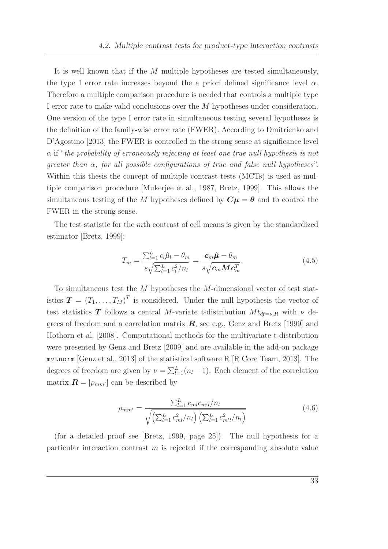It is well known that if the *M* multiple hypotheses are tested simultaneously, the type I error rate increases beyond the a priori defined significance level  $\alpha$ . Therefore a multiple comparison procedure is needed that controls a multiple type I error rate to make valid conclusions over the *M* hypotheses under consideration. One version of the type I error rate in simultaneous testing several hypotheses is the definiti[on of the family-wise error rate \(FWER\). According](#page-104-2) to Dmitrienko and D'Agostino [\[2013](#page-104-2)] the FWER is controlled in the strong sense at significance level *α* if "*the probability of erroneously rejecting at least one true null hypothesis is not greater than α, for all possible configurations of true and false null hypotheses*". Within this thesis the concept of multiple contrast tests (MCTs) is used as multiple comparison procedure [\[Mukerjee et al.](#page-107-0), [1987,](#page-107-0) [Bretz](#page-103-0), [1999](#page-103-0)]. This allows the simultaneous testing of the *M* hypotheses defined by  $C\mu = \theta$  and to control the FWER in the strong sense.

The test statistic for the *m*th contrast of cell means is given by the standardized estimator [\[Bretz, 1999](#page-103-0)]:

<span id="page-46-0"></span>
$$
T_m = \frac{\sum_{l=1}^{L} c_l \hat{\mu}_l - \theta_m}{s \sqrt{\sum_{l=1}^{L} c_l^2 / n_l}} = \frac{\mathbf{c}_m \hat{\boldsymbol{\mu}} - \theta_m}{s \sqrt{\mathbf{c}_m \mathbf{M} \mathbf{c}_m^T}}.
$$
(4.5)

To simultaneous test the *M* hypotheses the *M*-dimensional vector of test statistics  $\boldsymbol{T} = (T_1, \ldots, T_M)^T$  is considered. Under the null hypothesis the vector of test statistics **T** follows a central *M*-variate t-distribution  $Mt_{df=v,R}$  with  $\nu$  degrees of freedom and a correlation matrix  $R$ , see e.g., [Genz and Bretz \[1999\]](#page-104-3) and [Hothorn et al. \[2008](#page-105-0)]. Computational methods for the multivariate t-distribution were presented by [Genz and Bretz \[2009\]](#page-105-1) and are available in the add-on package mvtnorm [\[Genz et al.](#page-105-2), [2013](#page-105-2)] of the statistical software R [\[R Core Team](#page-107-1), [2013](#page-107-1)]. The degrees of freedom are given by  $\nu = \sum_{l=1}^{L} (n_l - 1)$ . Each element of the correlation matrix  $\mathbf{R} = [\rho_{mm'}]$  can be described by

$$
\rho_{mm'} = \frac{\sum_{l=1}^{L} c_{ml} c_{m'l}/n_l}{\sqrt{\left(\sum_{l=1}^{L} c_{ml}^2 / n_l\right) \left(\sum_{l=1}^{L} c_{m'l}^2 / n_l\right)}}
$$
(4.6)

(for a detailed proof see [\[Bretz, 1999](#page-103-0), page 25]). The null hypothesis for a particular interaction contrast *m* is rejected if the corresponding absolute value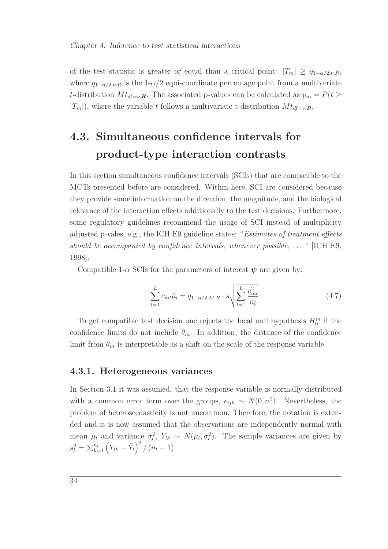of the test statistic is greater or equal than a critical point:  $|T_m| \ge q_{1-\alpha/2,\nu,R}$ , where  $q_{1-\alpha/2,\nu,R}$  is the 1- $\alpha/2$  equi-coordinate percentage point from a multivariate *t*-distribution  $Mt_{df=v,R}$ . The associated p-values can be calculated as  $p_m = P(t \geq$  $|T_m|$ , where the variable *t* follows a multivariate t-distribution  $Mt_{df=v,R}$ .

## **4.3. Simultaneous confidence intervals for product-type interaction contrasts**

In this section simultaneous confidence intervals (SCIs) that are compatible to the MCTs presented before are considered. Within here, SCI are considered because they provide some information on the direction, the magnitude, and the biological relevance of the interaction effects additionally to the test decisions. Furthermore, some regulatory guidelines recommend the usage of SCI instead of multiplicity adjusted p-vales, e.g., the ICH E9 guideline states: "*Estimates of treatment effects should be accompanied by confidence intervals, whenever possible, . . .* " [\[ICH E9,](#page-105-3) [1998\]](#page-105-3).

Compatible 1- $\alpha$  SCIs for the parameters of interest  $\psi$  are given by:

$$
\sum_{l=1}^{L} c_{ml} \hat{\mu}_l \pm q_{1-\alpha/2,M,R} \cdot s \sqrt{\sum_{l=1}^{L} \frac{c_{ml}^2}{n_l}}.
$$
\n(4.7)

To get compatible test decision one rejects the local null hypothesis  $H_0^m$  if the confidence limits do not include  $\theta_m$ . In addition, the distance of the confidence limit from  $\theta_m$  is interpretable as a shift on the scale of the response variable.

### **4.3.1. Heterogeneous variances**

In Section [3.1](#page-30-1) it was assumed, that the response variable is normally distributed with a common error term over the groups,  $\epsilon_{ijk} \sim N(0, \sigma^2)$ . Nevertheless, the problem of heteroscedasticity is not uncommon. Therefore, the notation is extended and it is now assumed that the observations are independently normal with mean  $\mu_l$  and variance  $\sigma_l^2$ ,  $Y_{lk} \sim N(\mu_l, \sigma_l^2)$ . The sample variances are given by  $s_l^2 = \sum_{k=1}^{n_l} (Y_{lk} - \bar{Y}_l)^2 / (n_l - 1).$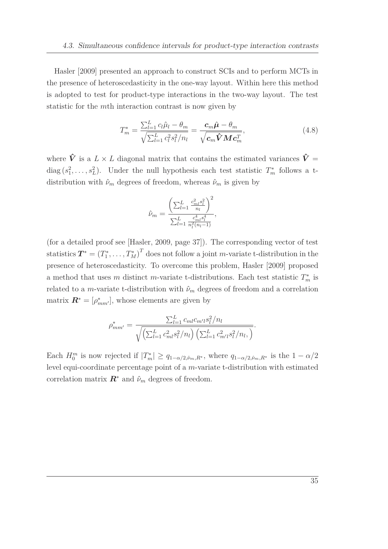Hasler [\[2009\]](#page-105-4) presented an approach to construct SCIs and to perform MCTs in the presence of heteroscedasticity in the one-way layout. Within here this method is adopted to test for product-type interactions in the two-way layout. The test statistic for the *m*th interaction contrast is now given by

$$
T_m^* = \frac{\sum_{l=1}^L c_l \hat{\mu}_l - \theta_m}{\sqrt{\sum_{l=1}^L c_l^2 s_l^2 / n_l}} = \frac{c_m \hat{\mu} - \theta_m}{\sqrt{c_m \hat{\mathbf{V}} M c_m^T}},
$$
(4.8)

where  $\hat{V}$  is a  $L \times L$  diagonal matrix that contains the estimated variances  $\hat{V}$  = diag  $(s_1^2, \ldots, s_L^2)$ . Under the null hypothesis each test statistic  $T_m^*$  follows a tdistribution with  $\hat{\nu}_m$  degrees of freedom, whereas  $\hat{\nu}_m$  is given by

$$
\hat{\nu}_m = \frac{\left(\sum_{l=1}^L \frac{c_{ml}^2 s_l^2}{n_l}\right)^2}{\sum_{l=1}^L \frac{c_{ml}^4 s_l^4}{n_l^2 (n_l - 1)}},
$$

(for a detailed proof see [\[Hasler](#page-105-4), [2009](#page-105-4), page 37]). The corresponding vector of test statistics  $T^* = (T_1^*, \ldots, T_M^*)^T$  does not follow a joint *m*-variate t-distribution in the presence of heteroscedasticity. To overcome this problem, [Hasler \[2009\]](#page-105-4) proposed a method that uses *m* distinct *m*-variate t-distributions. Each test statistic  $T_m^*$  is related to a *m*-variate t-distribution with  $\hat{\nu}_m$  degrees of freedom and a correlation matrix  $\mathbf{R}^* = [\rho_{mm'}^*]$ , whose elements are given by

$$
\rho_{mm'}^* = \frac{\sum_{l=1}^L c_{ml} c_{m'l} s_l^2 / n_l}{\sqrt{\left(\sum_{l=1}^L c_{ml}^2 s_l^2 / n_l\right) \left(\sum_{l=1}^L c_{m'l}^2 s_l^2 / n_l, \right)}}.
$$

Each  $H_0^m$  is now rejected if  $|T_m^*| \ge q_{1-\alpha/2,\hat{\nu}_m,R^*}$ , where  $q_{1-\alpha/2,\hat{\nu}_m,R^*}$  is the  $1-\alpha/2$ level equi-coordinate percentage point of a *m*-variate t-distribution with estimated correlation matrix  $\mathbf{R}^*$  and  $\hat{\nu}_m$  degrees of freedom.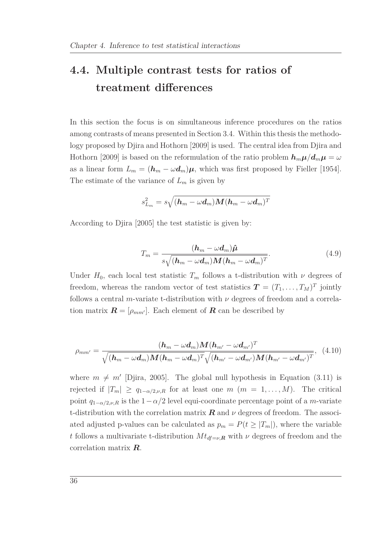## <span id="page-49-1"></span>**4.4. Multiple contrast tests for ratios of treatment differences**

In this section the focus is on simultaneous inference procedures on the ratios among contrasts of means presented in Section [3.4.](#page-40-0) Within this thesis the methodology pro[posed by Djira and Hothorn \[2009\] is used. The central idea from](#page-104-4) Djira and Hothorn [\[2009](#page-104-4)] is based on the reformulation of the ratio problem  $h_m \mu / d_m \mu = \omega$ as a linear form  $L_m = (h_m - \omega d_m)\mu$ , which was first proposed by [Fieller \[1954](#page-104-5)]. The estimate of the variance of *L<sup>m</sup>* is given by

$$
s_{L_m}^2 = s\sqrt{(\boldsymbol{h}_{m}-\omega \boldsymbol{d}_{m})\boldsymbol{M} (\boldsymbol{h}_{m}-\omega \boldsymbol{d}_{m})^T}
$$

<span id="page-49-2"></span>According to [Djira \[2005](#page-104-1)] the test statistic is given by:

$$
T_m = \frac{(\boldsymbol{h}_m - \omega \boldsymbol{d}_m)\boldsymbol{\hat{\mu}}}{s\sqrt{(\boldsymbol{h}_m - \omega \boldsymbol{d}_m)\boldsymbol{M}(\boldsymbol{h}_m - \omega \boldsymbol{d}_m)^T}}.
$$
(4.9)

<span id="page-49-0"></span>Under  $H_0$ , each local test statistic  $T_m$  follows a t-distribution with  $\nu$  degrees of freedom, whereas the random vector of test statistics  $\boldsymbol{T} = (T_1, \ldots, T_M)^T$  jointly follows a central *m*-variate t-distribution with  $\nu$  degrees of freedom and a correlation matrix  $\mathbf{R} = [\rho_{mm'}]$ . Each element of  $\mathbf{R}$  can be described by

$$
\rho_{mm'} = \frac{(\boldsymbol{h}_m - \omega \boldsymbol{d}_m) \boldsymbol{M} (\boldsymbol{h}_{m'} - \omega \boldsymbol{d}_{m'})^T}{\sqrt{(\boldsymbol{h}_m - \omega \boldsymbol{d}_m) \boldsymbol{M} (\boldsymbol{h}_m - \omega \boldsymbol{d}_m)^T} \sqrt{(\boldsymbol{h}_{m'} - \omega \boldsymbol{d}_{m'}) \boldsymbol{M} (\boldsymbol{h}_{m'} - \omega \boldsymbol{d}_{m'})^T}},
$$
(4.10)

where  $m \neq m'$  [\[Djira, 2005\]](#page-104-1). The global null hypothesis in Equation [\(3.11\)](#page-40-1) is rejected if  $|T_m| \ge q_{1-\alpha/2,\nu,R}$  for at least one  $m$   $(m = 1,\ldots,M)$ . The critical point  $q_{1-\alpha/2,\nu,R}$  is the  $1-\alpha/2$  level equi-coordinate percentage point of a *m*-variate t-distribution with the correlation matrix  $\boldsymbol{R}$  and  $\nu$  degrees of freedom. The associated adjusted p-values can be calculated as  $p_m = P(t \geq |T_m|)$ , where the variable *t* follows a multivariate t-distribution  $Mt_{df=v,R}$  with  $\nu$  degrees of freedom and the correlation matrix *R*.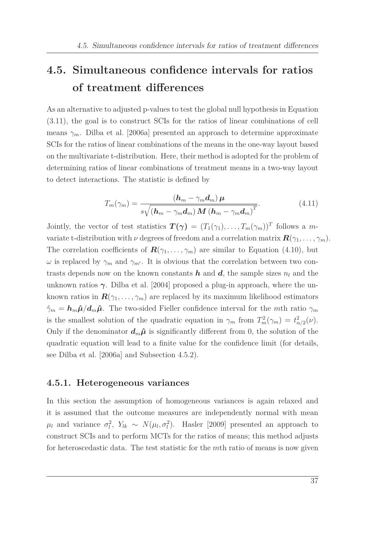## <span id="page-50-0"></span>**4.5. Simultaneous confidence intervals for ratios of treatment differences**

As an alternative to adjusted p-values to test the global null hypothesis in Equation [\(3.11\)](#page-40-1), the goal is to construct SCIs for the ratios of linear combinations of cell means  $\gamma_m$ . [Dilba et al. \[2006a\]](#page-103-1) presented an approach to determine approximate SCIs for the ratios of linear combinations of the means in the one-way layout based on the multivariate t-distribution. Here, their method is adopted for the problem of determining ratios of linear combinations of treatment means in a two-way layout to detect interactions. The statistic is defined by

$$
T_m(\gamma_m) = \frac{(\boldsymbol{h}_m - \gamma_m \boldsymbol{d}_m) \boldsymbol{\mu}}{s \sqrt{(\boldsymbol{h}_m - \gamma_m \boldsymbol{d}_m) \boldsymbol{M} (\boldsymbol{h}_m - \gamma_m \boldsymbol{d}_m)^T}}.
$$
(4.11)

Jointly, the vector of test statistics  $T(\gamma) = (T_1(\gamma_1), \ldots, T_m(\gamma_m))^T$  follows a mvariate t-distribution with  $\nu$  degrees of freedom and a correlation matrix  $\mathbf{R}(\gamma_1, \ldots, \gamma_m)$ . The correlation coefficients of  $\mathbf{R}(\gamma_1, \ldots, \gamma_m)$  are similar to Equation [\(4.10\)](#page-49-0), but *ω* is replaced by  $γ<sub>m</sub>$  and  $γ<sub>m'</sub>$ . It is obvious that the correlation between two contrasts depends now on the known constants  $h$  and  $d$ , the sample sizes  $n_l$  and the unknown ratios  $\gamma$ . [Dilba et al. \[2004](#page-103-2)] proposed a plug-in approach, where the unknown ratios in  $\mathbf{R}(\gamma_1, \ldots, \gamma_m)$  are replaced by its maximum likelihood estimators  $\hat{\gamma}_m = h_m \hat{\mu} / d_m \hat{\mu}$ . The two-sided Fieller confidence interval for the *m*th ratio  $\gamma_m$ is the smallest solution of the quadratic equation in  $\gamma_m$  from  $T_m^2(\gamma_m) = t_{\alpha/2}^2(\nu)$ . Only if the denominator  $d_m \hat{\mu}$  is significantly different from 0, the solution of the quadratic equation will lead to a finite value for the confidence limit (for details, see [Dilba et al. \[2006a](#page-103-1)] and Subsection [4.5.2\)](#page-51-0).

#### **4.5.1. Heterogeneous variances**

In this section the assumption of homogeneous variances is again relaxed and it is assumed that the outcome measures are independently normal with mean  $\mu_l$  and variance  $\sigma_l^2$ ,  $Y_{lk} \sim N(\mu_l, \sigma_l^2)$ . [Hasler \[2009\]](#page-105-4) presented an approach to construct SCIs and to perform MCTs for the ratios of means; this method adjusts for heteroscedastic data. The test statistic for the *m*th ratio of means is now given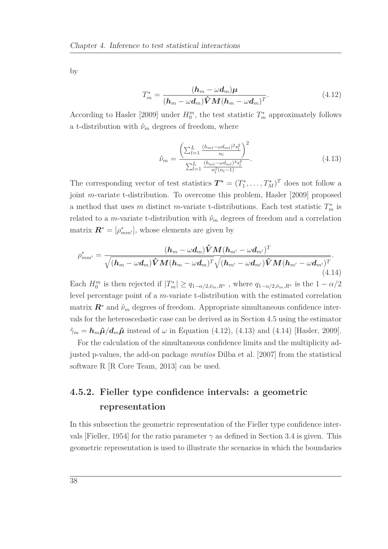<span id="page-51-1"></span>by

$$
T_m^* = \frac{(\boldsymbol{h}_m - \omega \boldsymbol{d}_m)\boldsymbol{\mu}}{(\boldsymbol{h}_m - \omega \boldsymbol{d}_m)\hat{\boldsymbol{V}}\boldsymbol{M}(\boldsymbol{h}_m - \omega \boldsymbol{d}_m)^T}.
$$
(4.12)

<span id="page-51-2"></span>According to [Hasler \[2009\]](#page-105-4) under  $H_0^m$ , the test statistic  $T_m^*$  approximately follows a t-distribution with  $\hat{\nu}_m$  degrees of freedom, where

<span id="page-51-3"></span>
$$
\hat{\nu}_m = \frac{\left(\sum_{l=1}^L \frac{(h_{ml} - \omega d_{ml})^2 s_l^2}{n_l}\right)^2}{\sum_{l=1}^L \frac{(h_{ml} - \omega d_{ml})^4 s_l^4}{n_l^2 (n_l - 1)}}.
$$
\n(4.13)

The corresponding vector of test statistics  $T^* = (T_1^*, \ldots, T_M^*)^T$  does not follow a joint *m*-variate t-distribution. To overcome this problem, [Hasler \[2009](#page-105-4)] proposed a method that uses *m* distinct *m*-variate t-distributions. Each test statistic  $T_m^*$  is related to a *m*-variate t-distribution with  $\hat{\nu}_m$  degrees of freedom and a correlation matrix  $\mathbf{R}^* = [\rho^*_{mm'}]$ , whose elements are given by

$$
\rho_{mm'}^*=\frac{(\boldsymbol{h}_m-\omega \boldsymbol{d}_m)\hat{\boldsymbol{V}}\boldsymbol{M} (\boldsymbol{h}_{m'}-\omega \boldsymbol{d}_{m'})^T}{\sqrt{(\boldsymbol{h}_m-\omega \boldsymbol{d}_m)\hat{\boldsymbol{V}}\boldsymbol{M} (\boldsymbol{h}_m-\omega \boldsymbol{d}_m)^T}\sqrt{(\boldsymbol{h}_{m'}-\omega \boldsymbol{d}_{m'})\hat{\boldsymbol{V}}\boldsymbol{M} (\boldsymbol{h}_{m'}-\omega \boldsymbol{d}_{m'})^T}}.(4.14)
$$

Each  $H_0^m$  is then rejected if  $|T_m^*| \ge q_{1-\alpha/2,\hat{\nu}_m,R^*}$ , where  $q_{1-\alpha/2,\hat{\nu}_m,R^*}$  is the  $1-\alpha/2$ level percentage point of a *m*-variate t-distribution with the estimated correlation matrix  $\mathbf{R}^*$  and  $\hat{\nu}_m$  degrees of freedom. Appropriate simultaneous confidence intervals for the heteroscedastic case can be derived as in Section [4.5](#page-50-0) using the estimator  $\hat{\gamma}_m = \hbar_m \hat{\mu} / d_m \hat{\mu}$  instead of  $\omega$  in Equation [\(4.12\)](#page-51-1), [\(4.13\)](#page-51-2) and [\(4.14\)](#page-51-3) [\[Hasler, 2009](#page-105-4)].

For the calculation of the simultaneous confidence limits and the multiplicity adjusted p-values, the add-on package *mratios* [Dilba et al. \[2007\]](#page-103-3) from the statistical software R [\[R Core Team, 2013](#page-107-1)] can be used.

### <span id="page-51-0"></span>**4.5.2. Fieller type confidence intervals: a geometric representation**

In this subsection the geometric representation of the Fieller type confidence inter-vals [\[Fieller](#page-104-5), [1954](#page-104-5)] for the ratio parameter  $\gamma$  as defined in Section [3.4](#page-40-0) is given. This geometric representation is used to illustrate the scenarios in which the boundaries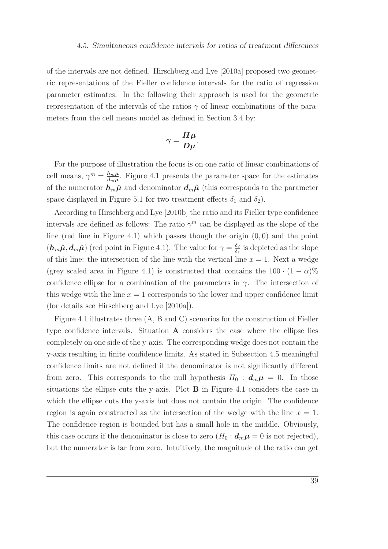of the intervals are not defined. [Hirschberg and Lye \[2010a\]](#page-105-5) proposed two geometric representations of the Fieller confidence intervals for the ratio of regression parameter estimates. In the following their approach is used for the geometric representation of the intervals of the ratios  $\gamma$  of linear combinations of the parameters from the cell means model as defined in Section [3.4](#page-40-0) by:

$$
\gamma = \frac{H\mu}{D\mu}.
$$

For the purpose of illustration the focus is on one ratio of linear combinations of cell means,  $\gamma^m = \frac{h_m \mu}{d_m \mu}$  $\frac{h_m\mu}{d_m\mu}$ . Figure [4.1](#page-53-0) presents the parameter space for the estimates of the numerator  $h_m \hat{\mu}$  and denominator  $d_m \hat{\mu}$  (this corresponds to the parameter space displayed in Figure [5.1](#page-60-0) for two treatment effects  $\delta_1$  and  $\delta_2$ ).

According to [Hirschberg and Lye \[2010b\]](#page-105-6) the ratio and its Fieller type confidence intervals are defined as follows: The ratio  $\gamma^m$  can be displayed as the slope of the line (red line in Figure [4.1\)](#page-53-0) which passes though the origin (0*,* 0) and the point  $(h_m\hat{\mu}, d_m\hat{\mu})$  (red point in Figure [4.1\)](#page-53-0). The value for  $\gamma = \frac{\delta_2}{\delta_1}$  $\frac{\delta_2}{\delta_1}$  is depicted as the slope of this line: the intersection of the line with the vertical line  $x = 1$ . Next a wedge (grey scaled area in Figure [4.1\)](#page-53-0) is constructed that contains the  $100 \cdot (1 - \alpha)\%$ confidence ellipse for a combination of the parameters in  $\gamma$ . The intersection of this wedge with the line  $x = 1$  corresponds to the lower and upper confidence limit (for details see [Hirschberg and Lye \[2010a](#page-105-5)]).

Figure [4.1](#page-53-0) illustrates three (A, B and C) scenarios for the construction of Fieller type confidence intervals. Situation **A** considers the case where the ellipse lies completely on one side of the y-axis. The corresponding wedge does not contain the y-axis resulting in finite confidence limits. As stated in Subsection [4.5](#page-50-0) meaningful confidence limits are not defined if the denominator is not significantly different from zero. This corresponds to the null hypothesis  $H_0: d_m \mu = 0$ . In those situations the ellipse cuts the y-axis. Plot **B** in Figure [4.1](#page-53-0) considers the case in which the ellipse cuts the y-axis but does not contain the origin. The confidence region is again constructed as the intersection of the wedge with the line *x* = 1. The confidence region is bounded but has a small hole in the middle. Obviously, this case occurs if the denominator is close to zero  $(H_0: d_m \mu = 0$  is not rejected), but the numerator is far from zero. Intuitively, the magnitude of the ratio can get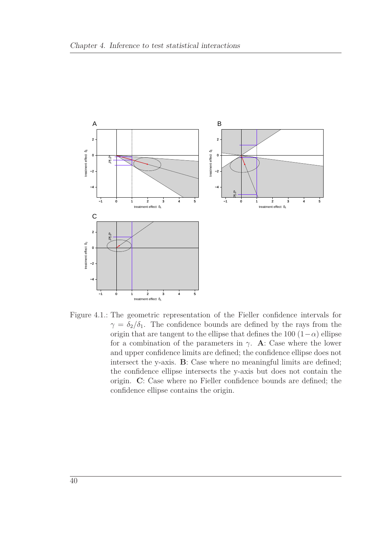<span id="page-53-0"></span>

Figure 4.1.: The geometric representation of the Fieller confidence intervals for  $\gamma = \delta_2/\delta_1$ . The confidence bounds are defined by the rays from the origin that are tangent to the ellipse that defines the 100  $(1-\alpha)$  ellipse for a combination of the parameters in  $\gamma$ . **A**: Case where the lower and upper confidence limits are defined; the confidence ellipse does not intersect the y-axis. **B**: Case where no meaningful limits are defined; the confidence ellipse intersects the y-axis but does not contain the origin. **C**: Case where no Fieller confidence bounds are defined; the confidence ellipse contains the origin.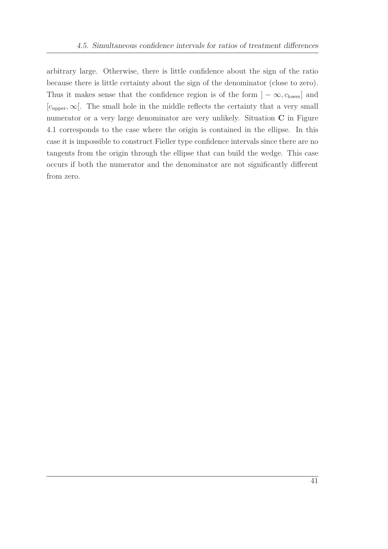arbitrary large. Otherwise, there is little confidence about the sign of the ratio because there is little certainty about the sign of the denominator (close to zero). Thus it makes sense that the confidence region is of the form  $] - \infty$ *, c*<sub>lower</sub>] and [*c*upper*,*∞[. The small hole in the middle reflects the certainty that a very small numerator or a very large denominator are very unlikely. Situation **C** in Figure [4.1](#page-53-0) corresponds to the case where the origin is contained in the ellipse. In this case it is impossible to construct Fieller type confidence intervals since there are no tangents from the origin through the ellipse that can build the wedge. This case occurs if both the numerator and the denominator are not significantly different from zero.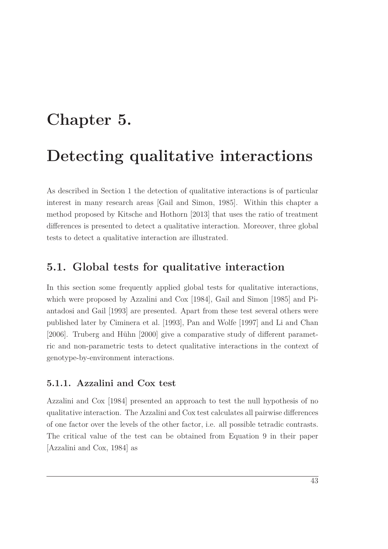## <span id="page-56-0"></span>**Chapter 5.**

## **Detecting qualitative interactions**

As described in Section [1](#page-14-0) the detection of qualitative interactions is of particular interest in many research areas [\[Gail and Simon](#page-104-6), [1985](#page-104-6)]. Within this chapter a method proposed by [Kitsche and Hothorn \[2013](#page-106-2)] that uses the ratio of treatment differences is presented to detect a qualitative interaction. Moreover, three global tests to detect a qualitative interaction are illustrated.

### **5.1. Global tests for qualitative interaction**

In this section some frequently applied global tests for qualitative interactions, which were prop[osed by](#page-107-2) [Azzalini and Cox \[1984\]](#page-102-0)[,](#page-107-2) [Gail and Simon \[1985](#page-104-6)[\] and](#page-107-2) Piantadosi and Gail [\[1993\]](#page-107-2) are presented. Apart from these test several others were published later by [Ciminera et al. \[1993\]](#page-103-4), [Pan and Wolfe \[1997](#page-107-3)] and [Li and Chan](#page-106-3) [\[2006](#page-106-3)]. [Truberg and Hühn \[2000](#page-108-1)] give a comparative study of different parametric and non-parametric tests to detect qualitative interactions in the context of genotype-by-environment interactions.

### **5.1.1. Azzalini and Cox test**

Azzalini and Cox [\[1984\]](#page-102-0) presented an approach to test the null hypothesis of no qualitative interaction. The Azzalini and Cox test calculates all pairwise differences of one factor over the levels of the other factor, i.e. all possible tetradic contrasts. The critical value of the test can be obtained from Equation 9 in their paper [\[Azzalini and Cox, 1984](#page-102-0)] as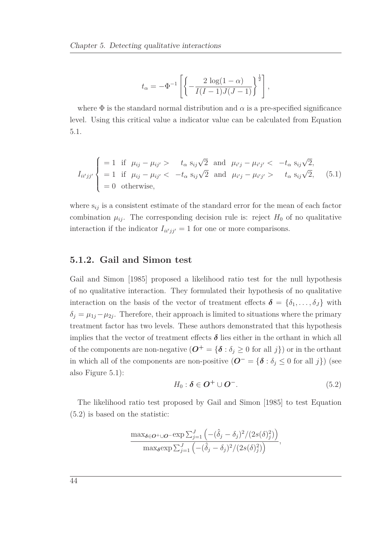$$
t_{\alpha} = -\Phi^{-1} \left[ \left\{ -\frac{2 \log(1-\alpha)}{I(I-1)J(J-1)} \right\}^{\frac{1}{2}} \right],
$$

<span id="page-57-0"></span>where  $\Phi$  is the standard normal distribution and  $\alpha$  is a pre-specified significance level. Using this critical value a indicator value can be calculated from Equation [5.1.](#page-57-0)

$$
I_{ii'jj'}\begin{cases}\n=1 & \text{if } \mu_{ij} - \mu_{ij'} > t_\alpha \ s_{ij}\sqrt{2} \text{ and } \mu_{i'j} - \mu_{i'j'} < -t_\alpha \ s_{ij}\sqrt{2}, \\
=1 & \text{if } \mu_{ij} - \mu_{ij'} < -t_\alpha \ s_{ij}\sqrt{2} \text{ and } \mu_{i'j} - \mu_{i'j'} > t_\alpha \ s_{ij}\sqrt{2}, \\
=0 & \text{otherwise,} \n\end{cases}
$$
\n(5.1)

where s*ij* is a consistent estimate of the standard error for the mean of each factor combination  $\mu_{ij}$ . The corresponding decision rule is: reject  $H_0$  of no qualitative interaction if the indicator  $I_{ii'jj'} = 1$  for one or more comparisons.

#### **5.1.2. Gail and Simon test**

Gail and Simon [\[1985\]](#page-104-6) proposed a likelihood ratio test for the null hypothesis of no qualitative interaction. They formulated their hypothesis of no qualitative interaction on the basis of the vector of treatment effects  $\boldsymbol{\delta} = {\delta_1, \ldots, \delta_J}$  with  $\delta_j = \mu_{1j} - \mu_{2j}$ . Therefore, their approach is limited to situations where the primary treatment factor has two levels. These authors demonstrated that this hypothesis implies that the vector of treatment effects  $\delta$  lies either in the orthant in which all of the components are non-negative  $(\mathbf{O}^+ = {\delta : \delta_j \geq 0 \text{ for all } j})$  or in the orthant in which all of the components are non-positive  $(O^- = {\{\delta : \delta_j \leq 0 \text{ for all } j\}})$  (see also Figure [5.1\)](#page-60-0):

<span id="page-57-1"></span>
$$
H_0: \delta \in \mathbf{O}^+ \cup \mathbf{O}^-.
$$
 (5.2)

The likelihood ratio test proposed by [Gail and Simon \[1985\]](#page-104-6) to test Equation [\(5.2\)](#page-57-1) is based on the statistic:

$$
\frac{\max_{\delta \in \mathbf{O}^+\cup\mathbf{O}^-} \exp \sum_{j=1}^J \left( -(\hat{\delta}_j - \delta_j)^2 / (2s(\delta)_j^2) \right)}{\max_{\delta} \exp \sum_{j=1}^J \left( -(\hat{\delta}_j - \delta_j)^2 / (2s(\delta)_j^2) \right)},
$$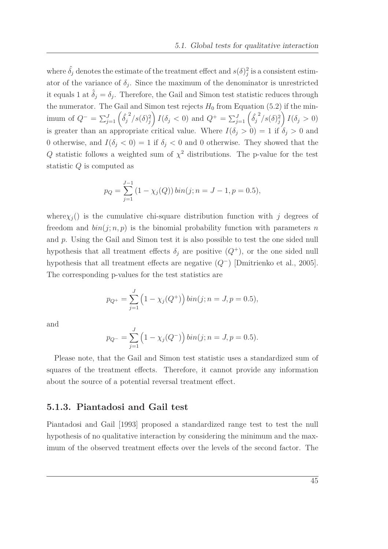where  $\hat{\delta}_j$  denotes the estimate of the treatment effect and  $s(\delta)^2_j$  is a consistent estimator of the variance of  $\delta_j$ . Since the maximum of the denominator is unrestricted it equals 1 at  $\hat{\delta}_j = \delta_j$ . Therefore, the Gail and Simon test statistic reduces through the numerator. The Gail and Simon test rejects  $H_0$  from Equation [\(5.2\)](#page-57-1) if the minimum of  $Q^{-} = \sum_{j=1}^{J} \left( \hat{\delta}_j^2 / s(\delta)_j^2 \right)$  $I(\delta_j < 0)$  and  $Q^+ = \sum_{j=1}^J \left(\hat{\delta}_j^2 / s(\delta) \right)^2$  $\int I(\delta_j > 0)$ is greater than an appropriate critical value. Where  $I(\delta_j > 0) = 1$  if  $\delta_j > 0$  and 0 otherwise, and  $I(\delta_j < 0) = 1$  if  $\delta_j < 0$  and 0 otherwise. They showed that the *Q* statistic follows a weighted sum of  $\chi^2$  distributions. The p-value for the test statistic *Q* is computed as

$$
p_Q = \sum_{j=1}^{J-1} (1 - \chi_j(Q)) \, \text{bin}(j; n = J - 1, p = 0.5),
$$

where $\chi_j$ <sup>()</sup> is the cumulative chi-square distribution function with *j* degrees of freedom and  $\frac{bin(j; n, p)}{p}$  is the binomial probability function with parameters *n* and *p*. Using the Gail and Simon test it is also possible to test the one sided null hypothesis that all treatment effects  $\delta_j$  are positive  $(Q^+)$ , or the one sided null hypothesis that all treatment effects are negative (*Q*<sup>−</sup>) [\[Dmitrienko et al., 2005\]](#page-104-7). The corresponding p-values for the test statistics are

$$
p_{Q^+} = \sum_{j=1}^{J} \left(1 - \chi_j(Q^+)\right) \text{bin}(j; n = J, p = 0.5),
$$

and

$$
p_{Q^-} = \sum_{j=1}^J \left(1 - \chi_j(Q^-)\right) \text{bin}(j; n = J, p = 0.5).
$$

Please note, that the Gail and Simon test statistic uses a standardized sum of squares of the treatment effects. Therefore, it cannot provide any information about the source of a potential reversal treatment effect.

### **5.1.3. Piantadosi and Gail test**

Piantadosi and Gail [\[1993](#page-107-2)] proposed a standardized range test to test the null hypothesis of no qualitative interaction by considering the minimum and the maximum of the observed treatment effects over the levels of the second factor. The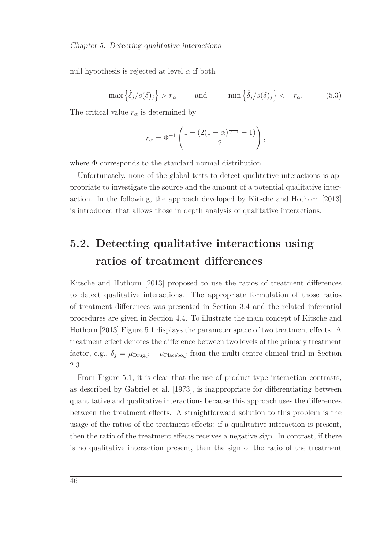null hypothesis is rejected at level  $\alpha$  if both

$$
\max\left\{\hat{\delta}_j/s(\delta)_j\right\} > r_\alpha \quad \text{and} \quad \min\left\{\hat{\delta}_j/s(\delta)_j\right\} < -r_\alpha. \quad (5.3)
$$

The critical value  $r_\alpha$  is determined by

$$
r_{\alpha} = \Phi^{-1} \left( \frac{1 - (2(1 - \alpha)^{\frac{1}{J-1}} - 1)}{2} \right),
$$

where Φ corresponds to the standard normal distribution.

Unfortunately, none of the global tests to detect qualitative interactions is appropriate to investigate the source and the amount of a potential qualitative interaction. In the following, the approach developed by [Kitsche and Hothorn \[2013\]](#page-106-2) is introduced that allows those in depth analysis of qualitative interactions.

### **5.2. Detecting qualitative interactions using ratios of treatment differences**

Kitsche and Hothorn [\[2013\]](#page-106-2) proposed to use the ratios of treatment differences to detect qualitative interactions. The appropriate formulation of those ratios of treatment differences was presented in Section [3.4](#page-40-0) and the related inferential procedu[res are given in Section](#page-106-2) [4.4.](#page-49-1) [To illustrate the main concept of](#page-106-2) Kitsche and Hothorn [\[2013](#page-106-2)] Figure [5.1](#page-60-0) displays the parameter space of two treatment effects. A treatment effect denotes the difference between two levels of the primary treatment factor, e.g.,  $\delta_i = \mu_{\text{Drug},i} - \mu_{\text{Placebo},j}$  from the multi-centre clinical trial in Section [2.3.](#page-24-0)

From Figure [5.1,](#page-60-0) it is clear that the use of product-type interaction contrasts, as described by [Gabriel et al. \[1973](#page-104-0)], is inappropriate for differentiating between quantitative and qualitative interactions because this approach uses the differences between the treatment effects. A straightforward solution to this problem is the usage of the ratios of the treatment effects: if a qualitative interaction is present, then the ratio of the treatment effects receives a negative sign. In contrast, if there is no qualitative interaction present, then the sign of the ratio of the treatment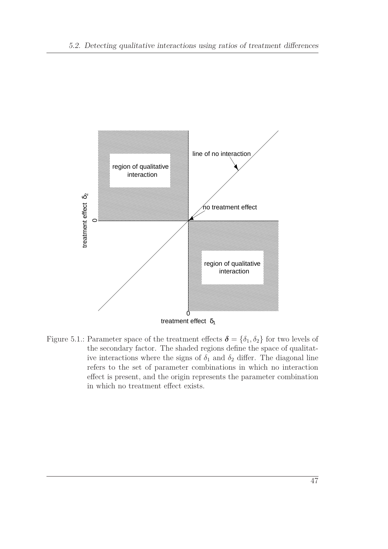<span id="page-60-0"></span>

Figure 5.1.: Parameter space of the treatment effects  $\boldsymbol{\delta} = {\delta_1, \delta_2}$  for two levels of the secondary factor. The shaded regions define the space of qualitative interactions where the signs of  $\delta_1$  and  $\delta_2$  differ. The diagonal line refers to the set of parameter combinations in which no interaction effect is present, and the origin represents the parameter combination in which no treatment effect exists.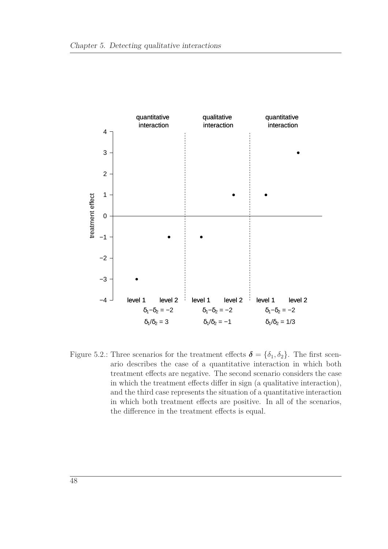<span id="page-61-0"></span>

Figure 5.2.: Three scenarios for the treatment effects  $\boldsymbol{\delta} = {\delta_1, \delta_2}$ . The first scenario describes the case of a quantitative interaction in which both treatment effects are negative. The second scenario considers the case in which the treatment effects differ in sign (a qualitative interaction), and the third case represents the situation of a quantitative interaction in which both treatment effects are positive. In all of the scenarios, the difference in the treatment effects is equal.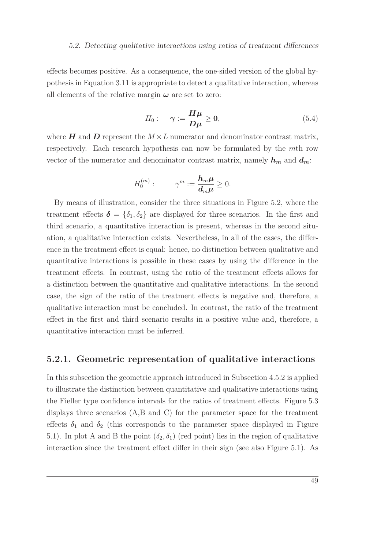effects becomes positive. As a consequence, the one-sided version of the global hypothesis in Equation [3.11](#page-40-1) is appropriate to detect a qualitative interaction, whereas all elements of the relative margin  $\omega$  are set to zero:

$$
H_0: \quad \gamma := \frac{H\mu}{D\mu} \ge 0,\tag{5.4}
$$

where  $H$  and  $D$  represent the  $M \times L$  numerator and denominator contrast matrix, respectively. Each research hypothesis can now be formulated by the *m*th row vector of the numerator and denominator contrast matrix, namely  $h_m$  and  $d_m$ :

$$
H_0^{(m)}:\qquad \gamma^m:=\frac{\mathbf{h}_m\boldsymbol{\mu}}{\mathbf{d}_m\boldsymbol{\mu}}\geq 0.
$$

By means of illustration, consider the three situations in Figure [5.2,](#page-61-0) where the treatment effects  $\delta = {\delta_1, \delta_2}$  are displayed for three scenarios. In the first and third scenario, a quantitative interaction is present, whereas in the second situation, a qualitative interaction exists. Nevertheless, in all of the cases, the difference in the treatment effect is equal: hence, no distinction between qualitative and quantitative interactions is possible in these cases by using the difference in the treatment effects. In contrast, using the ratio of the treatment effects allows for a distinction between the quantitative and qualitative interactions. In the second case, the sign of the ratio of the treatment effects is negative and, therefore, a qualitative interaction must be concluded. In contrast, the ratio of the treatment effect in the first and third scenario results in a positive value and, therefore, a quantitative interaction must be inferred.

#### **5.2.1. Geometric representation of qualitative interactions**

In this subsection the geometric approach introduced in Subsection [4.5.2](#page-51-0) is applied to illustrate the distinction between quantitative and qualitative interactions using the Fieller type confidence intervals for the ratios of treatment effects. Figure [5.3](#page-64-0) displays three scenarios (A,B and C) for the parameter space for the treatment effects  $\delta_1$  and  $\delta_2$  (this corresponds to the parameter space displayed in Figure [5.1\)](#page-60-0). In plot A and B the point  $(\delta_2, \delta_1)$  (red point) lies in the region of qualitative interaction since the treatment effect differ in their sign (see also Figure [5.1\)](#page-60-0). As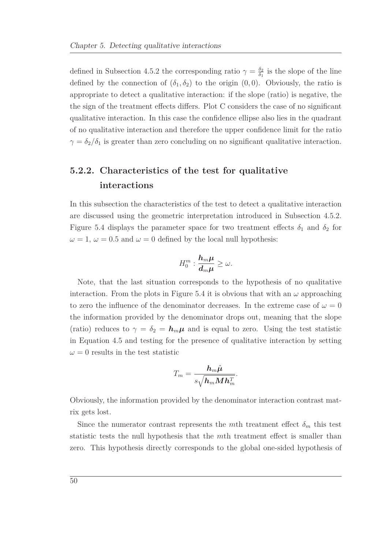defined in Subsection [4.5.2](#page-51-0) the corresponding ratio  $\gamma = \frac{\delta_2}{\delta_1}$  $\frac{\delta_2}{\delta_1}$  is the slope of the line defined by the connection of  $(\delta_1, \delta_2)$  to the origin  $(0, 0)$ . Obviously, the ratio is appropriate to detect a qualitative interaction: if the slope (ratio) is negative, the the sign of the treatment effects differs. Plot C considers the case of no significant qualitative interaction. In this case the confidence ellipse also lies in the quadrant of no qualitative interaction and therefore the upper confidence limit for the ratio  $\gamma = \delta_2/\delta_1$  is greater than zero concluding on no significant qualitative interaction.

### **5.2.2. Characteristics of the test for qualitative interactions**

In this subsection the characteristics of the test to detect a qualitative interaction are discussed using the geometric interpretation introduced in Subsection [4.5.2.](#page-51-0) Figure [5.4](#page-65-0) displays the parameter space for two treatment effects  $\delta_1$  and  $\delta_2$  for  $\omega = 1, \omega = 0.5$  and  $\omega = 0$  defined by the local null hypothesis:

$$
H_0^m: \frac{\bm h_m \bm \mu}{\bm d_m \bm \mu} \geq \omega.
$$

Note, that the last situation corresponds to the hypothesis of no qualitative interaction. From the plots in Figure [5.4](#page-65-0) it is obvious that with an  $\omega$  approaching to zero the influence of the denominator decreases. In the extreme case of  $\omega = 0$ the information provided by the denominator drops out, meaning that the slope (ratio) reduces to  $\gamma = \delta_2 = h_m \mu$  and is equal to zero. Using the test statistic in Equation [4.5](#page-46-0) and testing for the presence of qualitative interaction by setting  $\omega = 0$  results in the test statistic

$$
T_m = \frac{\bm{h}_m \hat{\bm{\mu}}}{s\sqrt{\bm{h}_m \bm{M}\bm{h}_m^T}}.
$$

Obviously, the information provided by the denominator interaction contrast matrix gets lost.

Since the numerator contrast represents the *m*th treatment effect  $\delta_m$  this test statistic tests the null hypothesis that the *m*th treatment effect is smaller than zero. This hypothesis directly corresponds to the global one-sided hypothesis of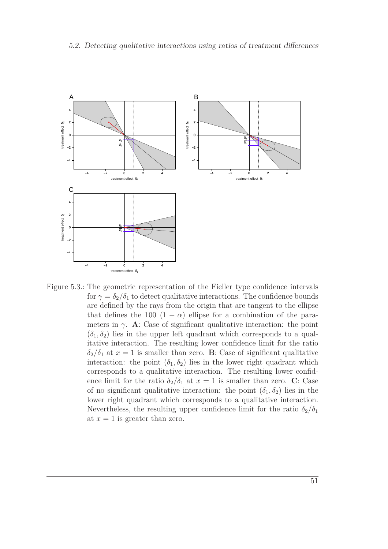<span id="page-64-0"></span>

Figure 5.3.: The geometric representation of the Fieller type confidence intervals for  $\gamma = \delta_2/\delta_1$  to detect qualitative interactions. The confidence bounds are defined by the rays from the origin that are tangent to the ellipse that defines the 100  $(1 - \alpha)$  ellipse for a combination of the parameters in  $\gamma$ . **A**: Case of significant qualitative interaction: the point  $(\delta_1, \delta_2)$  lies in the upper left quadrant which corresponds to a qualitative interaction. The resulting lower confidence limit for the ratio  $\delta_2/\delta_1$  at  $x = 1$  is smaller than zero. **B**: Case of significant qualitative interaction: the point  $(\delta_1, \delta_2)$  lies in the lower right quadrant which corresponds to a qualitative interaction. The resulting lower confidence limit for the ratio  $\delta_2/\delta_1$  at  $x = 1$  is smaller than zero. **C**: Case of no significant qualitative interaction: the point  $(\delta_1, \delta_2)$  lies in the lower right quadrant which corresponds to a qualitative interaction. Nevertheless, the resulting upper confidence limit for the ratio  $\delta_2/\delta_1$ at  $x = 1$  is greater than zero.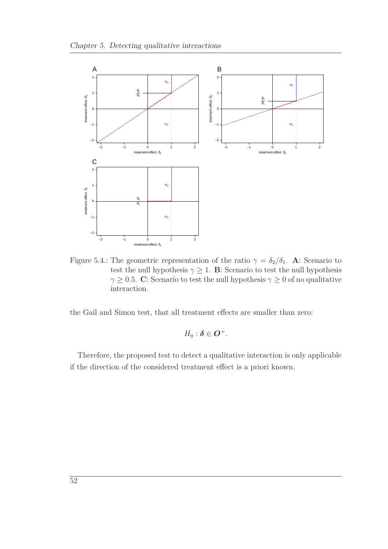<span id="page-65-0"></span>

Figure 5.4.: The geometric representation of the ratio  $\gamma = \delta_2/\delta_1$ . **A**: Scenario to test the null hypothesis  $\gamma \geq 1$ . **B**: Scenario to test the null hypothesis *γ*  $\geq$  0.5. **C**: Scenario to test the null hypothesis *γ*  $\geq$  0 of no qualitative interaction.

the Gail and Simon test, that all treatment effects are smaller than zero:

$$
H_0: \boldsymbol{\delta} \in \boldsymbol{O}^+.
$$

Therefore, the proposed test to detect a qualitative interaction is only applicable if the direction of the considered treatment effect is a priori known.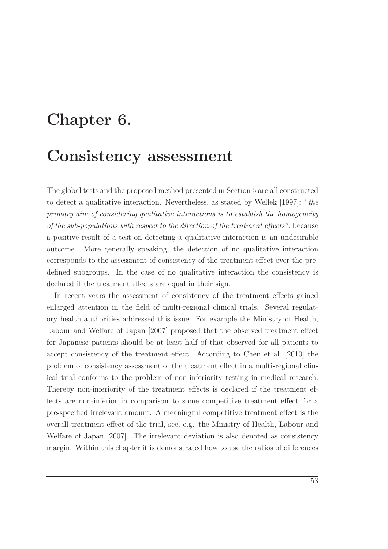## **Chapter 6.**

## **Consistency assessment**

The global tests and the proposed method presented in Section [5](#page-56-0) are all constructed to detect a qualitative interaction. Nevertheless, as stated by [Wellek \[1997](#page-108-2)]: "*the primary aim of considering qualitative interactions is to establish the homogeneity of the sub-populations with respect to the direction of the treatment effects*", because a positive result of a test on detecting a qualitative interaction is an undesirable outcome. More generally speaking, the detection of no qualitative interaction corresponds to the assessment of consistency of the treatment effect over the predefined subgroups. In the case of no qualitative interaction the consistency is declared if the treatment effects are equal in their sign.

In recent years the assessment of consistency of the treatment effects gained enlarged attention in the field of multi-regional clinical trials. Several regulatory health authorities addressed this issue. For example the Ministry of Health, Labour and Welfare of Japan [\[2007](#page-106-4)] proposed that the observed treatment effect for Japanese patients should be at least half of that observed for all patients to accept consistency of the treatment effect. According to [Chen et al. \[2010\]](#page-103-5) the problem of consistency assessment of the treatment effect in a multi-regional clinical trial conforms to the problem of non-inferiority testing in medical research. Thereby non-inferiority of the treatment effects is declared if the treatment effects are non-inferior in comparison to some competitive treatment effect for a pre-specified irrelevant amount. A meaningful competitive treatment effect is the overall treatment effect of the trial, see, e.g. the Ministry of Health, Labour and Welfare of Japan [\[2007\]](#page-106-4). The irrelevant deviation is also denoted as consistency margin. Within this chapter it is demonstrated how to use the ratios of differences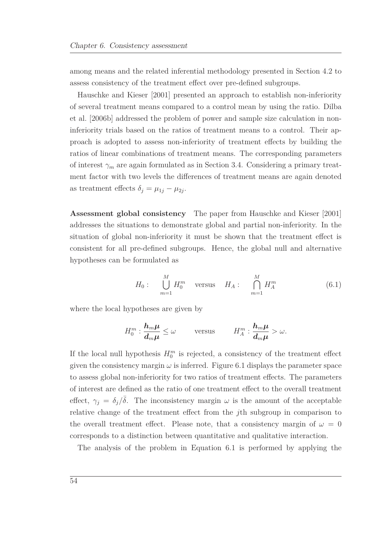among means and the related inferential methodology presented in Section [4.2](#page-45-1) to assess consistency of the treatment effect over pre-defined subgroups.

Hauschke and Kieser [\[2001](#page-105-7)] presented an approach to establish non-inferiority of se[veral treatment means compared to a control mean by using the ratio.](#page-103-6) Dilba et al. [\[2006b](#page-103-6)] addressed the problem of power and sample size calculation in noninferiority trials based on the ratios of treatment means to a control. Their approach is adopted to assess non-inferiority of treatment effects by building the ratios of linear combinations of treatment means. The corresponding parameters of interest  $\gamma_m$  are again formulated as in Section [3.4.](#page-40-0) Considering a primary treatment factor with two levels the differences of treatment means are again denoted as treatment effects  $\delta_j = \mu_{1j} - \mu_{2j}$ .

**Assessment global consistency** The paper from [Hauschke and Kieser \[2001\]](#page-105-7) addresses the situations to demonstrate global and partial non-inferiority. In the situation of global non-inferiority it must be shown that the treatment effect is consistent for all pre-defined subgroups. Hence, the global null and alternative hypotheses can be formulated as

<span id="page-67-0"></span>
$$
H_0: \bigcup_{m=1}^{M} H_0^m \quad \text{versus} \quad H_A: \bigcap_{m=1}^{M} H_A^m \tag{6.1}
$$

where the local hypotheses are given by

$$
H_0^m: \frac{\mathbf{h}_m \boldsymbol{\mu}}{\mathbf{d}_m \boldsymbol{\mu}} \leq \omega \quad \text{versus} \quad H_A^m: \frac{\mathbf{h}_m \boldsymbol{\mu}}{\mathbf{d}_m \boldsymbol{\mu}} > \omega.
$$

If the local null hypothesis  $H_0^m$  is rejected, a consistency of the treatment effect given the consistency margin  $\omega$  is inferred. Figure [6.1](#page-68-0) displays the parameter space to assess global non-inferiority for two ratios of treatment effects. The parameters of interest are defined as the ratio of one treatment effect to the overall treatment effect,  $\gamma_j = \delta_j/\overline{\delta}$ . The inconsistency margin  $\omega$  is the amount of the acceptable relative change of the treatment effect from the *j*th subgroup in comparison to the overall treatment effect. Please note, that a consistency margin of  $\omega = 0$ corresponds to a distinction between quantitative and qualitative interaction.

The analysis of the problem in Equation [6.1](#page-67-0) is performed by applying the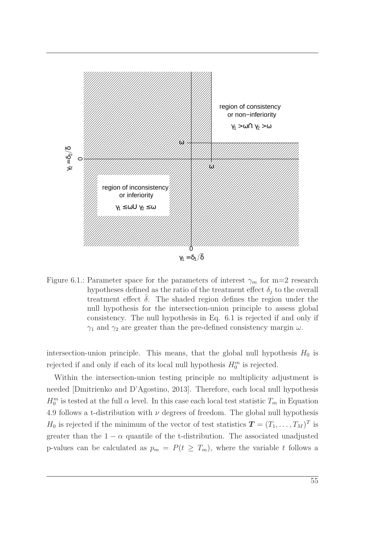<span id="page-68-0"></span>

Figure 6.1.: Parameter space for the parameters of interest  $\gamma_m$  for m=2 research hypotheses defined as the ratio of the treatment effect  $\delta_i$  to the overall treatment effect  $\bar{\delta}$ . The shaded region defines the region under the null hypothesis for the intersection-union principle to assess global consistency. The null hypothesis in Eq. [6.1](#page-67-0) is rejected if and only if *γ*<sub>1</sub> and *γ*<sub>2</sub> are greater than the pre-defined consistency margin  $ω$ .

intersection-union principle. This means, that the global null hypothesis  $H_0$  is rejected if and only if each of its local null hypothesis  $H_0^m$  is rejected.

Within the intersection-union testing principle no multiplicity adjustment is needed [\[Dmitrienko and D'Agostino](#page-104-2), [2013](#page-104-2)]. Therefore, each local null hypothesis  $H_0^m$  is tested at the full  $\alpha$  level. In this case each local test statistic  $T_m$  in Equation [4.9](#page-49-2) follows a t-distribution with  $\nu$  degrees of freedom. The global null hypothesis *H*<sup>0</sup> is rejected if the minimum of the vector of test statistics  $\boldsymbol{T} = (T_1, \ldots, T_M)^T$  is greater than the  $1 - \alpha$  quantile of the t-distribution. The associated unadjusted p-values can be calculated as  $p_m = P(t \geq T_m)$ , where the variable *t* follows a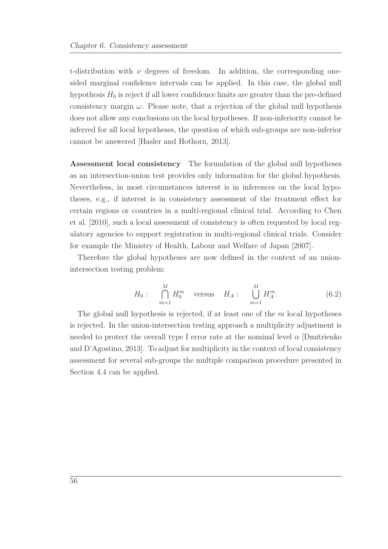t-distribution with  $\nu$  degrees of freedom. In addition, the corresponding onesided marginal confidence intervals can be applied. In this case, the global null hypothesis  $H_0$  is reject if all lower confidence limits are greater than the pre-defined consistency margin  $\omega$ . Please note, that a rejection of the global null hypothesis does not allow any conclusions on the local hypotheses. If non-inferiority cannot be inferred for all local hypotheses, the question of which sub-groups are non-inferior cannot be answered [\[Hasler and Hothorn, 2013](#page-105-8)].

**Assessment local consistency** The formulation of the global null hypotheses as an intersection-union test provides only information for the global hypothesis. Nevertheless, in most circumstances interest is in inferences on the local hypotheses, e.g., if interest is in consistency assessment of the treatment effect for certa[in regions or countries in a multi-regional clinical trial. According to](#page-103-5) Chen et al. [\[2010\]](#page-103-5), such a local assessment of consistency is often requested by local regulatory agencies to support registration in multi-regional clinical trials. Consider for example the Ministry of Health, Labour and Welfare of Japan [\[2007\]](#page-106-4).

Therefore the global hypotheses are now defined in the context of an unionintersection testing problem:

$$
H_0: \bigcap_{m=1}^{M} H_0^m
$$
 versus  $H_A: \bigcup_{m=1}^{M} H_A^m.$  (6.2)

The global null hypothesis is rejected, if at least one of the *m* local hypotheses is rejected. In the union-intersection testing approach a multiplicity adjustment is needed to prot[ect the overall type I error rate at the nominal](#page-104-2) level  $\alpha$  [Dmitrienko] and D'Agostino, [2013\]](#page-104-2). To adjust for multiplicity in the context of local consistency assessment for several sub-groups the multiple comparison procedure presented in Section [4.4](#page-49-1) can be applied.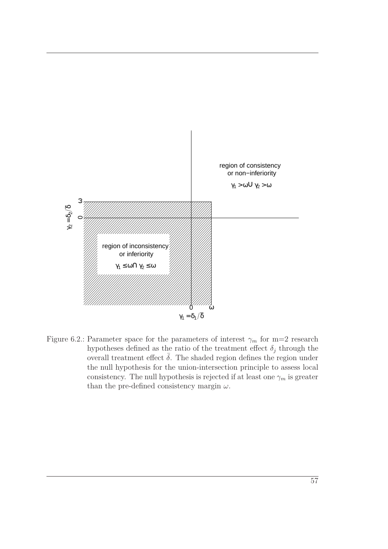

Figure 6.2.: Parameter space for the parameters of interest  $\gamma_m$  for m=2 research hypotheses defined as the ratio of the treatment effect  $\delta_j$  through the overall treatment effect  $\bar{\delta}$ . The shaded region defines the region under the null hypothesis for the union-intersection principle to assess local consistency. The null hypothesis is rejected if at least one  $\gamma_m$  is greater than the pre-defined consistency margin *ω*.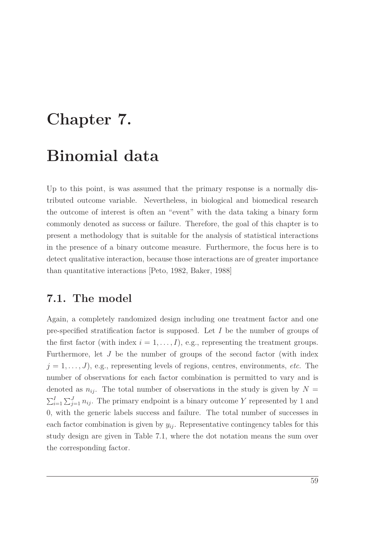# <span id="page-72-0"></span>**Chapter 7.**

### **Binomial data**

Up to this point, is was assumed that the primary response is a normally distributed outcome variable. Nevertheless, in biological and biomedical research the outcome of interest is often an "event" with the data taking a binary form commonly denoted as success or failure. Therefore, the goal of this chapter is to present a methodology that is suitable for the analysis of statistical interactions in the presence of a binary outcome measure. Furthermore, the focus here is to detect qualitative interaction, because those interactions are of greater importance than quantitative interactions [\[Peto](#page-107-0), [1982](#page-107-0), [Baker, 1988](#page-102-0)]

### **7.1. The model**

Again, a completely randomized design including one treatment factor and one pre-specified stratification factor is supposed. Let *I* be the number of groups of the first factor (with index  $i = 1, \ldots, I$ ), e.g., representing the treatment groups. Furthermore, let *J* be the number of groups of the second factor (with index  $j = 1, \ldots, J$ , e.g., representing levels of regions, centres, environments, *etc*. The number of observations for each factor combination is permitted to vary and is denoted as  $n_{ij}$ . The total number of observations in the study is given by  $N =$  $\sum_{i=1}^{I} \sum_{j=1}^{J} n_{ij}$ . The primary endpoint is a binary outcome *Y* represented by 1 and 0, with the generic labels success and failure. The total number of successes in each factor combination is given by  $y_{ij}$ . Representative contingency tables for this study design are given in Table [7.1,](#page-73-0) where the dot notation means the sum over the corresponding factor.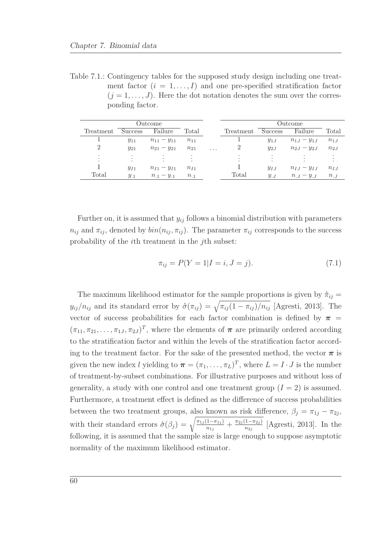<span id="page-73-0"></span>Table 7.1.: Contingency tables for the supposed study design including one treatment factor  $(i = 1, \ldots, I)$  and one pre-specified stratification factor  $(j = 1, \ldots, J)$ . Here the dot notation denotes the sum over the corresponding factor.

|                |                | Outcome           |          |          |           | Outcome  |                   |          |
|----------------|----------------|-------------------|----------|----------|-----------|----------|-------------------|----------|
| Treatment      | <b>Success</b> | Failure           | Total    |          | Treatment | Success  | Failure           | Total    |
|                | $y_{11}$       | $n_{11} - y_{11}$ | $n_{11}$ |          |           | $y_{1J}$ | $n_{1J} - y_{1J}$ | $n_{1J}$ |
| $\overline{2}$ | $y_{21}$       | $n_{21} - y_{21}$ | $n_{21}$ | $\cdots$ |           | $y_{2J}$ | $n_{2J} - y_{2J}$ | $n_{2J}$ |
| ٠<br>٠<br>٠    |                |                   |          |          |           | ٠<br>٠   |                   | $\cdot$  |
|                | $y_{I1}$       | $n_{I1} - y_{I1}$ | $n_{I1}$ |          |           | $y_{IJ}$ | $n_{IJ} - y_{IJ}$ | $n_{IJ}$ |
| Total          | $y_{.1}$       | $n_{.1} - y_{.1}$ | $n_{.1}$ |          | Total     | $y_{J}$  | $n_{.} - y_{.}$   | $n_{.J}$ |

Further on, it is assumed that  $y_{ij}$  follows a binomial distribution with parameters  $n_{ij}$  and  $\pi_{ij}$ , denoted by  $\text{bin}(n_{ij}, \pi_{ij})$ . The parameter  $\pi_{ij}$  corresponds to the success probability of the *i*th treatment in the *j*th subset:

$$
\pi_{ij} = P(Y = 1 | I = i, J = j).
$$
\n(7.1)

The maximum likelihood estimator for the sample proportions is given by  $\hat{\pi}_{ij}$  = *y*<sub>*ij</sub>* /*n*<sub>*ij*</sub> and its standard error by  $\hat{\sigma}(\pi_{ij}) = \sqrt{\pi_{ij}(1 - \pi_{ij})/n_{ij}}$  [\[Agresti](#page-102-1), [2013](#page-102-1)]. The</sub> vector of success probabilities for each factor combination is defined by  $\pi$  $(\pi_{11}, \pi_{21}, \ldots, \pi_{1J}, \pi_{2J})^T$ , where the elements of  $\pi$  are primarily ordered according to the stratification factor and within the levels of the stratification factor according to the treatment factor. For the sake of the presented method, the vector  $\pi$  is given the new index *l* yielding to  $\boldsymbol{\pi} = (\pi_1, \dots, \pi_L)^T$ , where  $L = I \cdot J$  is the number of treatment-by-subset combinations. For illustrative purposes and without loss of generality, a study with one control and one treatment group  $(I = 2)$  is assumed. Furthermore, a treatment effect is defined as the difference of success probabilities between the two treatment groups, also known as risk difference,  $\beta_j = \pi_{1j} - \pi_{2j}$ , with their standard errors  $\hat{\sigma}(\beta_j) = \sqrt{\frac{\pi_{1j}(1-\pi_{1j})}{n_{1j}}}$  $\frac{\pi_{1j} (1-\pi_{2j})}{n_{1j}} + \frac{\pi_{2j} (1-\pi_{2j})}{n_{2j}}$  $\frac{1-\pi_{2j}}{n_{2j}}$  [\[Agresti](#page-102-1), [2013](#page-102-1)]. In the following, it is assumed that the sample size is large enough to suppose asymptotic normality of the maximum likelihood estimator.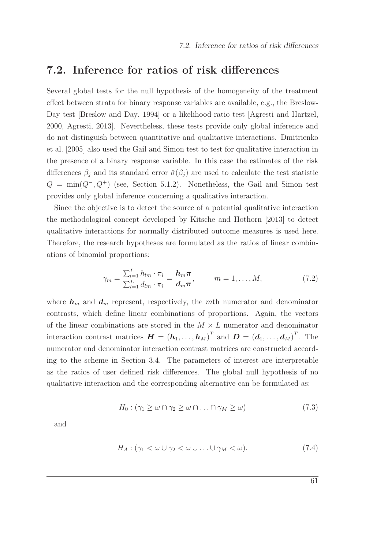### **7.2. Inference for ratios of risk differences**

Several global tests for the null hypothesis of the homogeneity of the treatment effect between strata for binary response variables are available, e.g., the Breslow-Day test [\[Breslow and Day](#page-103-0), [1994](#page-103-0)] or a likelihood-ratio test [\[Agresti and Hartzel,](#page-102-2) [2000,](#page-102-2) [Agresti, 2013\]](#page-102-1). Nevertheless, these tests provide only global inference and do n[ot distinguish between quantitative and qualitative interactions.](#page-104-0) Dmitrienko et al. [\[2005](#page-104-0)] also used the Gail and Simon test to test for qualitative interaction in the presence of a binary response variable. In this case the estimates of the risk differences  $\beta_j$  and its standard error  $\hat{\sigma}(\beta_j)$  are used to calculate the test statistic  $Q = \min(Q^-, Q^+)$  (see, Section [5.1.2\)](#page-57-0). Nonetheless, the Gail and Simon test provides only global inference concerning a qualitative interaction.

Since the objective is to detect the source of a potential qualitative interaction the methodological concept developed by [Kitsche and Hothorn \[2013](#page-106-0)] to detect qualitative interactions for normally distributed outcome measures is used here. Therefore, the research hypotheses are formulated as the ratios of linear combinations of binomial proportions:

<span id="page-74-0"></span>
$$
\gamma_m = \frac{\sum_{l=1}^L h_{lm} \cdot \pi_i}{\sum_{l=1}^L d_{lm} \cdot \pi_i} = \frac{\mathbf{h}_m \boldsymbol{\pi}}{\mathbf{d}_m \boldsymbol{\pi}}, \qquad m = 1, \dots, M,
$$
\n(7.2)

where  $h_m$  and  $d_m$  represent, respectively, the *m*th numerator and denominator contrasts, which define linear combinations of proportions. Again, the vectors of the linear combinations are stored in the *M* × *L* numerator and denominator interaction contrast matrices  $\boldsymbol{H} = (\boldsymbol{h}_1, \dots, \boldsymbol{h}_M)^T$  and  $\boldsymbol{D} = (\boldsymbol{d}_1, \dots, \boldsymbol{d}_M)^T$ . The numerator and denominator interaction contrast matrices are constructed according to the scheme in Section [3.4.](#page-40-0) The parameters of interest are interpretable as the ratios of user defined risk differences. The global null hypothesis of no qualitative interaction and the corresponding alternative can be formulated as:

$$
H_0: (\gamma_1 \ge \omega \cap \gamma_2 \ge \omega \cap \ldots \cap \gamma_M \ge \omega) \tag{7.3}
$$

<span id="page-74-1"></span>and

$$
H_A: (\gamma_1 < \omega \cup \gamma_2 < \omega \cup \ldots \cup \gamma_M < \omega). \tag{7.4}
$$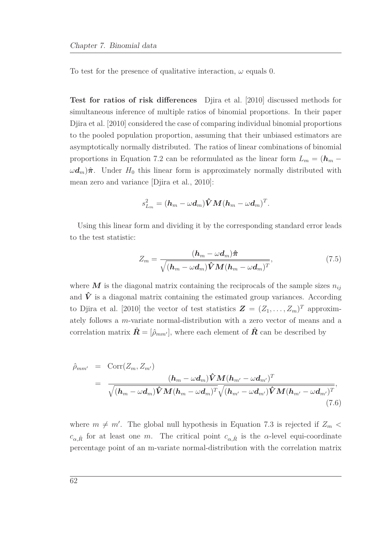To test for the presence of qualitative interaction,  $\omega$  equals 0.

<span id="page-75-0"></span>**[Test for ratios of risk differences](#page-75-0)** Djira et al. [\[2010](#page-104-1)] discussed methods for simultaneous inference of multiple ratios of binomial proportions. In their paper [Djira et al. \[2010\]](#page-104-1) considered the case of comparing individual binomial proportions to the pooled population proportion, assuming that their unbiased estimators are asymptotically normally distributed. The ratios of linear combinations of binomial proportions in Equation [7.2](#page-74-0) can be reformulated as the linear form  $L_m = (\mathbf{h}_m - \mathbf{h}_m)$  $\omega d_m$ ) $\hat{\pi}$ . Under  $H_0$  this linear form is approximately normally distributed with mean zero and variance [\[Djira et al.](#page-104-1), [2010\]](#page-104-1):

$$
s_{L_m}^2 = (\boldsymbol{h}_{m} - \omega \boldsymbol{d}_{m})\boldsymbol{\hat{V}} \boldsymbol{M} (\boldsymbol{h}_{m} - \omega \boldsymbol{d}_{m})^T.
$$

Using this linear form and dividing it by the corresponding standard error leads to the test statistic:

$$
Z_m = \frac{(\boldsymbol{h}_m - \omega \boldsymbol{d}_m)\boldsymbol{\hat{\pi}}}{\sqrt{(\boldsymbol{h}_m - \omega \boldsymbol{d}_m)\boldsymbol{\hat{V}}\boldsymbol{M}(\boldsymbol{h}_m - \omega \boldsymbol{d}_m)^T}},
$$
(7.5)

where  $M$  is the diagonal matrix containing the reciprocals of the sample sizes  $n_{ij}$ and  $\hat{V}$  is a diagonal matrix containing the estimated group variances. According to [Djira et al. \[2010](#page-104-1)] the vector of test statistics  $\mathbf{Z} = (Z_1, \ldots, Z_m)^T$  approximately follows a *m*-variate normal-distribution with a zero vector of means and a correlation matrix  $\hat{\mathbf{R}} = [\hat{\rho}_{mm'}],$  where each element of  $\hat{\mathbf{R}}$  can be described by

<span id="page-75-1"></span>
$$
\hat{\rho}_{mm'} = \text{Corr}(Z_m, Z_{m'})
$$
\n
$$
= \frac{(\boldsymbol{h}_m - \omega \boldsymbol{d}_m) \hat{\boldsymbol{V}} \boldsymbol{M} (\boldsymbol{h}_{m'} - \omega \boldsymbol{d}_{m'})^T}{\sqrt{(\boldsymbol{h}_m - \omega \boldsymbol{d}_m) \hat{\boldsymbol{V}} \boldsymbol{M} (\boldsymbol{h}_m - \omega \boldsymbol{d}_m)^T} \sqrt{(\boldsymbol{h}_{m'} - \omega \boldsymbol{d}_{m'}) \hat{\boldsymbol{V}} \boldsymbol{M} (\boldsymbol{h}_{m'} - \omega \boldsymbol{d}_{m'})^T}},
$$
\n(7.6)

where  $m \neq m'$ . The global null hypothesis in Equation [7.3](#page-74-1) is rejected if  $Z_m$  $c_{\alpha,\hat{R}}$  for at least one *m*. The critical point  $c_{\alpha,\hat{R}}$  is the *α*-level equi-coordinate percentage point of an m-variate normal-distribution with the correlation matrix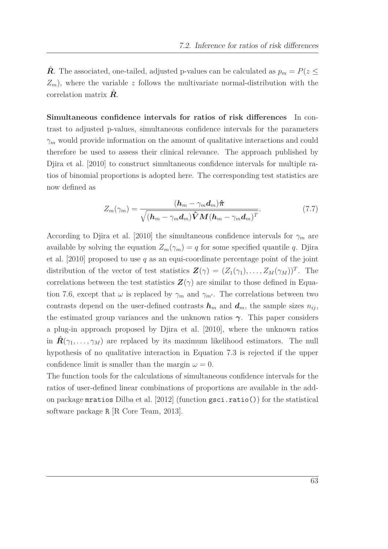*R*<sup> $\hat{R}$ . The associated, one-tailed, adjusted p-values can be calculated as  $p_m = P(z \leq$ </sup>  $Z_m$ ), where the variable *z* follows the multivariate normal-distribution with the correlation matrix  $\hat{R}$ .

**Simultaneous confidence intervals for ratios of risk differences** In contrast to adjusted p-values, simultaneous confidence intervals for the parameters *γ<sup>m</sup>* would provide information on the amount of qualitative interactions and could therefore be used to assess their clinical relevance. The approach published by [Djira et al. \[2010\]](#page-104-1) to construct simultaneous confidence intervals for multiple ratios of binomial proportions is adopted here. The corresponding test statistics are now defined as

$$
Z_m(\gamma_m) = \frac{(\boldsymbol{h}_m - \gamma_m \boldsymbol{d}_m)\hat{\boldsymbol{\pi}}}{\sqrt{(\boldsymbol{h}_m - \gamma_m \boldsymbol{d}_m)\hat{\boldsymbol{V}}\boldsymbol{M}(\boldsymbol{h}_m - \gamma_m \boldsymbol{d}_m)^T}}.
$$
(7.7)

According to [Djira et al. \[2010](#page-104-1)] the simultaneous confidence intervals for  $\gamma_m$  are avail[able by solving the equation](#page-104-1)  $Z_m(\gamma_m) = q$  for some specified quantile *q*. Djira et al. [\[2010](#page-104-1)] proposed to use *q* as an equi-coordinate percentage point of the joint distribution of the vector of test statistics  $\mathbf{Z}(\gamma) = (Z_1(\gamma_1), \dots, Z_M(\gamma_M))^T$ . The correlations between the test statistics  $\mathbf{Z}(\gamma)$  are similar to those defined in Equa-tion [7.6,](#page-75-1) except that  $\omega$  is replaced by  $\gamma_m$  and  $\gamma_{m'}$ . The correlations between two contrasts depend on the user-defined contrasts  $h_m$  and  $d_m$ , the sample sizes  $n_{ij}$ , the estimated group variances and the unknown ratios *γ*. This paper considers a plug-in approach proposed by [Djira et al. \[2010\]](#page-104-1), where the unknown ratios in  $\hat{\mathbf{R}}(\gamma_1,\ldots,\gamma_M)$  are replaced by its maximum likelihood estimators. The null hypothesis of no qualitative interaction in Equation [7.3](#page-74-1) is rejected if the upper confidence limit is smaller than the margin  $\omega = 0$ .

The function tools for the calculations of simultaneous confidence intervals for the ratios of user-defined linear combinations of proportions are available in the addon package mratios [Dilba et al. \[2012\]](#page-104-2) (function gsci.ratio()) for the statistical software package R [\[R Core Team, 2013](#page-107-1)].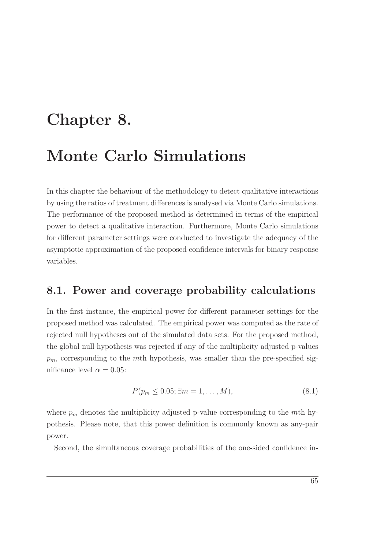## **Chapter 8.**

## **Monte Carlo Simulations**

In this chapter the behaviour of the methodology to detect qualitative interactions by using the ratios of treatment differences is analysed via Monte Carlo simulations. The performance of the proposed method is determined in terms of the empirical power to detect a qualitative interaction. Furthermore, Monte Carlo simulations for different parameter settings were conducted to investigate the adequacy of the asymptotic approximation of the proposed confidence intervals for binary response variables.

### **8.1. Power and coverage probability calculations**

In the first instance, the empirical power for different parameter settings for the proposed method was calculated. The empirical power was computed as the rate of rejected null hypotheses out of the simulated data sets. For the proposed method, the global null hypothesis was rejected if any of the multiplicity adjusted p-values *pm*, corresponding to the *m*th hypothesis, was smaller than the pre-specified significance level  $\alpha = 0.05$ :

<span id="page-78-0"></span>
$$
P(p_m \le 0.05; \exists m = 1, ..., M), \tag{8.1}
$$

where  $p_m$  denotes the multiplicity adjusted p-value corresponding to the *m*th hypothesis. Please note, that this power definition is commonly known as any-pair power.

Second, the simultaneous coverage probabilities of the one-sided confidence in-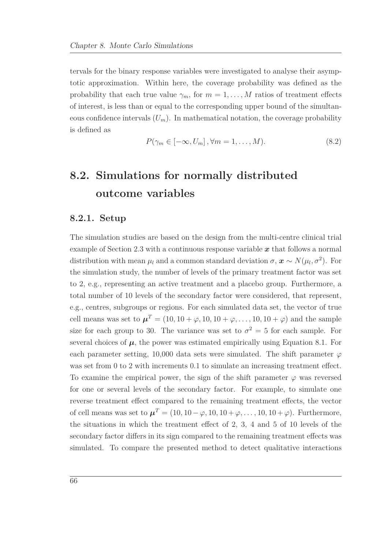tervals for the binary response variables were investigated to analyse their asymptotic approximation. Within here, the coverage probability was defined as the probability that each true value  $\gamma_m$ , for  $m = 1, \ldots, M$  ratios of treatment effects of interest, is less than or equal to the corresponding upper bound of the simultaneous confidence intervals  $(U_m)$ . In mathematical notation, the coverage probability is defined as

<span id="page-79-0"></span>
$$
P(\gamma_m \in [-\infty, U_m], \forall m = 1, \dots, M). \tag{8.2}
$$

### **8.2. Simulations for normally distributed outcome variables**

#### **8.2.1. Setup**

The simulation studies are based on the design from the multi-centre clinical trial example of Section [2.3](#page-24-0) with a continuous response variable *x* that follows a normal distribution with mean  $\mu_l$  and a common standard deviation  $\sigma$ ,  $\mathbf{x} \sim N(\mu_l, \sigma^2)$ . For the simulation study, the number of levels of the primary treatment factor was set to 2, e.g., representing an active treatment and a placebo group. Furthermore, a total number of 10 levels of the secondary factor were considered, that represent, e.g., centres, subgroups or regions. For each simulated data set, the vector of true cell means was set to  $\boldsymbol{\mu}^T = (10, 10 + \varphi, 10, 10 + \varphi, \dots, 10, 10 + \varphi)$  and the sample size for each group to 30. The variance was set to  $\sigma^2 = 5$  for each sample. For several choices of  $\mu$ , the power was estimated empirically using Equation [8.1.](#page-78-0) For each parameter setting, 10,000 data sets were simulated. The shift parameter  $\varphi$ was set from 0 to 2 with increments 0.1 to simulate an increasing treatment effect. To examine the empirical power, the sign of the shift parameter  $\varphi$  was reversed for one or several levels of the secondary factor. For example, to simulate one reverse treatment effect compared to the remaining treatment effects, the vector of cell means was set to  $\boldsymbol{\mu}^T = (10, 10 - \varphi, 10, 10 + \varphi, \dots, 10, 10 + \varphi)$ . Furthermore, the situations in which the treatment effect of 2, 3, 4 and 5 of 10 levels of the secondary factor differs in its sign compared to the remaining treatment effects was simulated. To compare the presented method to detect qualitative interactions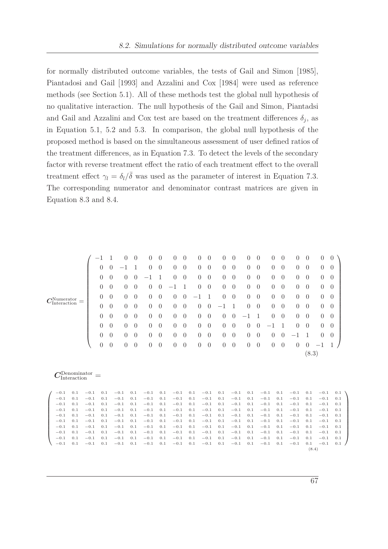for normally distributed outcome variables, the tests of [Gail and Simon \[1985\]](#page-104-3), [Piantadosi and Gail \[1993\]](#page-107-2) and [Azzalini and Cox \[1984\]](#page-102-3) were used as reference methods (see Section [5.1\)](#page-56-0). All of these methods test the global null hypothesis of no qualitative interaction. The null hypothesis of the Gail and Simon, Piantadsi and Gail and Azzalini and Cox test are based on the treatment differences  $\delta_j$ , as in Equation [5.1,](#page-57-1) [5.2](#page-57-2) and [5.3.](#page-59-0) In comparison, the global null hypothesis of the proposed method is based on the simultaneous assessment of user defined ratios of the treatment differences, as in Equation [7.3.](#page-74-1) To detect the levels of the secondary factor with reverse treatment effect the ratio of each treatment effect to the overall treatment effect  $\gamma_l = \delta_l/\bar{\delta}$  was used as the parameter of interest in Equation [7.3.](#page-74-1) The corresponding numerator and denominator contrast matrices are given in Equation [8.3](#page-80-0) and [8.4.](#page-80-1)

<span id="page-80-0"></span>

|  |                                       |                                     |                  |                  |                  | 0                | $\theta$   | 0                | $\overline{0}$   | $\overline{0}$   | $\theta$       | $\overline{0}$ | $\theta$         | $\overline{0}$ | $\theta$         | $\theta$         | $\overline{0}$   | $\theta$         | $\theta$         | 0                | $\theta$       | $\theta$         | $\theta$       |  |
|--|---------------------------------------|-------------------------------------|------------------|------------------|------------------|------------------|------------|------------------|------------------|------------------|----------------|----------------|------------------|----------------|------------------|------------------|------------------|------------------|------------------|------------------|----------------|------------------|----------------|--|
|  |                                       |                                     |                  | $\overline{0}$   | $\boldsymbol{0}$ |                  |            | $\theta$         | $\boldsymbol{0}$ | $\overline{0}$   | $\theta$       | $\overline{0}$ | $\theta$         | $\theta$       | $\theta$         | $\overline{0}$   | $\theta$         | $\overline{0}$   | $\overline{0}$   | $\theta$         | $\theta$       | $\overline{0}$   | $\theta$       |  |
|  |                                       |                                     | $\theta$         | $\theta$         | 0                | $\overline{0}$   |            | 1                | $\overline{0}$   | $\theta$         | $\overline{0}$ | $\theta$       | $\overline{0}$   | $\overline{0}$ | $\theta$         | $\theta$         | $\theta$         | $\overline{0}$   | $\overline{0}$   | $\overline{0}$   | $\overline{0}$ | $\theta$         |                |  |
|  |                                       |                                     | $\theta$         | $\theta$         | $\theta$         | $\theta$         | 0          | $\overline{0}$   | $-1$             | 1                | $\overline{0}$ | $\theta$       | $\overline{0}$   | $\overline{0}$ | $\theta$         | $\theta$         | $\overline{0}$   | $\overline{0}$   | $\overline{0}$   | $\overline{0}$   | $\overline{0}$ | $\theta$         |                |  |
|  |                                       |                                     | $\theta$         | $\theta$         | $\theta$         | $\theta$         | 0          | $\boldsymbol{0}$ | $\overline{0}$   | $\theta$         | $-1$           | 1              | $\overline{0}$   | $\overline{0}$ | $\theta$         | $\boldsymbol{0}$ | $\overline{0}$   | $\overline{0}$   | $\overline{0}$   | $\theta$         | $\overline{0}$ | $\theta$         |                |  |
|  | $C_{\rm Interaction}^{\rm Numerator}$ |                                     |                  | $\theta$         | $\theta$         | $\theta$         | $\theta$   | $\overline{0}$   | $\overline{0}$   | $\overline{0}$   | $\theta$       | $\overline{0}$ | $\theta$         |                | 1                | $\theta$         | $\boldsymbol{0}$ | $\overline{0}$   | $\overline{0}$   | $\theta$         | $\theta$       | $\overline{0}$   | $\overline{0}$ |  |
|  |                                       |                                     |                  | $\theta$         | $\theta$         | $\theta$         | $\theta$   | $\overline{0}$   | $\overline{0}$   | $\overline{0}$   | $\theta$       | $\theta$       | $\theta$         | $\theta$       | $\boldsymbol{0}$ |                  | 1                | $\theta$         | $\boldsymbol{0}$ | $\theta$         | $\theta$       | $\theta$         | $\overline{0}$ |  |
|  |                                       |                                     |                  |                  |                  |                  |            |                  |                  |                  |                |                |                  |                |                  |                  |                  |                  |                  |                  |                |                  |                |  |
|  |                                       |                                     |                  | $\theta$         | $\theta$         | $\theta$         | $\theta$   | 0                | $\overline{0}$   | $\overline{0}$   | $\theta$       | $\theta$       | $\theta$         | $\theta$       | $\overline{0}$   | $\theta$         | $\theta$         |                  | 1                | $\theta$         | $\theta$       | $\theta$         | $\overline{0}$ |  |
|  |                                       |                                     |                  | $\theta$         | $\theta$         | $\overline{0}$   | $\theta$   | 0                | $\overline{0}$   | $\overline{0}$   | $\theta$       | $\overline{0}$ | $\theta$         | $\overline{0}$ | $\overline{0}$   | $\theta$         | $\theta$         | $\theta$         | $\overline{0}$   |                  | 1              | $\overline{0}$   | $\theta$       |  |
|  |                                       |                                     |                  | $\boldsymbol{0}$ | $\theta$         | $\theta$         | $\theta$   | $\theta$         | $\boldsymbol{0}$ | $\theta$         | $\theta$       | $\theta$       | $\theta$         | $\theta$       | $\overline{0}$   | $\theta$         | $\theta$         | $\theta$         | $\theta$         | $\theta$         | $\theta$       |                  |                |  |
|  |                                       |                                     |                  |                  |                  |                  |            |                  |                  |                  |                |                |                  |                |                  |                  |                  |                  |                  |                  | (8.3)          |                  |                |  |
|  |                                       | $\gamma$ Denominator<br>Interaction |                  |                  |                  |                  |            |                  |                  |                  |                |                |                  |                |                  |                  |                  |                  |                  |                  |                |                  |                |  |
|  | $-0.1$                                | 0.1                                 | $-0.1$           | 0.1              |                  | $-0.1$           | 0.1        | $-0.1$           | 0.1              | $-0.1$           |                | 0.1            | $-0.1$           | 0.1            | $-0.1$           | 0.1              |                  | $-0.1$           | 0.1              | $-0.1$           | 0.1            | $-0.1$           | 0.1            |  |
|  | $-0.1$<br>$-0.1$                      | 0.1<br>0.1                          | $-0.1$<br>$-0.1$ | 0.1<br>0.1       |                  | $-0.1$<br>$-0.1$ | 0.1<br>0.1 | $-0.1$<br>$-0.1$ | 0.1<br>0.1       | $-0.1$<br>$-0.1$ |                | 0.1<br>0.1     | $-0.1$<br>$-0.1$ | 0.1<br>0.1     | $-0.1$<br>$-0.1$ | 0.1<br>0.1       |                  | $-0.1$<br>$-0.1$ | 0.1<br>0.1       | $-0.1$<br>$-0.1$ | 0.1<br>0.1     | $-0.1$<br>$-0.1$ | 0.1<br>0.1     |  |
|  | $-0.1$                                | 0.1                                 | $-0.1$           | 0.1              |                  | $-0.1$           | 0.1        | $-0.1$           | 0.1              | $-0.1$           |                | 0.1            | $-0.1$           | 0.1            | $-0.1$           | 0.1              |                  | $-0.1$           | 0.1              | $-0.1$           | 0.1            | $-0.1$           | 0.1            |  |
|  | $-0.1$                                | 0.1                                 | $-0.1$           | 0.1              |                  | $-0.1$           | 0.1        | $-0.1$           | 0.1              | $-0.1$           |                | 0.1            | $-0.1$           | 0.1            | $-0.1$           | 0.1              |                  | $-0.1$           | 0.1              | $-0.1$           | 0.1            | $-0.1$           | 0.1            |  |
|  | $-0.1$                                | 0.1                                 | $-0.1$           | 0.1              |                  | $-0.1$           | 0.1        | $-0.1$           | 0.1              | $-0.1$           |                | 0.1            | $-0.1$           | 0.1            | $-0.1$           | 0.1              |                  | $-0.1$           | 0.1              | $-0.1$           | 0.1            | $-0.1$           | 0.1            |  |
|  | $-0.1$                                | 0.1                                 | $-0.1$           | 0.1              |                  | $-0.1$           | 0.1        | $-0.1$           | 0.1              | $-0.1$           |                | 0.1            | $-0.1$           | 0.1            | $-0.1$           | 0.1              |                  | $-0.1$           | 0.1              | $-0.1$           | 0.1            | $-0.1$           | 0.1            |  |
|  | $-0.1$                                | 0.1                                 | $-0.1$           | 0.1              |                  | $-0.1$           | 0.1        | $-0.1$           | 0.1              | $-0.1$           |                | 0.1            | $-0.1$           | 0.1            | $-0.1$           | 0.1              |                  | $-0.1$           | 0.1              | $-0.1$           | 0.1            | $-0.1$           | 0.1            |  |
|  | $-0.1$                                | 0.1                                 | $-0.1$           | 0.1              |                  | $-0.1$           | 0.1        | $-0.1$           | 0.1              | $-0.1$           |                | 0.1            | $-0.1$           | 0.1            | $-0.1$           | 0.1              |                  | $-0.1$           | 0.1              | $-0.1$           | 0.1            | $-0.1$           | 0.1            |  |

<span id="page-80-1"></span> $-0.1 \quad 0.1 \quad -0.1 \quad 0.1 \quad -0.1 \quad 0.1 \quad -0.1 \quad 0.1 \quad -0.1 \quad 0.1 \quad -0.1 \quad 0.1 \quad -0.1 \quad 0.1 \quad -0.1 \quad 0.1 \quad -0.1 \quad 0.1 \quad -0.1 \quad 0.1 \quad -0.1 \quad 0.1 \quad -0.1 \quad 0.1 \quad 0.1 \quad 0.1 \quad 0.1 \quad 0.1 \quad 0.1 \quad 0.1 \quad 0.1 \quad 0.1 \quad 0.1 \quad 0.1 \quad 0.1 \quad 0.1 \quad 0.1$ 

67

(8.4)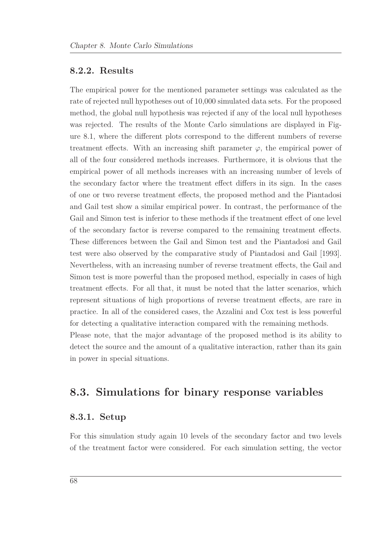#### **8.2.2. Results**

The empirical power for the mentioned parameter settings was calculated as the rate of rejected null hypotheses out of 10,000 simulated data sets. For the proposed method, the global null hypothesis was rejected if any of the local null hypotheses was rejected. The results of the Monte Carlo simulations are displayed in Figure [8.1,](#page-82-0) where the different plots correspond to the different numbers of reverse treatment effects. With an increasing shift parameter  $\varphi$ , the empirical power of all of the four considered methods increases. Furthermore, it is obvious that the empirical power of all methods increases with an increasing number of levels of the secondary factor where the treatment effect differs in its sign. In the cases of one or two reverse treatment effects, the proposed method and the Piantadosi and Gail test show a similar empirical power. In contrast, the performance of the Gail and Simon test is inferior to these methods if the treatment effect of one level of the secondary factor is reverse compared to the remaining treatment effects. These differences between the Gail and Simon test and the Piantadosi and Gail test were also observed by the comparative study of [Piantadosi and Gail \[1993](#page-107-2)]. Nevertheless, with an increasing number of reverse treatment effects, the Gail and Simon test is more powerful than the proposed method, especially in cases of high treatment effects. For all that, it must be noted that the latter scenarios, which represent situations of high proportions of reverse treatment effects, are rare in practice. In all of the considered cases, the Azzalini and Cox test is less powerful for detecting a qualitative interaction compared with the remaining methods. Please note, that the major advantage of the proposed method is its ability to detect the source and the amount of a qualitative interaction, rather than its gain in power in special situations.

### **8.3. Simulations for binary response variables**

#### **8.3.1. Setup**

For this simulation study again 10 levels of the secondary factor and two levels of the treatment factor were considered. For each simulation setting, the vector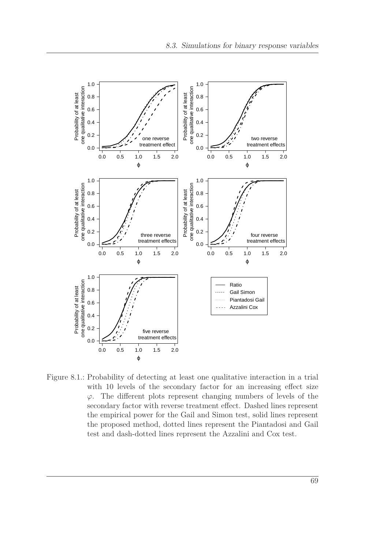<span id="page-82-0"></span>

Figure 8.1.: Probability of detecting at least one qualitative interaction in a trial with 10 levels of the secondary factor for an increasing effect size *ϕ*. The different plots represent changing numbers of levels of the secondary factor with reverse treatment effect. Dashed lines represent the empirical power for the Gail and Simon test, solid lines represent the proposed method, dotted lines represent the Piantadosi and Gail test and dash-dotted lines represent the Azzalini and Cox test.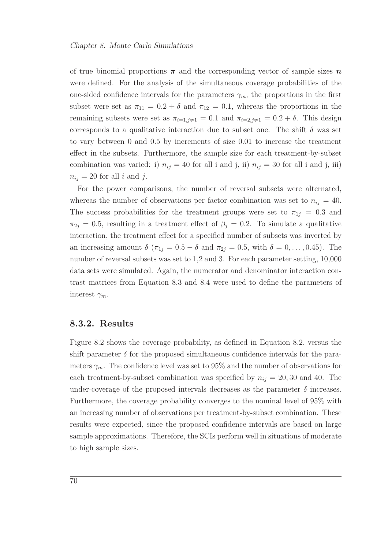of true binomial proportions  $\pi$  and the corresponding vector of sample sizes  $n$ were defined. For the analysis of the simultaneous coverage probabilities of the one-sided confidence intervals for the parameters  $\gamma_m$ , the proportions in the first subset were set as  $\pi_{11} = 0.2 + \delta$  and  $\pi_{12} = 0.1$ , whereas the proportions in the remaining subsets were set as  $\pi_{i=1,j\neq 1} = 0.1$  and  $\pi_{i=2,j\neq 1} = 0.2 + \delta$ . This design corresponds to a qualitative interaction due to subset one. The shift  $\delta$  was set to vary between 0 and 0.5 by increments of size 0.01 to increase the treatment effect in the subsets. Furthermore, the sample size for each treatment-by-subset combination was varied: i)  $n_{ij} = 40$  for all i and j, ii)  $n_{ij} = 30$  for all i and j, iii)  $n_{ij} = 20$  for all *i* and *j*.

For the power comparisons, the number of reversal subsets were alternated, whereas the number of observations per factor combination was set to  $n_{ij} = 40$ . The success probabilities for the treatment groups were set to  $\pi_{1j} = 0.3$  and  $\pi_{2j} = 0.5$ , resulting in a treatment effect of  $\beta_j = 0.2$ . To simulate a qualitative interaction, the treatment effect for a specified number of subsets was inverted by an increasing amount  $\delta (\pi_{1j} = 0.5 - \delta \text{ and } \pi_{2j} = 0.5, \text{ with } \delta = 0, \ldots, 0.45).$  The number of reversal subsets was set to 1,2 and 3. For each parameter setting,  $10,000$ data sets were simulated. Again, the numerator and denominator interaction contrast matrices from Equation [8.3](#page-80-0) and [8.4](#page-80-1) were used to define the parameters of interest  $\gamma_m$ .

#### **8.3.2. Results**

Figure [8.2](#page-84-0) shows the coverage probability, as defined in Equation [8.2,](#page-79-0) versus the shift parameter  $\delta$  for the proposed simultaneous confidence intervals for the parameters  $\gamma_m$ . The confidence level was set to 95% and the number of observations for each treatment-by-subset combination was specified by  $n_{ij} = 20,30$  and 40. The under-coverage of the proposed intervals decreases as the parameter  $\delta$  increases. Furthermore, the coverage probability converges to the nominal level of 95% with an increasing number of observations per treatment-by-subset combination. These results were expected, since the proposed confidence intervals are based on large sample approximations. Therefore, the SCIs perform well in situations of moderate to high sample sizes.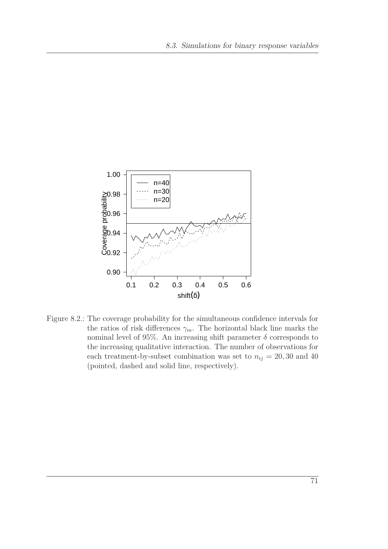<span id="page-84-0"></span>

Figure 8.2.: The coverage probability for the simultaneous confidence intervals for the ratios of risk differences  $\gamma_m$ . The horizontal black line marks the nominal level of 95%. An increasing shift parameter  $\delta$  corresponds to the increasing qualitative interaction. The number of observations for each treatment-by-subset combination was set to  $n_{ij} = 20, 30$  and 40 (pointed, dashed and solid line, respectively).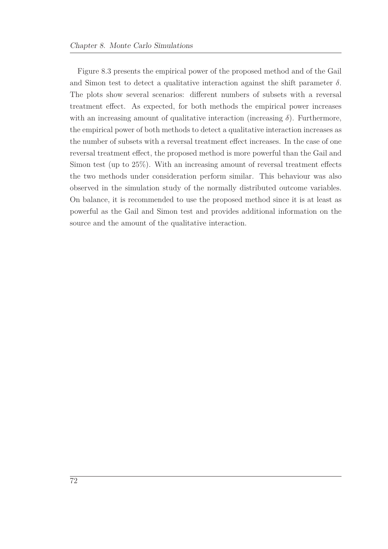Figure [8.3](#page-86-0) presents the empirical power of the proposed method and of the Gail and Simon test to detect a qualitative interaction against the shift parameter  $\delta$ . The plots show several scenarios: different numbers of subsets with a reversal treatment effect. As expected, for both methods the empirical power increases with an increasing amount of qualitative interaction (increasing  $\delta$ ). Furthermore, the empirical power of both methods to detect a qualitative interaction increases as the number of subsets with a reversal treatment effect increases. In the case of one reversal treatment effect, the proposed method is more powerful than the Gail and Simon test (up to 25%). With an increasing amount of reversal treatment effects the two methods under consideration perform similar. This behaviour was also observed in the simulation study of the normally distributed outcome variables. On balance, it is recommended to use the proposed method since it is at least as powerful as the Gail and Simon test and provides additional information on the source and the amount of the qualitative interaction.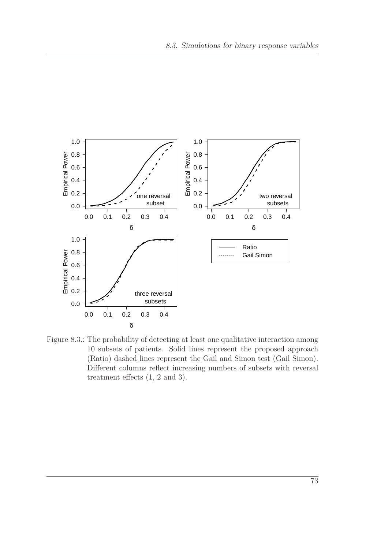<span id="page-86-0"></span>

Figure 8.3.: The probability of detecting at least one qualitative interaction among 10 subsets of patients. Solid lines represent the proposed approach (Ratio) dashed lines represent the Gail and Simon test (Gail Simon). Different columns reflect increasing numbers of subsets with reversal treatment effects (1, 2 and 3).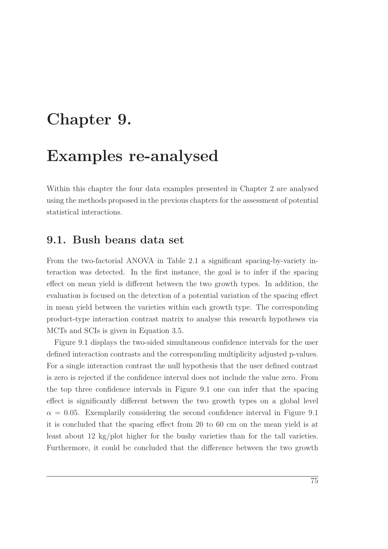## **Chapter 9.**

## **Examples re-analysed**

Within this chapter the four data examples presented in Chapter [2](#page-20-0) are analysed using the methods proposed in the previous chapters for the assessment of potential statistical interactions.

#### **9.1. Bush beans data set**

From the two-factorial ANOVA in Table [2.1](#page-21-0) a significant spacing-by-variety interaction was detected. In the first instance, the goal is to infer if the spacing effect on mean yield is different between the two growth types. In addition, the evaluation is focused on the detection of a potential variation of the spacing effect in mean yield between the varieties within each growth type. The corresponding product-type interaction contrast matrix to analyse this research hypotheses via MCTs and SCIs is given in Equation [3.5.](#page-37-0)

Figure [9.1](#page-89-0) displays the two-sided simultaneous confidence intervals for the user defined interaction contrasts and the corresponding multiplicity adjusted p-values. For a single interaction contrast the null hypothesis that the user defined contrast is zero is rejected if the confidence interval does not include the value zero. From the top three confidence intervals in Figure [9.1](#page-89-0) one can infer that the spacing effect is significantly different between the two growth types on a global level  $\alpha = 0.05$ . Exemplarily considering the second confidence interval in Figure [9.1](#page-89-0) it is concluded that the spacing effect from 20 to 60 cm on the mean yield is at least about 12 kg/plot higher for the bushy varieties than for the tall varieties. Furthermore, it could be concluded that the difference between the two growth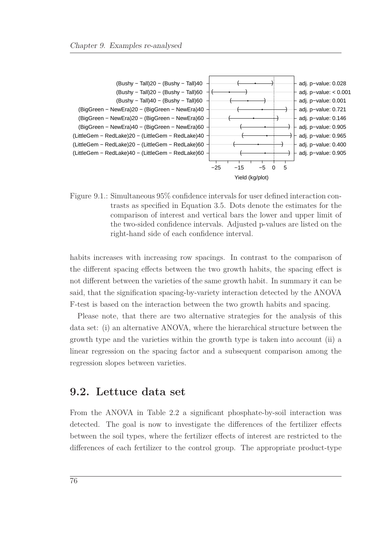<span id="page-89-0"></span>

Figure 9.1.: Simultaneous 95% confidence intervals for user defined interaction contrasts as specified in Equation [3.5.](#page-37-0) Dots denote the estimates for the comparison of interest and vertical bars the lower and upper limit of the two-sided confidence intervals. Adjusted p-values are listed on the right-hand side of each confidence interval.

habits increases with increasing row spacings. In contrast to the comparison of the different spacing effects between the two growth habits, the spacing effect is not different between the varieties of the same growth habit. In summary it can be said, that the signification spacing-by-variety interaction detected by the ANOVA F-test is based on the interaction between the two growth habits and spacing.

Please note, that there are two alternative strategies for the analysis of this data set: (i) an alternative ANOVA, where the hierarchical structure between the growth type and the varieties within the growth type is taken into account (ii) a linear regression on the spacing factor and a subsequent comparison among the regression slopes between varieties.

### **9.2. Lettuce data set**

From the ANOVA in Table [2.2](#page-24-1) a significant phosphate-by-soil interaction was detected. The goal is now to investigate the differences of the fertilizer effects between the soil types, where the fertilizer effects of interest are restricted to the differences of each fertilizer to the control group. The appropriate product-type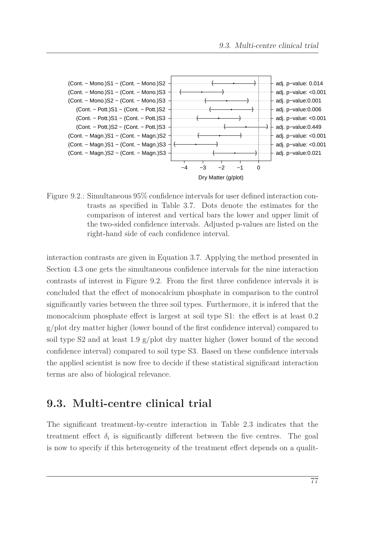<span id="page-90-0"></span>

Figure 9.2.: Simultaneous 95% confidence intervals for user defined interaction contrasts as specified in Table [3.7.](#page-38-0) Dots denote the estimates for the comparison of interest and vertical bars the lower and upper limit of the two-sided confidence intervals. Adjusted p-values are listed on the right-hand side of each confidence interval.

interaction contrasts are given in Equation [3.7.](#page-38-0) Applying the method presented in Section [4.3](#page-47-0) one gets the simultaneous confidence intervals for the nine interaction contrasts of interest in Figure [9.2.](#page-90-0) From the first three confidence intervals it is concluded that the effect of monocalcium phosphate in comparison to the control significantly varies between the three soil types. Furthermore, it is infered that the monocalcium phosphate effect is largest at soil type S1: the effect is at least 0.2 g/plot dry matter higher (lower bound of the first confidence interval) compared to soil type S2 and at least 1.9 g/plot dry matter higher (lower bound of the second confidence interval) compared to soil type S3. Based on these confidence intervals the applied scientist is now free to decide if these statistical significant interaction terms are also of biological relevance.

### **9.3. Multi-centre clinical trial**

The significant treatment-by-centre interaction in Table [2.3](#page-25-0) indicates that the treatment effect  $\delta_i$  is significantly different between the five centres. The goal is now to specify if this heterogeneity of the treatment effect depends on a qualit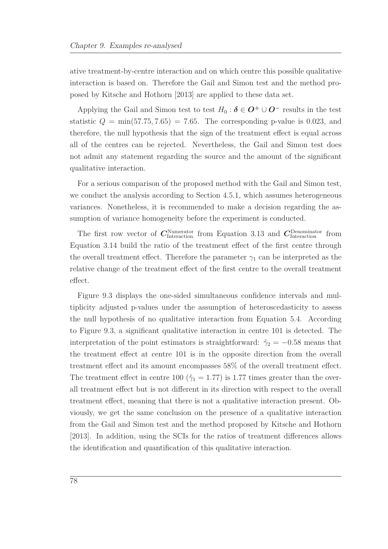ative treatment-by-centre interaction and on which centre this possible qualitative interaction is based on. Therefore the Gail and Simon test and the method proposed by [Kitsche and Hothorn \[2013](#page-106-0)] are applied to these data set.

Applying the Gail and Simon test to test  $H_0: \delta \in \mathbf{O}^+ \cup \mathbf{O}^-$  results in the test statistic  $Q = \min(57.75, 7.65) = 7.65$ . The corresponding p-value is 0.023, and therefore, the null hypothesis that the sign of the treatment effect is equal across all of the centres can be rejected. Nevertheless, the Gail and Simon test does not admit any statement regarding the source and the amount of the significant qualitative interaction.

For a serious comparison of the proposed method with the Gail and Simon test, we conduct the analysis according to Section [4.5.1,](#page-50-0) which assumes heterogeneous variances. Nonetheless, it is recommended to make a decision regarding the assumption of variance homogeneity before the experiment is conducted.

The first row vector of  $C_{\text{Interaction}}^{\text{Numerator}}$  from Equation [3.13](#page-42-0) and  $C_{\text{Interaction}}^{\text{Denominator}}$  from Equation [3.14](#page-42-1) build the ratio of the treatment effect of the first centre through the overall treatment effect. Therefore the parameter  $\gamma_1$  can be interpreted as the relative change of the treatment effect of the first centre to the overall treatment effect.

Figure [9.3](#page-92-0) displays the one-sided simultaneous confidence intervals and multiplicity adjusted p-values under the assumption of heteroscedasticity to assess the null hypothesis of no qualitative interaction from Equation [5.4.](#page-62-0) According to Figure [9.3,](#page-92-0) a significant qualitative interaction in centre 101 is detected. The interpretation of the point estimators is straightforward:  $\hat{\gamma}_2 = -0.58$  means that the treatment effect at centre 101 is in the opposite direction from the overall treatment effect and its amount encompasses 58% of the overall treatment effect. The treatment effect in centre 100 ( $\hat{\gamma}_1 = 1.77$ ) is 1.77 times greater than the overall treatment effect but is not different in its direction with respect to the overall treatment effect, meaning that there is not a qualitative interaction present. Obviously, we get the same conclusion on the presence of a qualitative interaction from the Gail and Simon test and the method proposed by [Kitsche and Hothorn](#page-106-0) [\[2013\]](#page-106-0). In addition, using the SCIs for the ratios of treatment differences allows the identification and quantification of this qualitative interaction.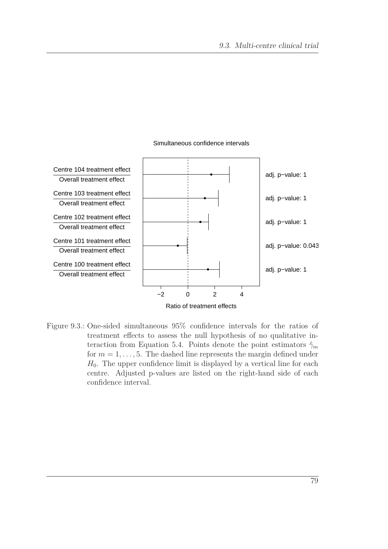<span id="page-92-0"></span>

#### Simultaneous confidence intervals

Figure 9.3.: One-sided simultaneous 95% confidence intervals for the ratios of treatment effects to assess the null hypothesis of no qualitative in-teraction from Equation [5.4.](#page-62-0) Points denote the point estimators  $\hat{\gamma}_m$ for  $m = 1, \ldots, 5$ . The dashed line represents the margin defined under  $H_0$ . The upper confidence limit is displayed by a vertical line for each centre. Adjusted p-values are listed on the right-hand side of each confidence interval.

79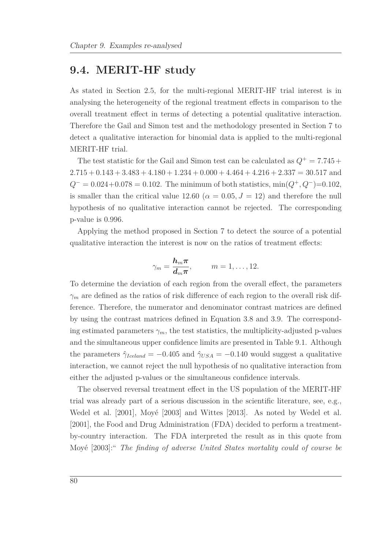### **9.4. MERIT-HF study**

As stated in Section [2.5,](#page-26-0) for the multi-regional MERIT-HF trial interest is in analysing the heterogeneity of the regional treatment effects in comparison to the overall treatment effect in terms of detecting a potential qualitative interaction. Therefore the Gail and Simon test and the methodology presented in Section [7](#page-72-0) to detect a qualitative interaction for binomial data is applied to the multi-regional MERIT-HF trial.

The test statistic for the Gail and Simon test can be calculated as  $Q^+ = 7.745 +$  $2.715 + 0.143 + 3.483 + 4.180 + 1.234 + 0.000 + 4.464 + 4.216 + 2.337 = 30.517$  and  $Q^- = 0.024 + 0.078 = 0.102$ . The minimum of both statistics, min $(Q^+, Q^-)=0.102$ , is smaller than the critical value 12.60 ( $\alpha = 0.05, J = 12$ ) and therefore the null hypothesis of no qualitative interaction cannot be rejected. The corresponding p-value is 0.996.

Applying the method proposed in Section [7](#page-72-0) to detect the source of a potential qualitative interaction the interest is now on the ratios of treatment effects:

$$
\gamma_m = \frac{\mathbf{h}_m \pi}{\mathbf{d}_m \pi}, \qquad m = 1, \dots, 12.
$$

To determine the deviation of each region from the overall effect, the parameters *γ<sup>m</sup>* are defined as the ratios of risk difference of each region to the overall risk difference. Therefore, the numerator and denominator contrast matrices are defined by using the contrast matrices defined in Equation [3.8](#page-39-0) and [3.9.](#page-39-1) The corresponding estimated parameters  $\gamma_m$ , the test statistics, the multiplicity-adjusted p-values and the simultaneous upper confidence limits are presented in Table [9.1.](#page-94-0) Although the parameters  $\hat{\gamma}_{\text{Iceland}} = -0.405$  and  $\hat{\gamma}_{\text{USA}} = -0.140$  would suggest a qualitative interaction, we cannot reject the null hypothesis of no qualitative interaction from either the adjusted p-values or the simultaneous confidence intervals.

The observed reversal treatment effect in the US population of the MERIT-HF trial was already part of a serious discussion in the scientific literature, see, e.g., [Wedel et al. \[2001](#page-108-0)], [Moyé \[2003\]](#page-106-1) and [Wittes \[2013\]](#page-109-0). As noted by [Wedel et al.](#page-108-0) [\[2001\]](#page-108-0), the Food and Drug Administration (FDA) decided to perform a treatmentby-country interaction. The FDA interpreted the result as in this quote from [Moyé \[2003](#page-106-1)]:" *The finding of adverse United States mortality could of course be*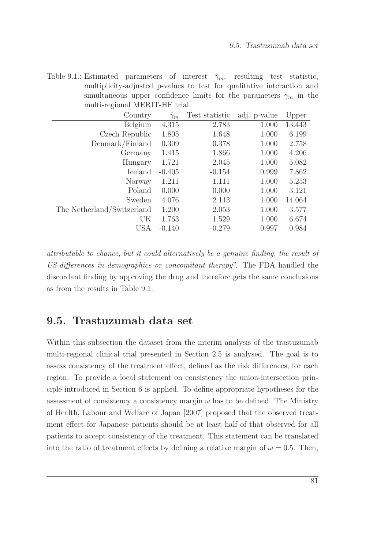| muniphenty-acquisited p-vances to test for quamative mediatrion and       |                  |                |              |        |  |  |  |  |  |  |  |
|---------------------------------------------------------------------------|------------------|----------------|--------------|--------|--|--|--|--|--|--|--|
| simultaneous upper confidence limits for the parameters $\gamma_m$ in the |                  |                |              |        |  |  |  |  |  |  |  |
| multi-regional MERIT-HF trial.                                            |                  |                |              |        |  |  |  |  |  |  |  |
| Country                                                                   | $\hat{\gamma}_m$ | Test statistic | adj. p-value | Upper  |  |  |  |  |  |  |  |
| Belgium                                                                   | 4.315            | 2.783          | 1.000        | 13.443 |  |  |  |  |  |  |  |
| Czech Republic                                                            | 1.805            | 1.648          | 1.000        | 6.199  |  |  |  |  |  |  |  |
| Demmark/Finland                                                           | 0.309            | 0.378          | 1.000        | 2.758  |  |  |  |  |  |  |  |
| Germany                                                                   | 1.415            | 1.866          | 1.000        | 4.206  |  |  |  |  |  |  |  |
| Hungary                                                                   | 1.721            | 2.045          | 1.000        | 5.082  |  |  |  |  |  |  |  |
| Iceland                                                                   | $-0.405$         | $-0.154$       | 0.999        | 7.862  |  |  |  |  |  |  |  |
| Norway                                                                    | 1.211            | 1.111          | 1.000        | 5.253  |  |  |  |  |  |  |  |
| Poland                                                                    | 0.000            | 0.000          | 1.000        | 3.121  |  |  |  |  |  |  |  |
| Sweden                                                                    | 4.076            | 2.113          | 1.000        | 14.064 |  |  |  |  |  |  |  |
| The Netherland/Switzerland                                                | 1.200            | 2.053          | 1.000        | 3.577  |  |  |  |  |  |  |  |
| UK                                                                        | 1.763            | 1.529          | 1.000        | 6.674  |  |  |  |  |  |  |  |

<span id="page-94-0"></span>Table 9.1.: Estimated parameters of interest  $\hat{\gamma}_m$ , resulting test statistic, multiplicity-adjusted p-values to test for qualitative interaction and simultaneous upper confidence limits for the parameters  $\gamma_m$  in the

*attributable to chance, but it could alternatively be a genuine finding, the result of US-differences in demographics or concomitant therapy*". The FDA handled the discordant finding by approving the drug and therefore gets the same conclusions as from the results in Table [9.1.](#page-94-0)

USA -0.140 -0.279 0.997 0.984

### **9.5. Trastuzumab data set**

Within this subsection the dataset from the interim analysis of the trastuzumab multi-regional clinical trial presented in Section [2.5](#page-26-0) is analysed. The goal is to assess consistency of the treatment effect, defined as the risk differences, for each region. To provide a local statement on consistency the union-intersection principle introduced in Section [6](#page-69-0) is applied. To define appropriate hypotheses for the assessment of consistency a consistency margin  $\omega$  has to be defined. The Ministry of Health, Labour and Welfare of Japan [\[2007](#page-106-2)] proposed that the observed treatment effect for Japanese patients should be at least half of that observed for all patients to accept consistency of the treatment. This statement can be translated into the ratio of treatment effects by defining a relative margin of  $\omega = 0.5$ . Then,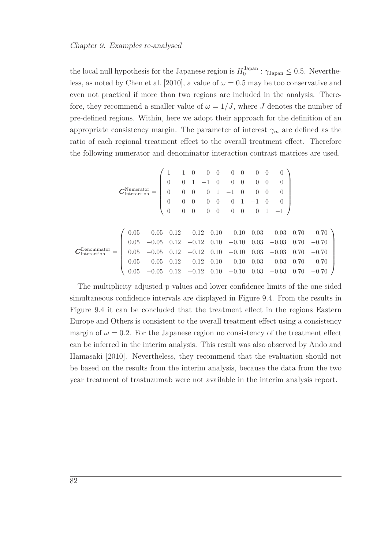the local null hypothesis for the Japanese region is  $H_0^{\text{Japan}}$  $v_0^{\text{Japan}}$ :  $\gamma_{\text{Japan}} \leq 0.5$ . Neverthe-less, as noted by [Chen et al. \[2010](#page-103-1)], a value of  $\omega = 0.5$  may be too conservative and even not practical if more than two regions are included in the analysis. Therefore, they recommend a smaller value of  $\omega = 1/J$ , where *J* denotes the number of pre-defined regions. Within, here we adopt their approach for the definition of an appropriate consistency margin. The parameter of interest  $\gamma_m$  are defined as the ratio of each regional treatment effect to the overall treatment effect. Therefore the following numerator and denominator interaction contrast matrices are used.

$$
\mathbf{C}_{\text{Interaction}}^{\text{Numerator}} = \begin{pmatrix} 1 & -1 & 0 & 0 & 0 & 0 & 0 & 0 & 0 & 0 & 0 \\ 0 & 0 & 1 & -1 & 0 & 0 & 0 & 0 & 0 & 0 \\ 0 & 0 & 0 & 0 & 1 & -1 & 0 & 0 & 0 & 0 \\ 0 & 0 & 0 & 0 & 0 & 0 & 1 & -1 & 0 & 0 \\ 0 & 0 & 0 & 0 & 0 & 0 & 0 & 1 & -1 \end{pmatrix}
$$

$$
\mathbf{C}_{\text{Interaction}}^{\text{Denominator}} = \begin{pmatrix} 0.05 & -0.05 & 0.12 & -0.12 & 0.10 & -0.10 & 0.03 & -0.03 & 0.70 & -0.70 \\ 0.05 & -0.05 & 0.12 & -0.12 & 0.10 & -0.10 & 0.03 & -0.03 & 0.70 & -0.70 \\ 0.05 & -0.05 & 0.12 & -0.12 & 0.10 & -0.10 & 0.03 & -0.03 & 0.70 & -0.70 \\ 0.05 & -0.05 & 0.12 & -0.12 & 0.10 & -0.10 & 0.03 & -0.03 & 0.70 & -0.70 \\ 0.05 & -0.05 & 0.12 & -0.12 & 0.10 & -0.10 & 0.03 & -0.03 & 0.70 & -0.70 \end{pmatrix}
$$

The multiplicity adjusted p-values and lower confidence limits of the one-sided simultaneous confidence intervals are displayed in Figure [9.4.](#page-96-0) From the results in Figure [9.4](#page-96-0) it can be concluded that the treatment effect in the regions Eastern Europe and Others is consistent to the overall treatment effect using a consistency margin of  $\omega = 0.2$ . For the Japanese region no consistency of the treatment effect can be inf[erred in the interim analysis. This result was also observed by](#page-102-4) Ando and Hamasaki [\[2010\]](#page-102-4). Nevertheless, they recommend that the evaluation should not be based on the results from the interim analysis, because the data from the two year treatment of trastuzumab were not available in the interim analysis report.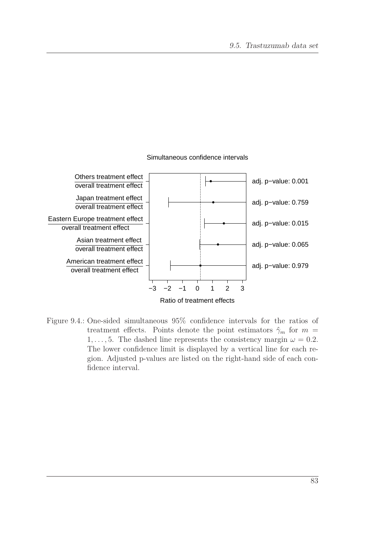<span id="page-96-0"></span>

#### Simultaneous confidence intervals

Figure 9.4.: One-sided simultaneous 95% confidence intervals for the ratios of treatment effects. Points denote the point estimators  $\hat{\gamma}_m$  for  $m =$ 1, ..., 5. The dashed line represents the consistency margin  $\omega = 0.2$ . The lower confidence limit is displayed by a vertical line for each region. Adjusted p-values are listed on the right-hand side of each confidence interval.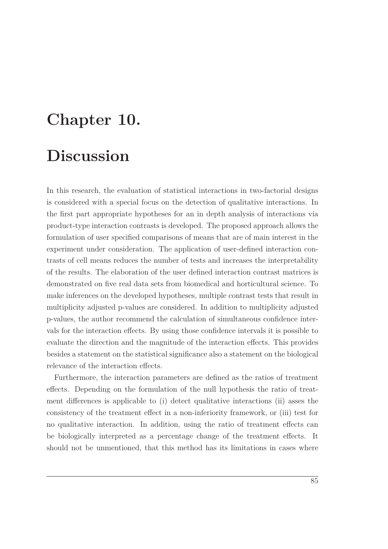## **Chapter 10.**

## **Discussion**

In this research, the evaluation of statistical interactions in two-factorial designs is considered with a special focus on the detection of qualitative interactions. In the first part appropriate hypotheses for an in depth analysis of interactions via product-type interaction contrasts is developed. The proposed approach allows the formulation of user specified comparisons of means that are of main interest in the experiment under consideration. The application of user-defined interaction contrasts of cell means reduces the number of tests and increases the interpretability of the results. The elaboration of the user defined interaction contrast matrices is demonstrated on five real data sets from biomedical and horticultural science. To make inferences on the developed hypotheses, multiple contrast tests that result in multiplicity adjusted p-values are considered. In addition to multiplicity adjusted p-values, the author recommend the calculation of simultaneous confidence intervals for the interaction effects. By using those confidence intervals it is possible to evaluate the direction and the magnitude of the interaction effects. This provides besides a statement on the statistical significance also a statement on the biological relevance of the interaction effects.

Furthermore, the interaction parameters are defined as the ratios of treatment effects. Depending on the formulation of the null hypothesis the ratio of treatment differences is applicable to (i) detect qualitative interactions (ii) asses the consistency of the treatment effect in a non-inferiority framework, or (iii) test for no qualitative interaction. In addition, using the ratio of treatment effects can be biologically interpreted as a percentage change of the treatment effects. It should not be unmentioned, that this method has its limitations in cases where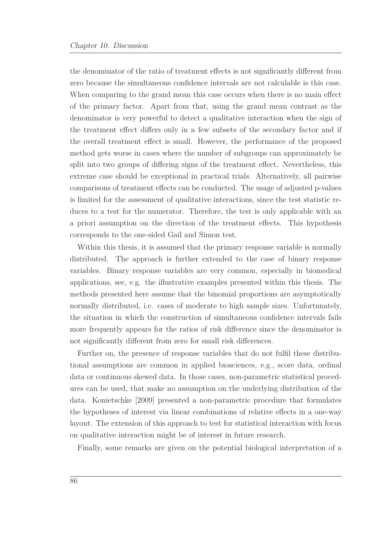the denominator of the ratio of treatment effects is not significantly different from zero because the simultaneous confidence intervals are not calculable is this case. When comparing to the grand mean this case occurs when there is no main effect of the primary factor. Apart from that, using the grand mean contrast as the denominator is very powerful to detect a qualitative interaction when the sign of the treatment effect differs only in a few subsets of the secondary factor and if the overall treatment effect is small. However, the performance of the proposed method gets worse in cases where the number of subgroups can approximately be split into two groups of differing signs of the treatment effect. Nevertheless, this extreme case should be exceptional in practical trials. Alternatively, all pairwise comparisons of treatment effects can be conducted. The usage of adjusted p-values is limited for the assessment of qualitative interactions, since the test statistic reduces to a test for the numerator. Therefore, the test is only applicable with an a priori assumption on the direction of the treatment effects. This hypothesis corresponds to the one-sided Gail and Simon test.

Within this thesis, it is assumed that the primary response variable is normally distributed. The approach is further extended to the case of binary response variables. Binary response variables are very common, especially in biomedical applications, see, e.g. the illustrative examples presented within this thesis. The methods presented here assume that the binomial proportions are asymptotically normally distributed, i.e. cases of moderate to high sample sizes. Unfortunately, the situation in which the construction of simultaneous confidence intervals fails more frequently appears for the ratios of risk difference since the denominator is not significantly different from zero for small risk differences.

Further on, the presence of response variables that do not fulfil these distributional assumptions are common in applied biosciences, e.g., score data, ordinal data or continuous skewed data. In those cases, non-parametric statistical procedures can be used, that make no assumption on the underlying distribution of the data. [Konietschke \[2009\]](#page-106-3) presented a non-parametric procedure that formulates the hypotheses of interest via linear combinations of relative effects in a one-way layout. The extension of this approach to test for statistical interaction with focus on qualitative interaction might be of interest in future research.

Finally, some remarks are given on the potential biological interpretation of a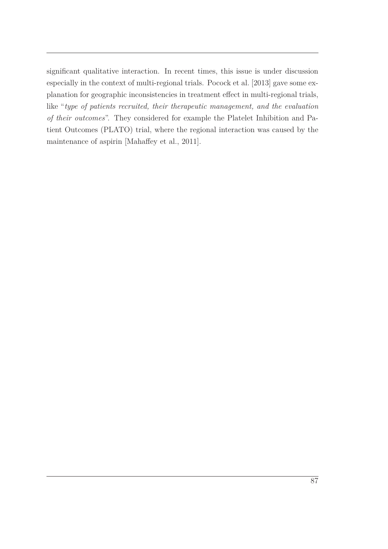significant qualitative interaction. In recent times, this issue is under discussion especially in the context of multi-regional trials. [Pocock et](#page-107-3) al. [\[2013](#page-107-3)] gave some explanation for geographic inconsistencies in treatment effect in multi-regional trials, like "*type of patients recruited, their therapeutic management, and the evaluation of their outcomes*". They considered for example the Platelet Inhibition and Patient Outcomes (PLATO) trial, where the regional interaction was caused by the maintenance of aspirin [\[Mahaffey et al.](#page-106-4), [2011](#page-106-4)].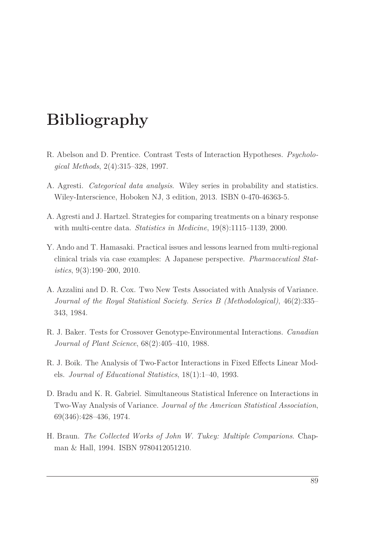## **Bibliography**

- R. Abelson and D. Prentice. Contrast Tests of Interaction Hypotheses. *Psychological Methods*, 2(4):315–328, 1997.
- <span id="page-102-1"></span>A. Agresti. *Categorical data analysis*. Wiley series in probability and statistics. Wiley-Interscience, Hoboken NJ, 3 edition, 2013. ISBN 0-470-46363-5.
- <span id="page-102-2"></span>A. Agresti and J. Hartzel. Strategies for comparing treatments on a binary response with multi-centre data. *Statistics in Medicine*, 19(8):1115–1139, 2000.
- <span id="page-102-4"></span>Y. Ando and T. Hamasaki. Practical issues and lessons learned from multi-regional clinical trials via case examples: A Japanese perspective. *Pharmaceutical Statistics*, 9(3):190–200, 2010.
- <span id="page-102-3"></span>A. Azzalini and D. R. Cox. Two New Tests Associated with Analysis of Variance. *Journal of the Royal Statistical Society. Series B (Methodological)*, 46(2):335– 343, 1984.
- <span id="page-102-0"></span>R. J. Baker. Tests for Crossover Genotype-Environmental Interactions. *Canadian Journal of Plant Science*, 68(2):405–410, 1988.
- R. J. Boik. The Analysis of Two-Factor Interactions in Fixed Effects Linear Models. *Journal of Educational Statistics*, 18(1):1–40, 1993.
- D. Bradu and K. R. Gabriel. Simultaneous Statistical Inference on Interactions in Two-Way Analysis of Variance. *Journal of the American Statistical Association*, 69(346):428–436, 1974.
- H. Braun. *The Collected Works of John W. Tukey: Multiple Comparions*. Chapman & Hall, 1994. ISBN 9780412051210.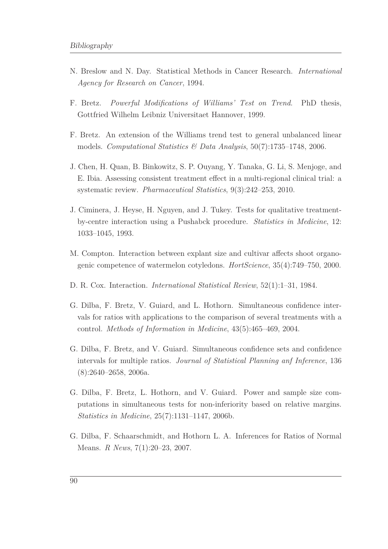- <span id="page-103-0"></span>N. Breslow and N. Day. Statistical Methods in Cancer Research. *International Agency for Research on Cancer*, 1994.
- F. Bretz. *Powerful Modifications of Williams' Test on Trend*. PhD thesis, Gottfried Wilhelm Leibniz Universitaet Hannover, 1999.
- F. Bretz. An extension of the Williams trend test to general unbalanced linear models. *Computational Statistics & Data Analysis*, 50(7):1735–1748, 2006.
- <span id="page-103-1"></span>J. Chen, H. Quan, B. Binkowitz, S. P. Ouyang, Y. Tanaka, G. Li, S. Menjoge, and E. Ibia. Assessing consistent treatment effect in a multi-regional clinical trial: a systematic review. *Pharmaceutical Statistics*, 9(3):242–253, 2010.
- J. Ciminera, J. Heyse, H. Nguyen, and J. Tukey. Tests for qualitative treatmentby-centre interaction using a Pushabck procedure. *Statistics in Medicine*, 12: 1033–1045, 1993.
- M. Compton. Interaction between explant size and cultivar affects shoot organogenic competence of watermelon cotyledons. *HortScience*, 35(4):749–750, 2000.
- D. R. Cox. Interaction. *International Statistical Review*, 52(1):1–31, 1984.
- G. Dilba, F. Bretz, V. Guiard, and L. Hothorn. Simultaneous confidence intervals for ratios with applications to the comparison of several treatments with a control. *Methods of Information in Medicine*, 43(5):465–469, 2004.
- G. Dilba, F. Bretz, and V. Guiard. Simultaneous confidence sets and confidence intervals for multiple ratios. *Journal of Statistical Planning anf Inference*, 136 (8):2640–2658, 2006a.
- G. Dilba, F. Bretz, L. Hothorn, and V. Guiard. Power and sample size computations in simultaneous tests for non-inferiority based on relative margins. *Statistics in Medicine*, 25(7):1131–1147, 2006b.
- G. Dilba, F. Schaarschmidt, and Hothorn L. A. Inferences for Ratios of Normal Means. *R News*, 7(1):20–23, 2007.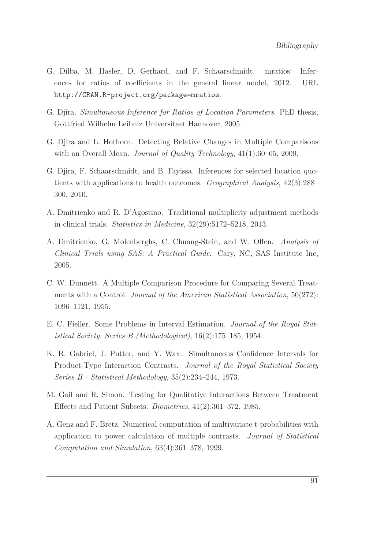- <span id="page-104-2"></span>G. Dilba, M. Hasler, D. Gerhard, and F. Schaarschmidt. mratios: Inferences for ratios of coefficients in the general linear model, 2012. URL <http://CRAN.R-project.org/package=mratios>.
- G. Djira. *Simultaneous Inference for Ratios of Location Parameters*. PhD thesis, Gottfried Wilhelm Leibniz Universitaet Hannover, 2005.
- G. Djira and L. Hothorn. Detecting Relative Changes in Multiple Comparisons with an Overall Mean. *Journal of Quality Technology*, 41(1):60–65, 2009.
- <span id="page-104-1"></span>G. Djira, F. Schaarschmidt, and B. Fayissa. Inferences for selected location quotients with applications to health outcomes. *Geographical Analysis*, 42(3):288– 300, 2010.
- A. Dmitrienko and R. D'Agostino. Traditional multiplicity adjustment methods in clinical trials. *Statistics in Medicine*, 32(29):5172–5218, 2013.
- <span id="page-104-0"></span>A. Dmitrienko, G. Molenberghs, C. Chuang-Stein, and W. Offen. *Analysis of Clinical Trials using SAS: A Practical Guide*. Cary, NC, SAS Institute Inc, 2005.
- C. W. Dunnett. A Multiple Comparison Procedure for Comparing Several Treatments with a Control. *Journal of the American Statistical Association*, 50(272): 1096–1121, 1955.
- E. C. Fieller. Some Problems in Interval Estimation. *Journal of the Royal Statistical Society. Series B (Methodological)*, 16(2):175–185, 1954.
- K. R. Gabriel, J. Putter, and Y. Wax. Simultaneous Confidence Intervals for Product-Type Interaction Contrasts. *Journal of the Royal Statistical Society Series B - Statistical Methodology*, 35(2):234–244, 1973.
- <span id="page-104-3"></span>M. Gail and R. Simon. Testing for Qualitative Interactions Between Treatment Effects and Patient Subsets. *Biometrics*, 41(2):361–372, 1985.
- A. Genz and F. Bretz. Numerical computation of multivariate t-probabilities with application to power calculation of multiple contrasts. *Journal of Statistical Computation and Simulation*, 63(4):361–378, 1999.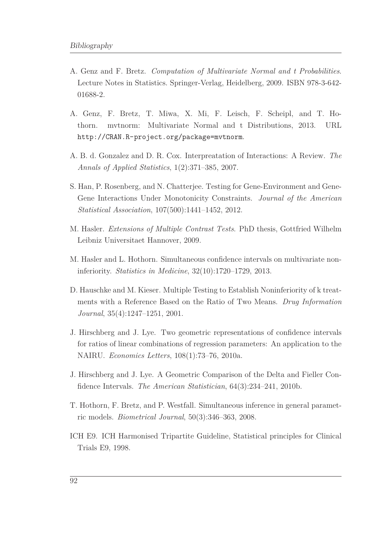- A. Genz and F. Bretz. *Computation of Multivariate Normal and t Probabilities*. Lecture Notes in Statistics. Springer-Verlag, Heidelberg, 2009. ISBN 978-3-642- 01688-2.
- A. Genz, F. Bretz, T. Miwa, X. Mi, F. Leisch, F. Scheipl, and T. Hothorn. mvtnorm: Multivariate Normal and t Distributions, 2013. URL <http://CRAN.R-project.org/package=mvtnorm>.
- A. B. d. Gonzalez and D. R. Cox. Interpreatation of Interactions: A Review. *The Annals of Applied Statistics*, 1(2):371–385, 2007.
- S. Han, P. Rosenberg, and N. Chatterjee. Testing for Gene-Environment and Gene-Gene Interactions Under Monotonicity Constraints. *Journal of the American Statistical Association*, 107(500):1441–1452, 2012.
- M. Hasler. *Extensions of Multiple Contrast Tests*. PhD thesis, Gottfried Wilhelm Leibniz Universitaet Hannover, 2009.
- M. Hasler and L. Hothorn. Simultaneous confidence intervals on multivariate noninferiority. *Statistics in Medicine*, 32(10):1720–1729, 2013.
- D. Hauschke and M. Kieser. Multiple Testing to Establish Noninferiority of k treatments with a Reference Based on the Ratio of Two Means. *Drug Information Journal*, 35(4):1247–1251, 2001.
- J. Hirschberg and J. Lye. Two geometric representations of confidence intervals for ratios of linear combinations of regression parameters: An application to the NAIRU. *Economics Letters*, 108(1):73–76, 2010a.
- J. Hirschberg and J. Lye. A Geometric Comparison of the Delta and Fieller Confidence Intervals. *The American Statistician*, 64(3):234–241, 2010b.
- T. Hothorn, F. Bretz, and P. Westfall. Simultaneous inference in general parametric models. *Biometrical Journal*, 50(3):346–363, 2008.
- ICH E9. ICH Harmonised Tripartite Guideline, Statistical principles for Clinical Trials E9, 1998.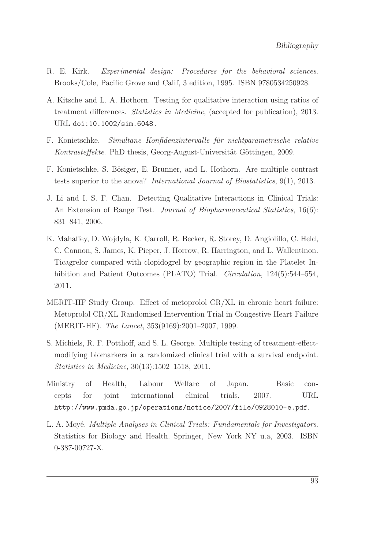- R. E. Kirk. *Experimental design: Procedures for the behavioral sciences*. Brooks/Cole, Pacific Grove and Calif, 3 edition, 1995. ISBN 9780534250928.
- <span id="page-106-0"></span>A. Kitsche and L. A. Hothorn. Testing for qualitative interaction using ratios of treatment differences. *Statistics in Medicine*, (accepted for publication), 2013. URL [doi:10.1002/sim.6048.](doi: 10.1002/sim.6048.)
- <span id="page-106-3"></span>F. Konietschke. *Simultane Konfidenzintervalle für nichtparametrische relative Kontrasteffekte*. PhD thesis, Georg-August-Universität Göttingen, 2009.
- F. Konietschke, S. Bösiger, E. Brunner, and L. Hothorn. Are multiple contrast tests superior to the anova? *International Journal of Biostatistics*, 9(1), 2013.
- J. Li and I. S. F. Chan. Detecting Qualitative Interactions in Clinical Trials: An Extension of Range Test. *Journal of Biopharmaceutical Statistics*, 16(6): 831–841, 2006.
- <span id="page-106-4"></span>K. Mahaffey, D. Wojdyla, K. Carroll, R. Becker, R. Storey, D. Angiolillo, C. Held, C. Cannon, S. James, K. Pieper, J. Horrow, R. Harrington, and L. Wallentinon. Ticagrelor compared with clopidogrel by geographic region in the Platelet Inhibition and Patient Outcomes (PLATO) Trial. *Circulation*, 124(5):544–554, 2011.
- MERIT-HF Study Group. Effect of metoprolol CR/XL in chronic heart failure: Metoprolol CR/XL Randomised Intervention Trial in Congestive Heart Failure (MERIT-HF). *The Lancet*, 353(9169):2001–2007, 1999.
- S. Michiels, R. F. Potthoff, and S. L. George. Multiple testing of treatment-effectmodifying biomarkers in a randomized clinical trial with a survival endpoint. *Statistics in Medicine*, 30(13):1502–1518, 2011.
- <span id="page-106-2"></span>Ministry of Health, Labour Welfare of Japan. Basic concepts for joint international clinical trials, 2007. URL <http://www.pmda.go.jp/operations/notice/2007/file/0928010-e.pdf>.
- <span id="page-106-1"></span>L. A. Moyé. *Multiple Analyses in Clinical Trials: Fundamentals for Investigators*. Statistics for Biology and Health. Springer, New York NY u.a, 2003. ISBN 0-387-00727-X.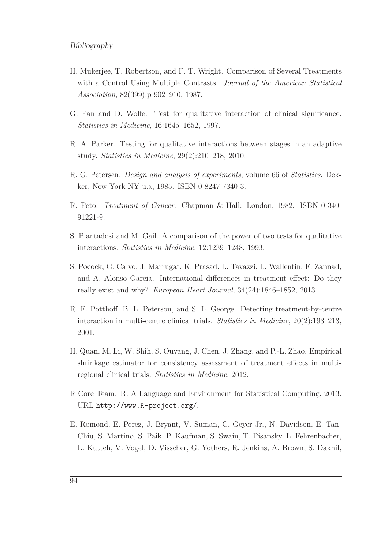- H. Mukerjee, T. Robertson, and F. T. Wright. Comparison of Several Treatments with a Control Using Multiple Contrasts. *Journal of the American Statistical Association*, 82(399):p 902–910, 1987.
- G. Pan and D. Wolfe. Test for qualitative interaction of clinical significance. *Statistics in Medicine*, 16:1645–1652, 1997.
- R. A. Parker. Testing for qualitative interactions between stages in an adaptive study. *Statistics in Medicine*, 29(2):210–218, 2010.
- R. G. Petersen. *Design and analysis of experiments*, volume 66 of *Statistics*. Dekker, New York NY u.a, 1985. ISBN 0-8247-7340-3.
- <span id="page-107-0"></span>R. Peto. *Treatment of Cancer*. Chapman & Hall: London, 1982. ISBN 0-340- 91221-9.
- <span id="page-107-2"></span>S. Piantadosi and M. Gail. A comparison of the power of two tests for qualitative interactions. *Statistics in Medicine*, 12:1239–1248, 1993.
- <span id="page-107-3"></span>S. Pocock, G. Calvo, J. Marrugat, K. Prasad, L. Tavazzi, L. Wallentin, F. Zannad, and A. Alonso Garcia. International differences in treatment effect: Do they really exist and why? *European Heart Journal*, 34(24):1846–1852, 2013.
- R. F. Potthoff, B. L. Peterson, and S. L. George. Detecting treatment-by-centre interaction in multi-centre clinical trials. *Statistics in Medicine*, 20(2):193–213, 2001.
- H. Quan, M. Li, W. Shih, S. Ouyang, J. Chen, J. Zhang, and P.-L. Zhao. Empirical shrinkage estimator for consistency assessment of treatment effects in multiregional clinical trials. *Statistics in Medicine*, 2012.
- <span id="page-107-1"></span>R Core Team. R: A Language and Environment for Statistical Computing, 2013. URL <http://www.R-project.org/>.
- E. Romond, E. Perez, J. Bryant, V. Suman, C. Geyer Jr., N. Davidson, E. Tan-Chiu, S. Martino, S. Paik, P. Kaufman, S. Swain, T. Pisansky, L. Fehrenbacher, L. Kutteh, V. Vogel, D. Visscher, G. Yothers, R. Jenkins, A. Brown, S. Dakhil,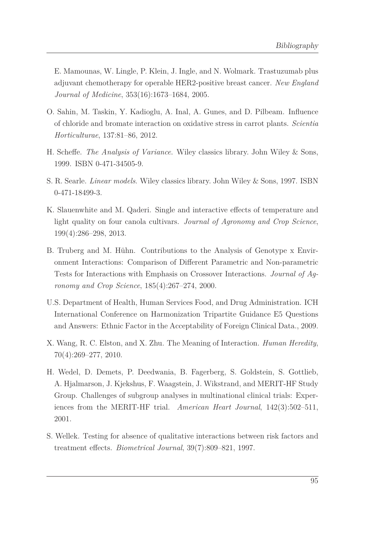E. Mamounas, W. Lingle, P. Klein, J. Ingle, and N. Wolmark. Trastuzumab plus adjuvant chemotherapy for operable HER2-positive breast cancer. *New England Journal of Medicine*, 353(16):1673–1684, 2005.

- O. Sahin, M. Taskin, Y. Kadioglu, A. Inal, A. Gunes, and D. Pilbeam. Influence of chloride and bromate interaction on oxidative stress in carrot plants. *Scientia Horticulturae*, 137:81–86, 2012.
- H. Scheffe. *The Analysis of Variance*. Wiley classics library. John Wiley & Sons, 1999. ISBN 0-471-34505-9.
- S. R. Searle. *Linear models*. Wiley classics library. John Wiley & Sons, 1997. ISBN 0-471-18499-3.
- K. Slauenwhite and M. Qaderi. Single and interactive effects of temperature and light quality on four canola cultivars. *Journal of Agronomy and Crop Science*, 199(4):286–298, 2013.
- B. Truberg and M. Hühn. Contributions to the Analysis of Genotype x Environment Interactions: Comparison of Different Parametric and Non-parametric Tests for Interactions with Emphasis on Crossover Interactions. *Journal of Agronomy and Crop Science*, 185(4):267–274, 2000.
- U.S. Department of Health, Human Services Food, and Drug Administration. ICH International Conference on Harmonization Tripartite Guidance E5 Questions and Answers: Ethnic Factor in the Acceptability of Foreign Clinical Data., 2009.
- X. Wang, R. C. Elston, and X. Zhu. The Meaning of Interaction. *Human Heredity*, 70(4):269–277, 2010.
- H. Wedel, D. Demets, P. Deedwania, B. Fagerberg, S. Goldstein, S. Gottlieb, A. Hjalmarson, J. Kjekshus, F. Waagstein, J. Wikstrand, and MERIT-HF Study Group. Challenges of subgroup analyses in multinational clinical trials: Experiences from the MERIT-HF trial. *American Heart Journal*, 142(3):502–511, 2001.
- S. Wellek. Testing for absence of qualitative interactions between risk factors and treatment effects. *Biometrical Journal*, 39(7):809–821, 1997.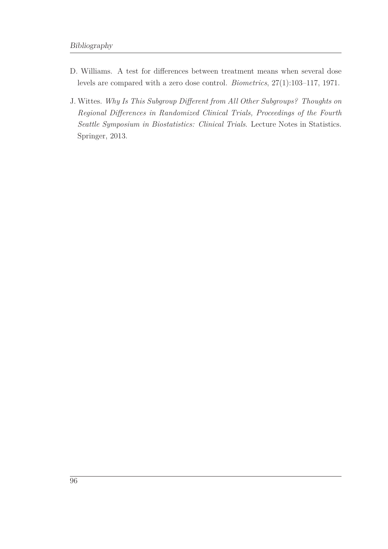- D. Williams. A test for differences between treatment means when several dose levels are compared with a zero dose control. *Biometrics*, 27(1):103–117, 1971.
- J. Wittes. *Why Is This Subgroup Different from All Other Subgroups? Thoughts on Regional Differences in Randomized Clinical Trials, Proceedings of the Fourth Seattle Symposium in Biostatistics: Clinical Trials*. Lecture Notes in Statistics. Springer, 2013.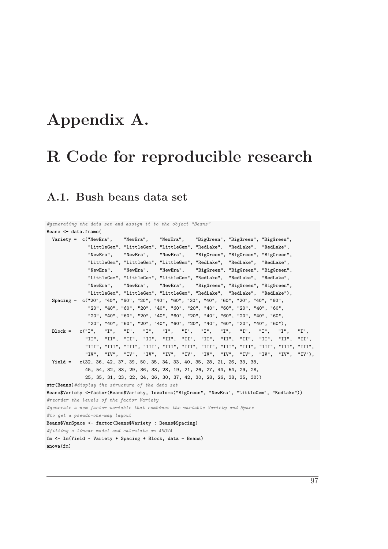# **Appendix A.**

# **R Code for reproducible research**

#### **A.1. Bush beans data set**

```
#generating the data set and assign it to the object "Beans"
Beans <- data.frame(
  Variety = c("NewEra", "NewEra", "NewEra", "BigGreen", "BigGreen", "BigGreen",
              "LittleGem", "LittleGem", "LittleGem", "RedLake", "RedLake", "RedLake",
              "NewEra", "NewEra", "NewEra", "BigGreen", "BigGreen", "BigGreen",
              "LittleGem", "LittleGem", "LittleGem", "RedLake", "RedLake", "RedLake",
              "NewEra", "NewEra", "NewEra", "BigGreen", "BigGreen", "BigGreen",
              "LittleGem", "LittleGem", "LittleGem", "RedLake", "RedLake", "RedLake",
              "NewEra", "NewEra", "NewEra", "BigGreen", "BigGreen", "BigGreen",
              "LittleGem", "LittleGem", "LittleGem", "RedLake", "RedLake", "RedLake"),
  Spacing = c("20", "40", "60", "20", "40", "60", "20", "40", "60", "20", "40", "60",
              "20", "40", "60", "20", "40", "60", "20", "40", "60", "20", "40", "60",
              "20", "40", "60", "20", "40", "60", "20", "40", "60", "20", "40", "60",
              "20", "40", "60", "20", "40", "60", "20", "40", "60", "20", "40", "60"),
  Block = c("I", "I", "I", "I", "I", "I", "I", "I", "I", "I", "I", "I",
             "II", "II", "II", "II", "II", "II", "II", "II", "II", "II", "II", "II",
             "III", "III", "III", "III", "III", "III", "III", "III", "III", "III", "III", "III",
             "IV", "IV", "IV", "IV", "IV", "IV", "IV", "IV", "IV", "IV", "IV", "IV"),
  Yield = c(32, 36, 42, 37, 39, 50, 35, 34, 33, 40, 35, 28, 21, 26, 33, 38,
             45, 54, 32, 33, 29, 36, 33, 28, 19, 21, 26, 27, 44, 54, 29, 28,
             25, 35, 31, 23, 22, 24, 26, 30, 37, 42, 30, 28, 26, 38, 35, 30))
str(Beans)#display the structure of the data set
Beans$Variety <-factor(Beans$Variety, levels=c("BigGreen", "NewEra", "LittleGem", "RedLake"))
#reorder the levels of the factor Variety
#generate a new factor variable that combines the variable Variety and Space
#to get a pseudo-one-way layout
Beans$VarSpace <- factor(Beans$Variety : Beans$Spacing)
#fitting a linear model and calculate an ANOVA
fm <- lm(Yield ~ Variety * Spacing + Block, data = Beans)
anova(fm)
```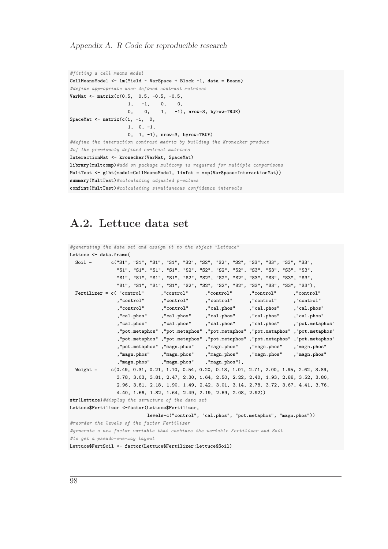```
#fitting a cell means model
CellMeansModel <- lm(Yield ~ VarSpace + Block -1, data = Beans)
#define appropriate user defined contrast matrices
VarMat <- matrix(c(0.5, 0.5, -0.5, -0.5,
                    1, -1, 0, 0,
                    0, 0, 1, -1), nrow=3, byrow=TRUE)
SpaceMat <- matrix(c(1, -1, 0,
                    1, 0, -1,
                    0, 1, -1), nrow=3, byrow=TRUE)
#define the interaction contrast matrix by building the Kronecker product
#of the previously defined contrast matrices
InteractionMat <- kronecker(VarMat, SpaceMat)
library(multcomp)#add on package multcomp is required for multiple comparisons
MultTest <- glht(model=CellMeansModel, linfct = mcp(VarSpace=InteractionMat))
summary(MultTest)#calculating adjusted p-values
confint(MultTest)#calculating simultaneous confidence intervals
```
### **A.2. Lettuce data set**

```
#generating the data set and assign it to the object "Lettuce"
Lettuce <- data.frame(
 Soil = c("S1", "S1", "S1", "S1", "S2", "S2", "S2", "S2", "S3", "S3", "S3", "S3",
                "S1", "S1", "S1", "S1", "S2", "S2", "S2", "S2", "S3", "S3", "S3", "S3",
                "S1", "S1", "S1", "S1", "S2", "S2", "S2", "S2", "S3", "S3", "S3", "S3",
                "S1", "S1", "S1", "S1", "S2", "S2", "S2", "S2", "S3", "S3", "S3", "S3"),
 Fertilizer = c( "control" ,"control" ,"control" ,"control" ,"control"
                ,"control" ,"control" ,"control" ,"control" ,"control"
                ,"control" ,"control" ,"cal.phos" ,"cal.phos" ,"cal.phos"
                ,"cal.phos" ,"cal.phos" ,"cal.phos" ,"cal.phos" ,"cal.phos"
                ,"cal.phos" ,"cal.phos" ,"cal.phos" ,"cal.phos" ,"pot.metaphos"
                ,"pot.metaphos" ,"pot.metaphos" ,"pot.metaphos" ,"pot.metaphos" ,"pot.metaphos"
                ,"pot.metaphos" ,"pot.metaphos" ,"pot.metaphos" ,"pot.metaphos" ,"pot.metaphos"
                ,"pot.metaphos" ,"magn.phos" ,"magn.phos" ,"magn.phos" ,"magn.phos"
                ,"magn.phos" ,"magn.phos" ,"magn.phos" ,"magn.phos" ,"magn.phos"
                ,"magn.phos" ,"magn.phos" ,"magn.phos"),
 Weight = c(0.49, 0.31, 0.21, 1.10, 0.54, 0.20, 0.13, 1.01, 2.71, 2.00, 1.95, 2.62, 3.89,
               3.78, 3.03, 3.81, 2.47, 2.30, 1.64, 2.50, 2.22, 2.40, 1.93, 2.88, 3.52, 3.80,
               2.96, 3.81, 2.18, 1.90, 1.49, 2.42, 3.01, 3.14, 2.78, 3.72, 3.67, 4.41, 3.76,
               4.40, 1.66, 1.82, 1.64, 2.49, 2.19, 2.69, 2.08, 2.92))
str(Lettuce)#display the structure of the data set
Lettuce$Fertilizer <-factor(Lettuce$Fertilizer,
                          levels=c("control", "cal.phos", "pot.metaphos", "magn.phos"))
#reorder the levels of the factor Fertilizer
#generate a new factor variable that combines the variable Fertilizer and Soil
#to get a pseudo-one-way layout
```
Lettuce**\$**FertSoil **<- factor**(Lettuce**\$**Fertilizer**:**Lettuce**\$**Soil)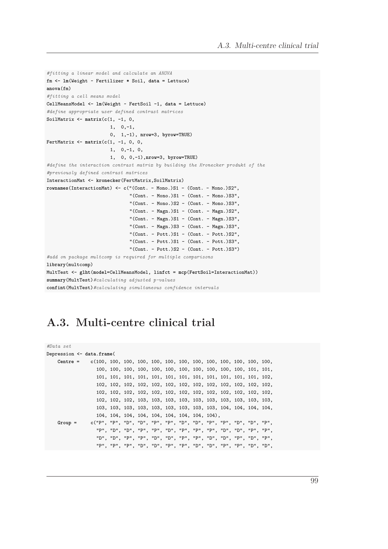```
#fitting a linear model and calculate an ANOVA
fm <- lm(Weight ~ Fertilizer * Soil, data = Lettuce)
anova(fm)
#fitting a cell means model
CellMeansModel <- lm(Weight ~ FertSoil -1, data = Lettuce)
#define appropriate user defined contrast matrices
SoilMatrix <- matrix(c(1, -1, 0,
                       1, 0,-1,
                       0, 1,-1), nrow=3, byrow=TRUE)
FertMatrix <- matrix(c(1, -1, 0, 0,
                       1, 0,-1, 0,
                       1, 0, 0,-1),nrow=3, byrow=TRUE)
#define the interaction contrast matrix by building the Kronecker produkt of the
#previously defined contrast matrices
InteractionMat <- kronecker(FertMatrix,SoilMatrix)
rownames(InteractionMat) <- c("(Cont. - Mono.)S1 - (Cont. - Mono.)S2",
                              "(Cont. - Mono.)S1 - (Cont. - Mono.)S3",
                              "(Cont. - Mono.)S2 - (Cont. - Mono.)S3",
                              "(Cont. - Magn.)S1 - (Cont. - Magn.)S2",
                              "(Cont. - Magn.)S1 - (Cont. - Magn.)S3",
                              "(Cont. - Magn.)S3 - (Cont. - Magn.)S3",
                              "(Cont. - Pott.)S1 - (Cont. - Pott.)S2",
                              "(Cont. - Pott.)S1 - (Cont. - Pott.)S3",
                              "(Cont. - Pott.)S2 - (Cont. - Pott.)S3")
#add on package multcomp is required for multiple comparisons
library(multcomp)
MultTest <- glht(model=CellMeansModel, linfct = mcp(FertSoil=InteractionMat))
summary(MultTest)#calculating adjusted p-values
confint(MultTest)#calculating simultaneous confidence intervals
```
### **A.3. Multi-centre clinical trial**

| #Data set                 |  |  |  |  |  |  |  |
|---------------------------|--|--|--|--|--|--|--|
| Depression <- data.frame( |  |  |  |  |  |  |  |
|                           |  |  |  |  |  |  |  |
|                           |  |  |  |  |  |  |  |
|                           |  |  |  |  |  |  |  |
|                           |  |  |  |  |  |  |  |
|                           |  |  |  |  |  |  |  |
|                           |  |  |  |  |  |  |  |
|                           |  |  |  |  |  |  |  |
|                           |  |  |  |  |  |  |  |
| $Group =$                 |  |  |  |  |  |  |  |
|                           |  |  |  |  |  |  |  |
|                           |  |  |  |  |  |  |  |
|                           |  |  |  |  |  |  |  |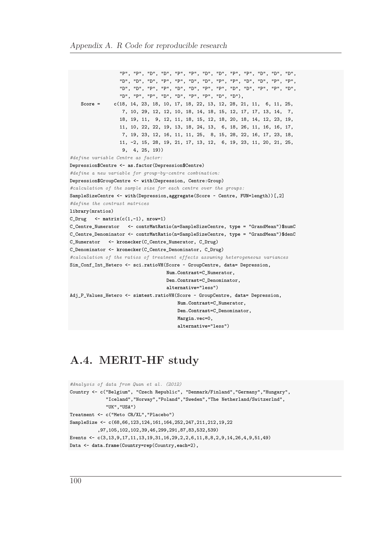"P", "P", "D", "D", "P", "P", "D", "D", "P", "P", "D", "D", "D", "D", "D", "D", "P", "P", "D", "D", "P", "P", "D", "D", "P", "P", "D", "D", "P", "P", "D", "D", "P", "P", "D", "D", "P", "P", "D", "D", "P", "P", "D", "D", "P", "P", "D", "D"), **Score** = **c**(18, 14, 23, 18, 10, 17, 18, 22, 13, 12, 28, 21, 11, 6, 11, 25, 7, 10, 29, 12, 12, 10, 18, 14, 18, 15, 12, 17, 17, 13, 14, 7, 18, 19, 11, 9, 12, 11, 18, 15, 12, 18, 20, 18, 14, 12, 23, 19, 11, 10, 22, 22, 19, 13, 18, 24, 13, 6, 18, 26, 11, 16, 16, 17, 7, 19, 23, 12, 16, 11, 11, 25, 8, 15, 28, 22, 16, 17, 23, 18, 11, **-**2, 15, 28, 19, 21, 17, 13, 12, 6, 19, 23, 11, 20, 21, 25, 9, 4, 25, 19)) *#define variable Centre as factor:* Depression**\$**Centre **<- as.factor**(Depression**\$**Centre) *#define a new variable for group-by-centre combination:* Depression**\$**GroupCentre **<- with**(Depression, Centre**:**Group) *#calculation of the sample size for each centre over the groups:* SampleSizeCentre **<- with**(Depression,**aggregate**(Score **~** Centre, **FUN**=length))[,2] *#define the contrast matrices* **library**(mratios) C\_Drug **<- matrix**(**c**(1,**-**1), **nrow**=1) C\_Centre\_Numerator **<- contrMatRatio**(**n**=SampleSizeCentre, **type** = "GrandMean")**\$**numC C\_Centre\_Denominator **<- contrMatRatio**(**n**=SampleSizeCentre, **type** = "GrandMean")**\$**denC C\_Numerator **<- kronecker**(C\_Centre\_Numerator, C\_Drug) C\_Denominator **<- kronecker**(C\_Centre\_Denominator, C\_Drug) *#calculation of the ratios of treatment effects assuming heterogeneous variances* Sim\_Conf\_Int\_Hetero **<- sci.ratioVH**(Score **~** GroupCentre, **data**= Depression, **Num.Contrast**=C\_Numerator, **Den.Contrast**=C\_Denominator, **alternative**="less") Adj\_P\_Values\_Hetero **<- simtest.ratioVH**(Score **~** GroupCentre, **data**= Depression, **Num.Contrast**=C\_Numerator, **Den.Contrast**=C\_Denominator, **Margin.vec**=0, **alternative**="less")

### **A.4. MERIT-HF study**

```
#Analysis of data from Quan et al. (2012)
Country <- c("Belgium", "Czech Republic", "Denmark/Finland","Germany","Hungary",
             "Iceland","Norway","Poland","Sweden","The Netherland/Switzerlnd",
             "UK","USA")
Treatment <- c("Meto CR/XL","Placebo")
SampleSize <- c(68,66,123,124,161,164,252,247,211,212,19,22
          ,97,105,102,102,39,46,299,291,87,83,532,539)
Events <- c(3,13,9,17,11,13,19,31,16,29,2,2,6,11,8,8,2,9,14,26,4,9,51,49)
Data <- data.frame(Country=rep(Country,each=2),
```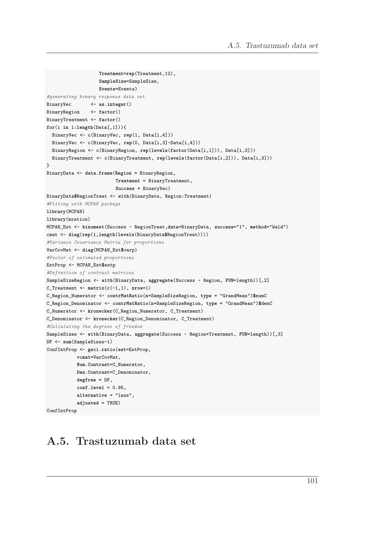```
Treatment=rep(Treatment,12),
                   SampleSize=SampleSize,
                   Events=Events)
#generating binary response data set
BinaryVec <- as.integer()
BinaryRegion <- factor()
BinaryTreatment <- factor()
for(i in 1:length(Data[,1])){
  BinaryVec <- c(BinaryVec, rep(1, Data[i,4]))
  BinaryVec <- c(BinaryVec, rep(0, Data[i,3]-Data[i,4]))
 BinaryRegion <- c(BinaryRegion, rep(levels(factor(Data[i,1])), Data[i,3]))
 BinaryTreatment <- c(BinaryTreatment, rep(levels(factor(Data[i,2])), Data[i,3]))
}
BinaryData <- data.frame(Region = BinaryRegion,
                         Treatment = BinaryTreatment,
                         Success = BinaryVec)
BinaryData$RegionTreat <- with(BinaryData, Region:Treatment)
#Fitting with MCPAN package
library(MCPAN)
library(mratios)
MCPAN_Est <- binomest(Success ~ RegionTreat,data=BinaryData, success="1", method="Wald")
cmat <- diag(rep(1,length(levels(BinaryData$RegionTreat))))
#Variance Covariance Matrix for proportions
VarCovMat <- diag(MCPAN_Est$varp)
#Vector of estimated proportions
EstProp <- MCPAN_Est$estp
#Definition of contrast matrices
SampleSizeRegion <- with(BinaryData, aggregate(Success ~ Region, FUN=length))[,2]
C_Treatment <- matrix(c(-1,1), nrow=1)
C_Region_Numerator <- contrMatRatio(n=SampleSizeRegion, type = "GrandMean")$numC
C_Region_Denominator <- contrMatRatio(n=SampleSizeRegion, type = "GrandMean")$denC
C_Numerator <- kronecker(C_Region_Numerator, C_Treatment)
C_Denominator <- kronecker(C_Region_Denominator, C_Treatment)
#Calculating the degrees of freedom
SampleSizes <- with(BinaryData, aggregate(Success ~ Region+Treatment, FUN=length))[,3]
DF <- sum(SampleSizes-1)
ConfIntProp <- gsci.ratio(est=EstProp,
          vcmat=VarCovMat,
           Num.Contrast=C_Numerator,
           Den.Contrast=C_Denominator,
           degfree = DF,
           conf.level = 0.95,
           alternative = "less",
           adjusted = TRUE)
ConfIntProp
```
### **A.5. Trastuzumab data set**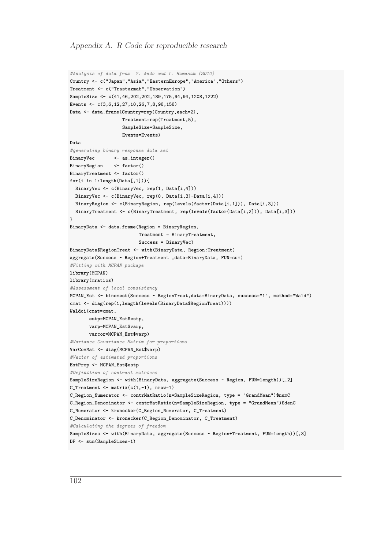```
#Analysis of data from Y. Ando and T. Hamasak (2010)
Country <- c("Japan","Asia","EasternEurope","America","Others")
Treatment <- c("Trastuzmab","Observation")
SampleSize <- c(41,46,202,202,189,175,94,94,1208,1222)
Events <- c(3,6,12,27,10,26,7,8,98,158)
Data <- data.frame(Country=rep(Country,each=2),
                   Treatment=rep(Treatment,5),
                   SampleSize=SampleSize,
                   Events=Events)
Data
#generating binary response data set
BinaryVec <- as.integer()
BinaryRegion <- factor()
BinaryTreatment <- factor()
for(i in 1:length(Data[,1])){
  BinaryVec <- c(BinaryVec, rep(1, Data[i,4]))
 BinaryVec <- c(BinaryVec, rep(0, Data[i,3]-Data[i,4]))
 BinaryRegion <- c(BinaryRegion, rep(levels(factor(Data[i,1])), Data[i,3]))
 BinaryTreatment <- c(BinaryTreatment, rep(levels(factor(Data[i,2])), Data[i,3]))
}
BinaryData <- data.frame(Region = BinaryRegion,
                         Treatment = BinaryTreatment,
                         Success = BinaryVec)
BinaryData$RegionTreat <- with(BinaryData, Region:Treatment)
aggregate(Success ~ Region+Treatment ,data=BinaryData, FUN=sum)
#Fitting with MCPAN package
library(MCPAN)
library(mratios)
#Assessment of local consistency
MCPAN_Est <- binomest(Success ~ RegionTreat,data=BinaryData, success="1", method="Wald")
cmat <- diag(rep(1,length(levels(BinaryData$RegionTreat))))
Waldci(cmat=cmat,
       estp=MCPAN_Est$estp,
       varp=MCPAN_Est$varp,
       varcor=MCPAN_Est$varp)
#Variance Covariance Matrix for proportions
VarCovMat <- diag(MCPAN_Est$varp)
#Vector of estimated proportions
EstProp <- MCPAN_Est$estp
#Definition of contrast matrices
SampleSizeRegion <- with(BinaryData, aggregate(Success ~ Region, FUN=length))[,2]
C_Treatment <- matrix(c(1,-1), nrow=1)
C_Region_Numerator <- contrMatRatio(n=SampleSizeRegion, type = "GrandMean")$numC
C_Region_Denominator <- contrMatRatio(n=SampleSizeRegion, type = "GrandMean")$denC
C_Numerator <- kronecker(C_Region_Numerator, C_Treatment)
C_Denominator <- kronecker(C_Region_Denominator, C_Treatment)
#Calculating the degrees of freedom
SampleSizes <- with(BinaryData, aggregate(Success ~ Region+Treatment, FUN=length))[,3]
DF <- sum(SampleSizes-1)
```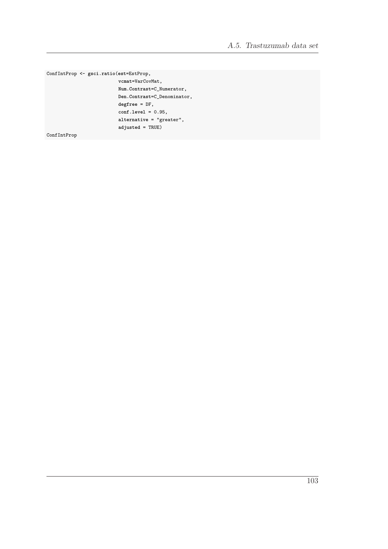$\verb|ConfIntProp<-gsci.ratio(est=EstProp,% \verb|Cone|=c, c=251]$ 

 $\verb|vcmat=VarCovMat|,$  $\texttt{Num}.\texttt{Contrast=C\_Numerator}$  , Den.Contrast=C\_Denominator,  $degree = DF,$  $conf. level = 0.95,$  $alternative = "greater",$  $adjusted = TRUE$ 

ConfIntProp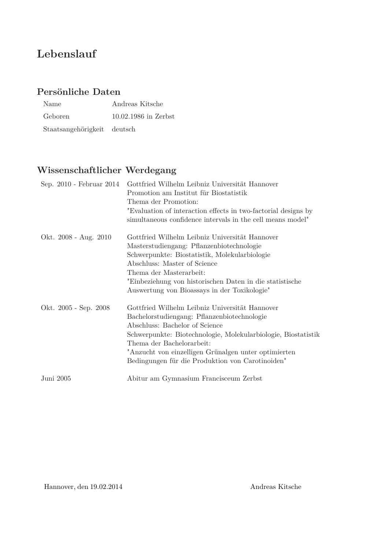## **Lebenslauf**

### **Persönliche Daten**

| Name                        | Andreas Kitsche        |
|-----------------------------|------------------------|
| Geboren                     | $10.02.1986$ in Zerbst |
| Staatsangehörigkeit deutsch |                        |

## **Wissenschaftlicher Werdegang**

| Sep. 2010 - Februar 2014 | Gottfried Wilhelm Leibniz Universität Hannover<br>Promotion am Institut für Biostatistik<br>Thema der Promotion:<br>"Evaluation of interaction effects in two-factorial designs by<br>simultaneous confidence intervals in the cell means model"                                                                                          |
|--------------------------|-------------------------------------------------------------------------------------------------------------------------------------------------------------------------------------------------------------------------------------------------------------------------------------------------------------------------------------------|
| Okt. 2008 - Aug. 2010    | Gottfried Wilhelm Leibniz Universität Hannover<br>Masterstudiengang: Pflanzenbiotechnologie<br>Schwerpunkte: Biostatistik, Molekularbiologie<br>Abschluss: Master of Science<br>Thema der Masterarbeit:<br>"Einbeziehung von historischen Daten in die statistische<br>Auswertung von Bioassays in der Toxikologie"                       |
| Okt. 2005 - Sep. 2008    | Gottfried Wilhelm Leibniz Universität Hannover<br>Bachelorstudiengang: Pflanzenbiotechnologie<br>Abschluss: Bachelor of Science<br>Schwerpunkte: Biotechnologie, Molekularbiologie, Biostatistik<br>Thema der Bachelorarbeit:<br>"Anzucht von einzelligen Grünalgen unter optimierten<br>Bedingungen für die Produktion von Carotinoiden" |
| Juni 2005                | Abitur am Gymnasium Francisceum Zerbst                                                                                                                                                                                                                                                                                                    |

Hannover, den 19.02.2014 Andreas Kitsche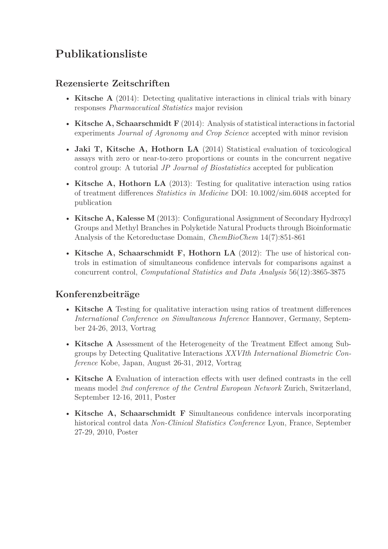# **Publikationsliste**

#### **Rezensierte Zeitschriften**

- **Kitsche A** (2014): Detecting qualitative interactions in clinical trials with binary responses *Pharmaceutical Statistics* major revision
- **Kitsche A, Schaarschmidt F** (2014): Analysis of statistical interactions in factorial experiments *Journal of Agronomy and Crop Science* accepted with minor revision
- **Jaki T, Kitsche A, Hothorn LA** (2014) Statistical evaluation of toxicological assays with zero or near-to-zero proportions or counts in the concurrent negative control group: A tutorial *JP Journal of Biostatistics* accepted for publication
- **Kitsche A, Hothorn LA** (2013): Testing for qualitative interaction using ratios of treatment differences *Statistics in Medicine* DOI: 10.1002/sim.6048 accepted for publication
- **Kitsche A, Kalesse M** (2013): Configurational Assignment of Secondary Hydroxyl Groups and Methyl Branches in Polyketide Natural Products through Bioinformatic Analysis of the Ketoreductase Domain, *ChemBioChem* 14(7):851-861
- **Kitsche A, Schaarschmidt F, Hothorn LA** (2012): The use of historical controls in estimation of simultaneous confidence intervals for comparisons against a concurrent control, *Computational Statistics and Data Analysis* 56(12):3865-3875

#### **Konferenzbeiträge**

- **Kitsche A** Testing for qualitative interaction using ratios of treatment differences *International Conference on Simultaneous Inference* Hannover, Germany, September 24-26, 2013, Vortrag
- **Kitsche A** Assessment of the Heterogeneity of the Treatment Effect among Subgroups by Detecting Qualitative Interactions *XXVIth International Biometric Conference* Kobe, Japan, August 26-31, 2012, Vortrag
- **Kitsche A** Evaluation of interaction effects with user defined contrasts in the cell means model *2nd conference of the Central European Network* Zurich, Switzerland, September 12-16, 2011, Poster
- **Kitsche A, Schaarschmidt F** Simultaneous confidence intervals incorporating historical control data *Non-Clinical Statistics Conference* Lyon, France, September 27-29, 2010, Poster